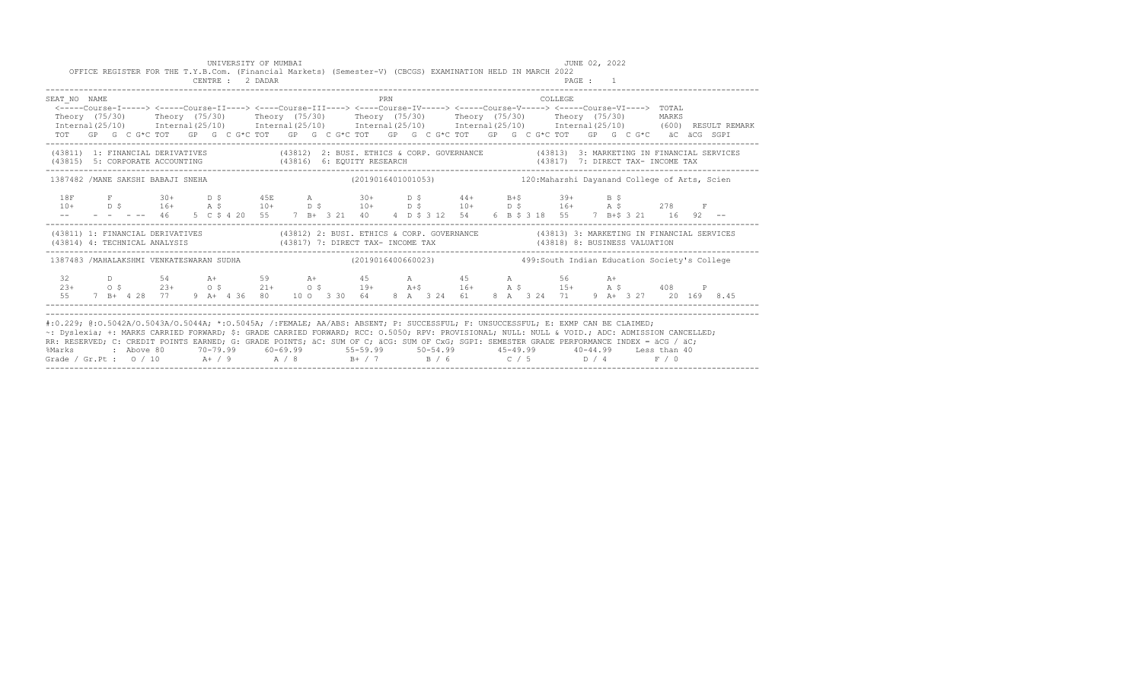|                                                                                                                                                                                                                                                                                                                                                                                                                                                                                                                                                                                               |  |  |  |  | UNIVERSITY OF MUMBAI<br>CENTRE : 2 DADAR |  |  |  |     |  | OFFICE REGISTER FOR THE T.Y.B.Com. (Financial Markets) (Semester-V) (CBCGS) EXAMINATION HELD IN MARCH 2022                                                                                                                                                                         |  |  |         | JUNE 02, 2022<br>PAGE : 1 |  |  |  |  |  |
|-----------------------------------------------------------------------------------------------------------------------------------------------------------------------------------------------------------------------------------------------------------------------------------------------------------------------------------------------------------------------------------------------------------------------------------------------------------------------------------------------------------------------------------------------------------------------------------------------|--|--|--|--|------------------------------------------|--|--|--|-----|--|------------------------------------------------------------------------------------------------------------------------------------------------------------------------------------------------------------------------------------------------------------------------------------|--|--|---------|---------------------------|--|--|--|--|--|
| SEAT NO NAME<br><----Course-I-----> <----Course-II----> <----Course-III----> <----Course-IV-----> <----Course-V-----> <----Course-VI----> TOTAL<br>Theory (75/30) Theory (75/30) Theory (75/30) Theory (75/30) Theory (75/30) Theory (75/30) MARKS<br>Internal (25/10) Internal (25/10) Internal (25/10) Internal (25/10) Internal (25/10) Internal (25/10) (600) RESULT REMARK<br>TOT GP G C G*C TOT GP G C G*C TOT GP G C G*C TOT GP G C G*C TOT GP G C G*C TOT GP G C G*C äC äCG SGPI                                                                                                      |  |  |  |  |                                          |  |  |  | PRN |  |                                                                                                                                                                                                                                                                                    |  |  | COLLEGE |                           |  |  |  |  |  |
| (43811) 1: FINANCIAL DERIVATIVES (43812) 2: BUSI. ETHICS & CORP. GOVERNANCE (43813) 3: MARKETING IN FINANCIAL SERVICES<br>(43815) 5: CORPORATE ACCOUNTING (43816) 6: EQUITY RESEARCH                                                                                                                                                                                                                                                                                                                                                                                                          |  |  |  |  |                                          |  |  |  |     |  | (43817) 7: DIRECT TAX- INCOME TAX                                                                                                                                                                                                                                                  |  |  |         |                           |  |  |  |  |  |
| 1387482 /MANE SAKSHI BABAJI SNEHA                                                                                                                                                                                                                                                                                                                                                                                                                                                                                                                                                             |  |  |  |  |                                          |  |  |  |     |  | (2019016401001053) 120: Maharshi Dayanand College of Arts, Scien                                                                                                                                                                                                                   |  |  |         |                           |  |  |  |  |  |
|                                                                                                                                                                                                                                                                                                                                                                                                                                                                                                                                                                                               |  |  |  |  |                                          |  |  |  |     |  | 18F F 30+ D \$ 45E A 30+ D \$ 44+ B+\$ 39+ B \$<br>$10+$ $D \, \, \$$ $16+$ $A \, \, \$$ $10+$ $D \, \, \$$ $10+$ $D \, \, \$$ $10+$ $D \, \, \$$ $16+$ $A \, \, \$$ $278$ $F$<br>-- - - - -- 46 5 C \$ 4 20 55 7 B + 3 21 40 4 D \$ 3 12 54 6 B \$ 3 18 55 7 B + \$ 3 21 16 92 -- |  |  |         |                           |  |  |  |  |  |
| (43811) 1: FINANCIAL DERIVATIVES (43812) 2: BUSI. ETHICS & CORP. GOVERNANCE (43813) 3: MARKETING IN FINANCIAL SERVICES<br>(43814) 4: TECHNICAL ANALYSIS (43817) 7: DIRECT TAX- INCOME TAX (43818) 8: BUSINESS VALUATION                                                                                                                                                                                                                                                                                                                                                                       |  |  |  |  |                                          |  |  |  |     |  |                                                                                                                                                                                                                                                                                    |  |  |         |                           |  |  |  |  |  |
| 1387483 /MAHALAKSHMI VENKATESWARAN SUDHA                                                                                                                                                                                                                                                                                                                                                                                                                                                                                                                                                      |  |  |  |  |                                          |  |  |  |     |  |                                                                                                                                                                                                                                                                                    |  |  |         |                           |  |  |  |  |  |
| 32                                                                                                                                                                                                                                                                                                                                                                                                                                                                                                                                                                                            |  |  |  |  |                                          |  |  |  |     |  | D 54 A+ 59 A+ 45 A 45 A 56 A+<br>$23+$ 0 \$ $23+$ 0 \$ $21+$ 0 \$ $19+$ $3+$ $16+$ $3+$ \$ $15+$ $3+$ $5+$ $408$ P<br>55 7 B + 4 28 77 9 A + 4 36 80 10 0 3 30 64 8 A 3 24 61 8 A 3 24 71 9 A + 3 27 20 169 8.45                                                                   |  |  |         |                           |  |  |  |  |  |
| #:0.229; @:0.5042A/0.5043A/0.5044A; *:0.5045A; /:FEMALE; AA/ABS: ABSENT; P: SUCCESSFUL; F: UNSUCCESSFUL; E: EXMP CAN BE CLAIMED;<br>~: Dvslexia; +: MARKS CARRIED FORWARD; \$: GRADE CARRIED FORWARD; RCC: 0.5050; RPV: PROVISIONAL; NULL: NULL & VOID.; ADC: ADMISSION CANCELLED;<br>RR: RESERVED, C: CREDIT POINTS EARNED, G: GRADE POINTS, äC: SUM OF C; äCG: SUM OF CxG; SGPI: SEMESTER GRADE PERFORMANCE INDEX = äCG / äC;<br>%Marks : Above 80 70-79.99 60-69.99 55-59.99 50-54.99 45-49.99 40-44.99 Less than 40<br>Grade / Gr.Pt : $0/10$ A / 9 A / 8 B + / 7 B / 6 C / 5 D / 4 F / 0 |  |  |  |  |                                          |  |  |  |     |  |                                                                                                                                                                                                                                                                                    |  |  |         |                           |  |  |  |  |  |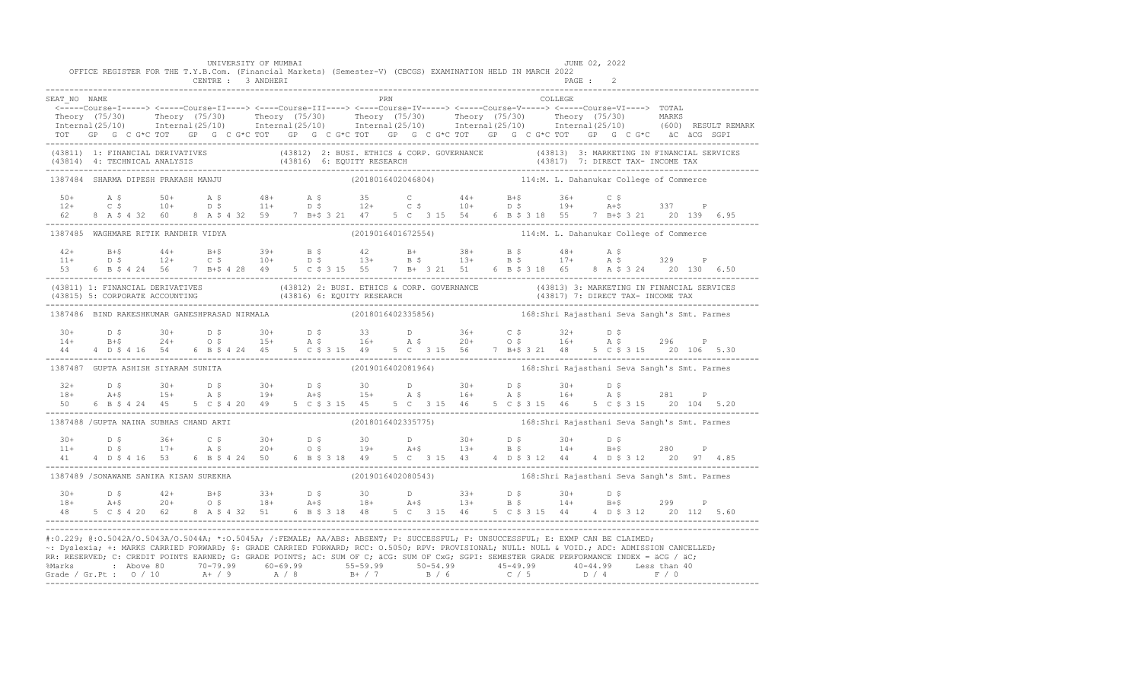|                | OFFICE REGISTER FOR THE T.Y.B.Com. (Financial Markets) (Semester-V) (CBCGS) EXAMINATION HELD IN MARCH 2022                                                                                                                                                                                                                                                                                                                                                            | UNIVERSITY OF MUMBAI<br>CENTRE : 3 ANDHERI                                                         |  |                    |  |  |                                                                 | PAGE :  | JUNE 02, 2022                           |       |  |
|----------------|-----------------------------------------------------------------------------------------------------------------------------------------------------------------------------------------------------------------------------------------------------------------------------------------------------------------------------------------------------------------------------------------------------------------------------------------------------------------------|----------------------------------------------------------------------------------------------------|--|--------------------|--|--|-----------------------------------------------------------------|---------|-----------------------------------------|-------|--|
| SEAT NO NAME   |                                                                                                                                                                                                                                                                                                                                                                                                                                                                       |                                                                                                    |  | PRN                |  |  |                                                                 | COLLEGE |                                         |       |  |
|                | <-----Course-I-----> <-----Course-II----> <----Course-III----> <----Course-IV-----> <-----Course-V-----> <-----Course-VI----> TOTAL<br>Theory (75/30) Theory (75/30) Theory (75/30) Theory (75/30) Theory (75/30) Theory (75/30) MARKS<br>Internal(25/10) Internal(25/10) Internal(25/10) Internal(25/10) Internal(25/10) Internal(25/10) (600) RESULTREMARK<br>TOT GP G C G*C TOT GP G C G*C TOT GP G C G*C TOT GP G C G*C TOT GP G C G*C TOT GP G C G*C äC äCG SGPI |                                                                                                    |  |                    |  |  |                                                                 |         |                                         |       |  |
|                | (43811) 1: FINANCIAL DERIVATIVES (43812) 2: BUSI. ETHICS & CORP. GOVERNANCE (43813) 3: MARKETING IN FINANCIAL SERVICES<br>(43814) 4: TECHNICAL ANALYSIS (43816) 6: EQUITY RESEARCH (43817) 7: DIRECT TAX- INCOME TAX<br>------------                                                                                                                                                                                                                                  |                                                                                                    |  |                    |  |  |                                                                 |         |                                         |       |  |
|                | 1387484 SHARMA DIPESH PRAKASH MANJU                                                                                                                                                                                                                                                                                                                                                                                                                                   |                                                                                                    |  | (2018016402046804) |  |  |                                                                 |         | 114:M. L. Dahanukar College of Commerce |       |  |
|                | 8 A \$ 4 32 60 8 A \$ 4 32 59 7 B+\$ 3 21 47 5 C 3 15 54 6 B \$ 3 18 55 7 B+\$ 3 21 20 139 6.95                                                                                                                                                                                                                                                                                                                                                                       |                                                                                                    |  |                    |  |  |                                                                 |         |                                         |       |  |
|                | 1387485 WAGHMARE RITIK RANDHIR VIDYA                                                                                                                                                                                                                                                                                                                                                                                                                                  |                                                                                                    |  |                    |  |  | (2019016401672554) 114:M. L. Dahanukar College of Commerce      |         |                                         |       |  |
|                | $42+$ B+\$ $44+$ B+\$ 39+ B \$ 42 B+ 38+ B \$ 48+ A \$<br>11+ D \$ 12+ C \$ 10+ D \$ 13+ B \$ 13+ B \$ 17+ A \$ 329 P<br>53 6 B \$ 4 24 56 7 B + \$ 4 28 49 5 C \$ 3 15 55 7 B + 3 21 51 6 B \$ 3 18 65 8 A \$ 3 24 20 130 6.50                                                                                                                                                                                                                                       |                                                                                                    |  |                    |  |  |                                                                 |         |                                         |       |  |
|                | (43811) 1: FINANCIAL DERIVATIVES (43812) 2: BUSI. ETHICS & CORP. GOVERNANCE (43813) 3: MARKETING IN FINANCIAL SERVICES<br>(43815) 5: CORPORATE ACCOUNTING (43816) 6: EQUITY RESEARCH (43817) 7: DIRECT TAX- INCOME TAX<br>----------                                                                                                                                                                                                                                  |                                                                                                    |  |                    |  |  |                                                                 |         |                                         |       |  |
|                | 1387486 BIND RAKESHKUMAR GANESHPRASAD NIRMALA (2018016402335856) 168:Shri Rajasthani Seva Sangh's Smt. Parmes                                                                                                                                                                                                                                                                                                                                                         |                                                                                                    |  |                    |  |  |                                                                 |         |                                         |       |  |
|                | $14+$ $15+$ $24+$ $05$ $15+$ $16+$ $16+$ $17+$ $18+$ $16+$ $18+$ $19 19 10+$ $10+$ $10+$ $10+$ $10+$ $10+$ $10+$ $10+$ $10+$ $10+$ $10+$ $10+$ $10+$ $10+$ $10+$ $10+$ $10+$ $10+$ $10+$ $10+$ $10+$ $10+$ $10+$ $10+$                                                                                                                                                                                                                                                |                                                                                                    |  |                    |  |  |                                                                 |         |                                         |       |  |
|                | 1387487 GUPTA ASHISH SIYARAM SUNITA                                                                                                                                                                                                                                                                                                                                                                                                                                   |                                                                                                    |  | (2019016402081964) |  |  | 168:Shri Rajasthani Seva Sangh's Smt. Parmes                    |         |                                         |       |  |
| $32+$<br>$18+$ |                                                                                                                                                                                                                                                                                                                                                                                                                                                                       | D \$ 30+ D \$ 30+ D \$ 30 D 30+ D \$ 30+ D \$<br>A+\$ 15+ A \$ 19+ A+\$ 15+ A \$ 16+ A \$ 16+ A \$ |  |                    |  |  |                                                                 |         |                                         | 281 P |  |
|                | 1387488 / GUPTA NAINA SUBHAS CHAND ARTI                                                                                                                                                                                                                                                                                                                                                                                                                               |                                                                                                    |  |                    |  |  | (2018016402335775) 168:Shri Rajasthani Seva Sangh's Smt. Parmes |         |                                         |       |  |
| 41             | $11+$ $D \,$ $5$ $36+$ $C \,$ $5$ $30+$ $D \,$ $5$ $30+$ $D \,$ $D \,$ $30+$ $D \,$ $5$ $30+$ $D \,$ $5$ $30+$ $D \,$ $5$ $30+$ $D \,$ $5$ $30+$ $D \,$ $5$ $30+$ $D \,$ $5$ $30+$ $D \,$ $5$ $30+$ $D \,$ $5$ $30+$ $D \,$ $5$ $30+$ $D \,$                                                                                                                                                                                                                          |                                                                                                    |  |                    |  |  |                                                                 |         |                                         |       |  |
|                | 1387489 /SONAWANE SANIKA KISAN SUREKHA                                                                                                                                                                                                                                                                                                                                                                                                                                |                                                                                                    |  |                    |  |  | (2019016402080543) 168:Shri Rajasthani Seva Sangh's Smt. Parmes |         |                                         |       |  |
|                | $18+$ $18+$ $20+$ $05+$ $05+$ $18+$ $05+$ $05+$ $05+$ $05+$ $05+$ $05+$ $05+$ $05+$ $05+$ $05+$ $05+$ $05+$ $05+$ $05+$ $05+$ $05+$ $05+$ $05+$ $05+$ $05+$ $05+$ $05+$ $05+$ $05+$ $05+$ $05+$ $05+$ $05+$ $05+$ $05+$ $05+$<br>48 5 C \$ 4 20 62 8 A \$ 4 32 51 6 B \$ 3 18 48 5 C 3 15 46 5 C \$ 3 15 44 4 D \$ 3 12 20 112 5.60                                                                                                                                   |                                                                                                    |  |                    |  |  |                                                                 |         |                                         |       |  |
|                | #:0.229; @:0.5042A/0.5043A/0.5044A; *:0.5045A; /:FEMALE; AA/ABS: ABSENT; P: SUCCESSFUL; F: UNSUCCESSFUL; E: EXMP CAN BE CLAIMED;<br>~: Dyslexia; +: MARKS CARRIED FORWARD; \$: GRADE CARRIED FORWARD; RCC: 0.5050; RPV: PROVISIONAL; NULL: NULL & VOID.; ADC: ADMISSION CANCELLED;<br>RR: RESERVED; C: CREDIT POINTS EARNED; G: GRADE POINTS; äC: SUM OF C; äCG: SUM OF CxG; SGPI: SEMESTER GRADE PERFORMANCE INDEX = äCG / äC;                                       |                                                                                                    |  |                    |  |  |                                                                 |         |                                         |       |  |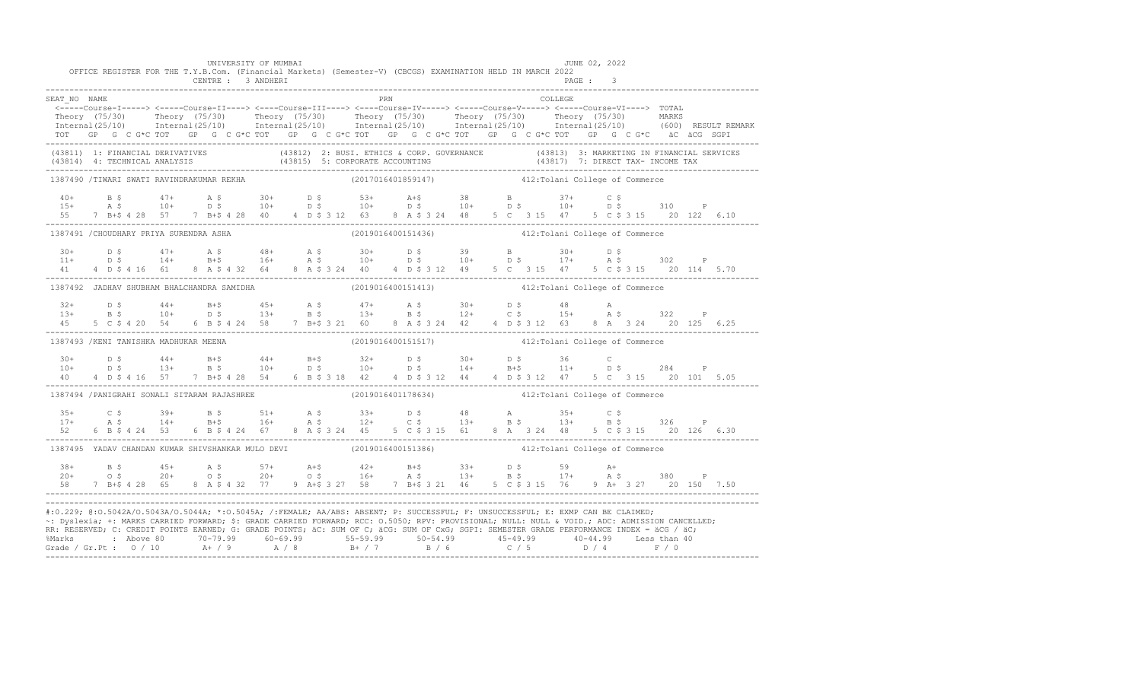|              |                                              |                    |  | UNIVERSITY OF MUMBAI |  |  |     | OFFICE REGISTER FOR THE T.Y.B.Com. (Financial Markets) (Semester-V) (CBCGS) EXAMINATION HELD IN MARCH 2022                                                                                                                           |  |  |         | JUNE 02, 2022 |  |  |  |
|--------------|----------------------------------------------|--------------------|--|----------------------|--|--|-----|--------------------------------------------------------------------------------------------------------------------------------------------------------------------------------------------------------------------------------------|--|--|---------|---------------|--|--|--|
|              |                                              | CENTRE : 3 ANDHERI |  |                      |  |  |     |                                                                                                                                                                                                                                      |  |  |         | PAGE: 3       |  |  |  |
| SEAT NO NAME |                                              |                    |  |                      |  |  | PRN |                                                                                                                                                                                                                                      |  |  | COLLEGE |               |  |  |  |
|              |                                              |                    |  |                      |  |  |     | <-----Course-I-----> <----Course-II----> <----Course-III----> <----Course-IV-----> <----Course-V-----> <----Course-VI----> TOTAL                                                                                                     |  |  |         |               |  |  |  |
|              |                                              |                    |  |                      |  |  |     | Theory (75/30) Theory (75/30) Theory (75/30) Theory (75/30) Theory (75/30) Theory (75/30) MARKS<br>Internal(25/10) Internal(25/10) Internal(25/10) Internal(25/10) Internal(25/10) Internal(25/10) (600) RESULTREMARK                |  |  |         |               |  |  |  |
|              |                                              |                    |  |                      |  |  |     | TOT GP G C G*C TOT GP G C G*C TOT GP G C G*C TOT GP G C G*C TOT GP G C G*C TOT GP G C G*C äC äCG SGPI                                                                                                                                |  |  |         |               |  |  |  |
|              |                                              |                    |  |                      |  |  |     | (43811) 1: FINANCIAL DERIVATIVES (43812) 2: BUSI. ETHICS & CORP. GOVERNANCE (43813) 3: MARKETING IN FINANCIAL SERVICES<br>(43814) 4: TECHNICAL ANALYSIS (43815) 5: CORPORATE ACCOUNTING (43817) 7: DIRECT TAX- INCOME TAX<br>------- |  |  |         |               |  |  |  |
|              | 1387490 /TIWARI SWATI RAVINDRAKUMAR REKHA    |                    |  |                      |  |  |     | (2017016401859147) 412: Tolani College of Commerce                                                                                                                                                                                   |  |  |         |               |  |  |  |
|              |                                              |                    |  |                      |  |  |     |                                                                                                                                                                                                                                      |  |  |         |               |  |  |  |
|              |                                              |                    |  |                      |  |  |     | $10+$ B \$ $47+$ A \$ $30+$ D \$ $53+$ A +\$ $38$ B $37+$ C \$<br>15+ A \$ 10+ D \$ 10+ D \$ 10+ D \$ 10+ D \$ 10+ D \$ 310 P                                                                                                        |  |  |         |               |  |  |  |
|              |                                              |                    |  |                      |  |  |     | 55 7 B+\$ 4 28 57 7 B+\$ 4 28 40 4 D \$ 3 12 63 8 A \$ 3 24 48 5 C 3 15 47 5 C \$ 3 15 20 122 6.10                                                                                                                                   |  |  |         |               |  |  |  |
|              | 1387491 / CHOUDHARY PRIYA SURENDRA ASHA      |                    |  |                      |  |  |     | (2019016400151436)  412: Tolani College of Commerce                                                                                                                                                                                  |  |  |         |               |  |  |  |
|              |                                              |                    |  |                      |  |  |     | $11+$ $D \,$ $5$ $47+$ $A \,$ $5$ $48+$ $A \,$ $5$ $30+$ $D \,$ $5$ $39$ $B$ $30+$ $D \,$ $5$<br>$11+$ $D \,$ $5$ $14+$ $B+$ $5$ $16+$ $A \,$ $5$ $10+$ $D \,$ $5$ $10+$ $D \,$ $5$ $17+$ $A \,$ $5$ $302$ $P$                       |  |  |         |               |  |  |  |
|              |                                              |                    |  |                      |  |  |     |                                                                                                                                                                                                                                      |  |  |         |               |  |  |  |
|              |                                              |                    |  |                      |  |  |     | 41 4 D \$ 4 16 61 8 A \$ 4 32 64 8 A \$ 3 24 40 4 D \$ 3 12 49 5 C 3 15 47 5 C \$ 3 15 20 114 5.70                                                                                                                                   |  |  |         |               |  |  |  |
|              | 1387492 JADHAV SHUBHAM BHALCHANDRA SAMIDHA   |                    |  |                      |  |  |     | (2019016400151413) 412: Tolani College of Commerce                                                                                                                                                                                   |  |  |         |               |  |  |  |
|              |                                              |                    |  |                      |  |  |     |                                                                                                                                                                                                                                      |  |  |         |               |  |  |  |
|              |                                              |                    |  |                      |  |  |     |                                                                                                                                                                                                                                      |  |  |         |               |  |  |  |
|              |                                              |                    |  |                      |  |  |     | 45 5 C \$ 4 20 54 6 B \$ 4 24 58 7 B + \$ 3 21 60 8 A \$ 3 24 42 4 D \$ 3 12 63 8 A 3 24 20 125 6.25                                                                                                                                 |  |  |         |               |  |  |  |
|              | 1387493 / KENI TANISHKA MADHUKAR MEENA       |                    |  |                      |  |  |     | (2019016400151517) 412: Tolani College of Commerce                                                                                                                                                                                   |  |  |         |               |  |  |  |
|              |                                              |                    |  |                      |  |  |     |                                                                                                                                                                                                                                      |  |  |         |               |  |  |  |
|              |                                              |                    |  |                      |  |  |     | $10+$ $D \div 3$ $44+$ $B+5$ $44+$ $B+5$ $32+$ $D \div 30+$ $D \div 36$ C<br>$10+$ $D \div 3$ $14+$ $B+5$ $11+$ $D \div 284$ P                                                                                                       |  |  |         |               |  |  |  |
| 40           |                                              |                    |  |                      |  |  |     | 4 D \$ 4 16 57 7 B+\$ 4 28 54 6 B \$ 3 18 42 4 D \$ 3 12 44 4 D \$ 3 12 47 5 C 3 15 20 101 5.05                                                                                                                                      |  |  |         |               |  |  |  |
|              | 1387494 / PANIGRAHI SONALI SITARAM RAJASHREE |                    |  |                      |  |  |     | (2019016401178634) 412: Tolani College of Commerce                                                                                                                                                                                   |  |  |         |               |  |  |  |
|              |                                              |                    |  |                      |  |  |     |                                                                                                                                                                                                                                      |  |  |         |               |  |  |  |
|              |                                              |                    |  |                      |  |  |     | $17+$ $25+$ $25+$ $39+$ $25+$ $51+$ $25+$ $25+$ $25+$ $25+$ $25+$ $25+$ $25+$ $25+$ $25+$ $25+$ $25+$ $25+$ $25+$ $25+$ $25+$ $25+$ $25+$ $25+$ $25+$ $25+$ $25+$ $25+$ $25+$ $25+$ $25+$ $25+$ $25+$ $25+$ $25+$ $25+$ $25+$        |  |  |         |               |  |  |  |
| 52           | 6 B \$ 4 24 53                               |                    |  |                      |  |  |     | 6 B \$ 4 24 67 8 A \$ 3 24 45 5 C \$ 3 15 61 8 A 3 24 48 5 C \$ 3 15 20 126 6.30                                                                                                                                                     |  |  |         |               |  |  |  |
|              |                                              |                    |  |                      |  |  |     | 1387495 YADAV CHANDAN KUMAR SHIVSHANKAR MULO DEVI (2019016400151386) 412: Tolani College of Commerce                                                                                                                                 |  |  |         |               |  |  |  |
|              |                                              |                    |  |                      |  |  |     |                                                                                                                                                                                                                                      |  |  |         |               |  |  |  |
|              |                                              |                    |  |                      |  |  |     | $38+$ B \$ $45+$ A \$ $57+$ A +\$ $42+$ B +\$ $33+$ D \$ $59+$ A +<br>20+ O \$ $20+$ O \$ $20+$ O \$ $16+$ A \$ $13+$ B \$ $17+$ A \$ 380 P                                                                                          |  |  |         |               |  |  |  |
|              |                                              |                    |  |                      |  |  |     | 58 7 B+\$ 4 28 65 8 A \$ 4 32 77 9 A+\$ 3 27 58 7 B+\$ 3 21 46 5 C \$ 3 15 76 9 A+ 3 27 20 150 7.50                                                                                                                                  |  |  |         |               |  |  |  |
|              |                                              |                    |  |                      |  |  |     | #:0.229; @:0.5042A/0.5043A/0.5044A; *:0.5045A; /:FEMALE; AA/ABS: ABSENT; P: SUCCESSFUL; F: UNSUCCESSFUL; E: EXMP CAN BE CLAIMED;                                                                                                     |  |  |         |               |  |  |  |
|              |                                              |                    |  |                      |  |  |     | ~: Dyslexia; +: MARKS CARRIED FORWARD; \$: GRADE CARRIED FORWARD; RCC: 0.5050; RPV: PROVISIONAL; NULL: NULL: & VOID.; ADC: ADMISSION CANCELLED;                                                                                      |  |  |         |               |  |  |  |
|              |                                              |                    |  |                      |  |  |     | RR: RESERVED; C: CREDIT POINTS EARNED; G: GRADE POINTS; äC: SUM OF C; äCG: SUM OF CxG; SGPI: SEMESTER GRADE PERFORMANCE INDEX = äCG / äC;                                                                                            |  |  |         |               |  |  |  |
|              |                                              |                    |  |                      |  |  |     | %Marks : Above 80 70-79.99 60-69.99 55-59.99 50-54.99 45-49.99 40-44.99 Less than 40                                                                                                                                                 |  |  |         |               |  |  |  |
|              |                                              |                    |  |                      |  |  |     |                                                                                                                                                                                                                                      |  |  |         |               |  |  |  |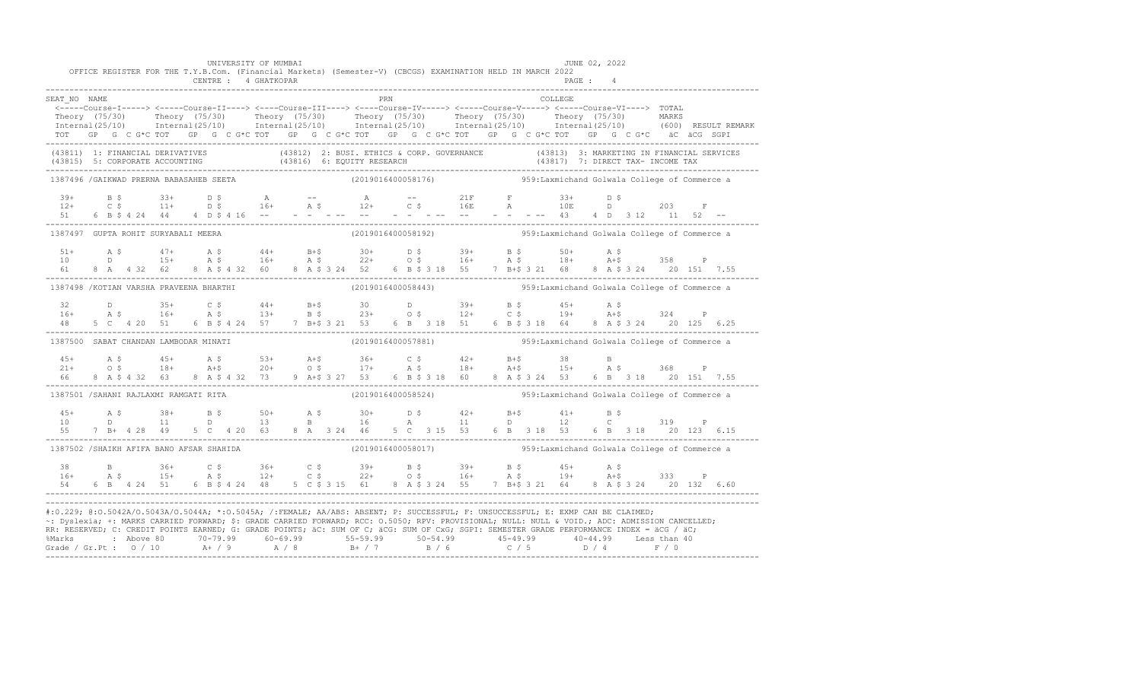|                                          |  |                |  |  | UNIVERSITY OF MUMBAI       |  |     |  |  |                                                                                                                                                                                                                                                                                           |         | JUNE 02, 2022 |  |  |  |
|------------------------------------------|--|----------------|--|--|----------------------------|--|-----|--|--|-------------------------------------------------------------------------------------------------------------------------------------------------------------------------------------------------------------------------------------------------------------------------------------------|---------|---------------|--|--|--|
|                                          |  |                |  |  | CENTRE : 4 GHATKOPAR       |  |     |  |  | OFFICE REGISTER FOR THE T.Y.B.Com. (Financial Markets) (Semester-V) (CBCGS) EXAMINATION HELD IN MARCH 2022                                                                                                                                                                                |         | PAGE: 4       |  |  |  |
|                                          |  |                |  |  |                            |  |     |  |  |                                                                                                                                                                                                                                                                                           |         |               |  |  |  |
| SEAT NO NAME                             |  |                |  |  |                            |  | PRN |  |  | <-----Course-I-----> <----Course-II----> <----Course-III----> <----Course-IV----> <----Course-V-----> <----Course-VI----> TOTAL                                                                                                                                                           | COLLEGE |               |  |  |  |
|                                          |  |                |  |  |                            |  |     |  |  |                                                                                                                                                                                                                                                                                           |         |               |  |  |  |
|                                          |  |                |  |  |                            |  |     |  |  | Theory (75/30) Theory (75/30) Theory (75/30) Theory (75/30) Theory (75/30) Theory (75/30) MARKS<br>Internal(25/10) Internal(25/10) Internal(25/10) Internal(25/10) Internal(25/10) Internal(25/10) (600) RESULTREMARK                                                                     |         |               |  |  |  |
|                                          |  |                |  |  |                            |  |     |  |  | TOT GP G C G*C TOT GP G C G*C TOT GP G C G*C TOT GP G C G*C TOT GP G C G*C TOT GP G C G*C äC äCG SGPI                                                                                                                                                                                     |         |               |  |  |  |
|                                          |  |                |  |  |                            |  |     |  |  | (43811) 1: FINANCIAL DERIVATIVES (43812) 2: BUSI. ETHICS & CORP. GOVERNANCE (43813) 3: MARKETING IN FINANCIAL SERVICES<br>(43815) 5: CORPORATE ACCOUNTING (43816) 6: EQUITY RESEARCH (43817) 7: DIRECT TAX- INCOME TAX<br>----------                                                      |         |               |  |  |  |
|                                          |  |                |  |  |                            |  |     |  |  |                                                                                                                                                                                                                                                                                           |         |               |  |  |  |
| 1387496 / GAIKWAD PRERNA BABASAHEB SEETA |  |                |  |  |                            |  |     |  |  | $(2019016400058176)$ 959:Laxmichand Golwala College of Commerce a                                                                                                                                                                                                                         |         |               |  |  |  |
|                                          |  |                |  |  | $39+$ B \$ $33+$ D \$ A -- |  |     |  |  | A -- 21F F 33+ D \$                                                                                                                                                                                                                                                                       |         |               |  |  |  |
|                                          |  |                |  |  |                            |  |     |  |  |                                                                                                                                                                                                                                                                                           |         |               |  |  |  |
|                                          |  |                |  |  |                            |  |     |  |  |                                                                                                                                                                                                                                                                                           |         |               |  |  |  |
| 1387497 GUPTA ROHIT SURYABALI MEERA      |  |                |  |  |                            |  |     |  |  | (2019016400058192) 959: Laxmichand Golwala College of Commerce a                                                                                                                                                                                                                          |         |               |  |  |  |
|                                          |  |                |  |  |                            |  |     |  |  |                                                                                                                                                                                                                                                                                           |         |               |  |  |  |
|                                          |  |                |  |  |                            |  |     |  |  |                                                                                                                                                                                                                                                                                           |         |               |  |  |  |
|                                          |  |                |  |  |                            |  |     |  |  | 61 8 A 4 32 62 8 A \$ 4 32 60 8 A \$ 3 24 52 6 B \$ 3 18 55 7 B+\$ 3 21 68 8 A \$ 3 24 20 151 7.55                                                                                                                                                                                        |         |               |  |  |  |
| 1387498 /KOTIAN VARSHA PRAVEENA BHARTHI  |  |                |  |  |                            |  |     |  |  | $(2019016400058443)$ 959: Laxmichand Golwala College of Commerce a                                                                                                                                                                                                                        |         |               |  |  |  |
|                                          |  |                |  |  |                            |  |     |  |  |                                                                                                                                                                                                                                                                                           |         |               |  |  |  |
|                                          |  |                |  |  |                            |  |     |  |  | $32$ D $35+$ C \$ 44+ B+\$ 30 D $39+$ B \$ 45+ A \$<br>16+ A \$ 16+ A \$ 13+ B \$ 23+ O \$ 12+ C \$ 19+ A+\$ 324 P                                                                                                                                                                        |         |               |  |  |  |
|                                          |  | 48 5 C 4 20 51 |  |  |                            |  |     |  |  | 6 B \$ 4 24 57 7 B + \$ 3 21 53 6 B 3 18 51 6 B \$ 3 18 64 8 A \$ 3 24 20 125 6.25                                                                                                                                                                                                        |         |               |  |  |  |
| 1387500 SABAT CHANDAN LAMBODAR MINATI    |  |                |  |  |                            |  |     |  |  | (2019016400057881) 959: Laxmichand Golwala College of Commerce a                                                                                                                                                                                                                          |         |               |  |  |  |
|                                          |  |                |  |  |                            |  |     |  |  |                                                                                                                                                                                                                                                                                           |         |               |  |  |  |
|                                          |  |                |  |  |                            |  |     |  |  | $21+$ a $5$ a $45+$ a $5$ a $53+$ a $5+$ a $5+$ a $5+$ a $5+$ a $5+$ a $5+$ a $5+$ a $5+$ a $5+$ a $5+$ a $5+$ a $5+$ a $5+$ a $5+$ a $5+$ a $5+$ a $5+$ a $5+$ a $5+$ a $5+$ a $5+$ a $5+$ a $5+$ a $5+$ a $5+$ a $5+$ a $5+$                                                            |         |               |  |  |  |
| 66 6                                     |  |                |  |  |                            |  |     |  |  | 8 A \$ 4 32 63 8 A \$ 4 32 73 9 A + \$ 3 27 53 6 B \$ 3 18 60 8 A \$ 3 24 53 6 B 3 18 20 151 7.55                                                                                                                                                                                         |         |               |  |  |  |
| 1387501 /SAHANI RAJLAXMI RAMGATI RITA    |  |                |  |  |                            |  |     |  |  | (2019016400058524) 959: Laxmichand Golwala College of Commerce a                                                                                                                                                                                                                          |         |               |  |  |  |
|                                          |  |                |  |  |                            |  |     |  |  |                                                                                                                                                                                                                                                                                           |         |               |  |  |  |
|                                          |  |                |  |  |                            |  |     |  |  |                                                                                                                                                                                                                                                                                           |         |               |  |  |  |
| 55                                       |  | 7 B+ 4 28 49   |  |  |                            |  |     |  |  | 5 C  4 20  63  8  A  3  44  5  C  3  15  53  6  B  3  18  53  6  B  3  18  20  123  6.15                                                                                                                                                                                                  |         |               |  |  |  |
| 1387502 /SHAIKH AFIFA BANO AFSAR SHAHIDA |  |                |  |  |                            |  |     |  |  | (2019016400058017) 959: Laxmichand Golwala College of Commerce a                                                                                                                                                                                                                          |         |               |  |  |  |
|                                          |  |                |  |  |                            |  |     |  |  |                                                                                                                                                                                                                                                                                           |         |               |  |  |  |
|                                          |  |                |  |  |                            |  |     |  |  | $16+$ $36+$ $36+$ $36+$ $39+$ $39+$ $55+$ $54+$ $55+$ $56+$ $56+$ $57+$ $58+$ $59+$ $59+$ $59+$ $59+$ $59+$ $59+$ $59+$ $59+$ $59+$ $59+$ $59+$ $59+$ $59+$ $59+$ $59+$ $59+$ $59+$ $59+$ $59+$ $59+$ $59+$ $59+$ $59+$ $59+$                                                             |         |               |  |  |  |
|                                          |  |                |  |  |                            |  |     |  |  | 54 6 B 4 24 51 6 B \$ 4 24 48 5 C \$ 3 15 61 8 A \$ 3 24 55 7 B+\$ 3 21 64 8 A \$ 3 24 20 132 6.60                                                                                                                                                                                        |         |               |  |  |  |
|                                          |  |                |  |  |                            |  |     |  |  |                                                                                                                                                                                                                                                                                           |         |               |  |  |  |
|                                          |  |                |  |  |                            |  |     |  |  | #:0.229; @:0.5042A/0.5043A/0.5044A; *:0.5045A; /:FEMALE; AA/ABS: ABSENT; P: SUCCESSFUL; F: UNSUCCESSFUL; E: EXMP CAN BE CLAIMED;                                                                                                                                                          |         |               |  |  |  |
|                                          |  |                |  |  |                            |  |     |  |  | ~: Dyslexia; +: MARKS CARRIED FORWARD; \$: GRADE CARRIED FORWARD; RCC: 0.5050; RPV: PROVISIONAL; NULL: NULL: AULL: ADC: ADMISSION CANCELLED;<br>RR: RESERVED; C: CREDIT POINTS EARNED; G: GRADE POINTS; äC: SUM OF C; äCG: SUM OF CxG; SGPI: SEMESTER GRADE PERFORMANCE INDEX = äCG / äC; |         |               |  |  |  |
|                                          |  |                |  |  |                            |  |     |  |  |                                                                                                                                                                                                                                                                                           |         |               |  |  |  |
|                                          |  |                |  |  |                            |  |     |  |  | % Marks : Above 80 70-79.99 60-69.99 55-59.99 50-54.99 45-49.99 40-44.99 Less than 40<br>Grade / Gr.Pt : 0 / 10 A+ / 9 A / 8 B+ / 7 B / 6 C / 5 D / 4 F / 0                                                                                                                               |         |               |  |  |  |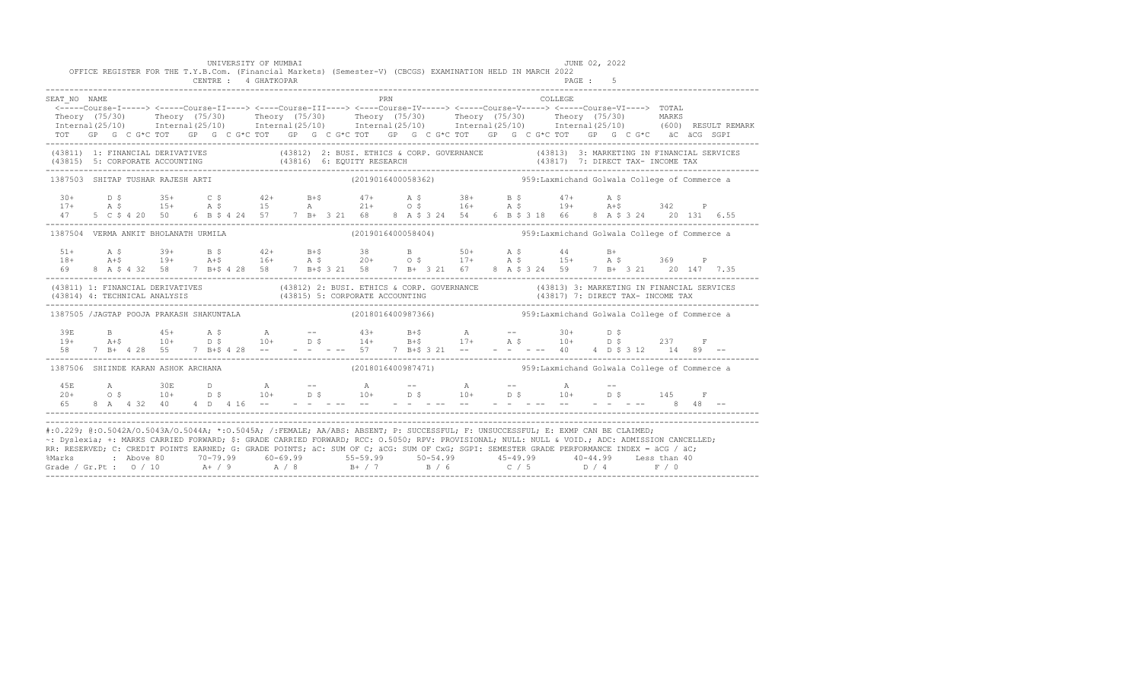|                                                                                                                                                                                                                                                                                                                                                                                                                                                                                                                                                                                               |  |  |  | UNIVERSITY OF MUMBAI<br>CENTRE : 4 GHATKOPAR |  |  | OFFICE REGISTER FOR THE T.Y.B.Com. (Financial Markets) (Semester-V) (CBCGS) EXAMINATION HELD IN MARCH 2022                                                                                                                                                                                                                                                                                                                               |  |  |          | JUNE 02, 2022<br>PAGE: 5 |  |  |  |
|-----------------------------------------------------------------------------------------------------------------------------------------------------------------------------------------------------------------------------------------------------------------------------------------------------------------------------------------------------------------------------------------------------------------------------------------------------------------------------------------------------------------------------------------------------------------------------------------------|--|--|--|----------------------------------------------|--|--|------------------------------------------------------------------------------------------------------------------------------------------------------------------------------------------------------------------------------------------------------------------------------------------------------------------------------------------------------------------------------------------------------------------------------------------|--|--|----------|--------------------------|--|--|--|
| SEAT NO NAME                                                                                                                                                                                                                                                                                                                                                                                                                                                                                                                                                                                  |  |  |  |                                              |  |  | <b>PRN</b>                                                                                                                                                                                                                                                                                                                                                                                                                               |  |  | COLLEGE. |                          |  |  |  |
|                                                                                                                                                                                                                                                                                                                                                                                                                                                                                                                                                                                               |  |  |  |                                              |  |  | <-----Course-I-----> <-----Course-II----> <----Course-III----> <----Course-IV-----> <-----Course-V-----> TOTAL                                                                                                                                                                                                                                                                                                                           |  |  |          |                          |  |  |  |
|                                                                                                                                                                                                                                                                                                                                                                                                                                                                                                                                                                                               |  |  |  |                                              |  |  | Theory (75/30) Theory (75/30) Theory (75/30) Theory (75/30) Theory (75/30) Theory (75/30) MARKS<br>Internal(25/10) Internal(25/10) Internal(25/10) Internal(25/10) Internal(25/10) Internal(25/10) (600)RESULTREMARK                                                                                                                                                                                                                     |  |  |          |                          |  |  |  |
|                                                                                                                                                                                                                                                                                                                                                                                                                                                                                                                                                                                               |  |  |  |                                              |  |  |                                                                                                                                                                                                                                                                                                                                                                                                                                          |  |  |          |                          |  |  |  |
|                                                                                                                                                                                                                                                                                                                                                                                                                                                                                                                                                                                               |  |  |  |                                              |  |  | TOT GP G C G*C TOT GP G C G*C TOT GP G C G*C TOT GP G C G*C TOT GP G C G*C TOT GP G C G*C äC äCG SGPI                                                                                                                                                                                                                                                                                                                                    |  |  |          |                          |  |  |  |
|                                                                                                                                                                                                                                                                                                                                                                                                                                                                                                                                                                                               |  |  |  |                                              |  |  | (43811) 1: FINANCIAL DERIVATIVES (43812) 2: BUSI. ETHICS & CORP. GOVERNANCE (43813) 3: MARKETING IN FINANCIAL SERVICES<br>$(43815) \quad 5: CORPORTE ACCOUNTING$ $(43816) \quad 6: EQUITY RESEARCH$ $(43817) \quad 7: DIRECT TAX- INCOME TAX$ $(43819) \quad 7: DIRECT TAX- INCOME TAX$                                                                                                                                                  |  |  |          |                          |  |  |  |
| 1387503 SHITAP TUSHAR RAJESH ARTI                                                                                                                                                                                                                                                                                                                                                                                                                                                                                                                                                             |  |  |  |                                              |  |  | (2019016400058362) 959: Laxmichand Golwala College of Commerce a                                                                                                                                                                                                                                                                                                                                                                         |  |  |          |                          |  |  |  |
|                                                                                                                                                                                                                                                                                                                                                                                                                                                                                                                                                                                               |  |  |  |                                              |  |  |                                                                                                                                                                                                                                                                                                                                                                                                                                          |  |  |          |                          |  |  |  |
| $30+$                                                                                                                                                                                                                                                                                                                                                                                                                                                                                                                                                                                         |  |  |  |                                              |  |  | D \$ 35+ C \$ 42+ B+\$ 47+ A \$ 38+ B \$ 47+ A \$                                                                                                                                                                                                                                                                                                                                                                                        |  |  |          |                          |  |  |  |
| 47                                                                                                                                                                                                                                                                                                                                                                                                                                                                                                                                                                                            |  |  |  |                                              |  |  | $17+ \qquad A \hspace{0.1cm} \hat{\succ} \hspace{0.1cm} 15+ \qquad A \hspace{0.1cm} \hat{\succ} \hspace{0.1cm} 15+ \qquad A \hspace{0.1cm} \succ \hspace{0.1cm} 21+ \qquad 0 \hspace{0.1cm} \hat{\succ} \hspace{0.1cm} 16+ \qquad A \hspace{0.1cm} \hat{\succ} \hspace{0.1cm} 19+ \qquad A+\hat{\succ} \hspace{0.1cm} 342 \qquad P$<br>5 C \$ 4 20 50 6 B \$ 4 24 57 7 B + 3 21 68 8 A \$ 3 24 54 6 B \$ 3 18 66 8 A \$ 3 24 20 131 6.55 |  |  |          |                          |  |  |  |
|                                                                                                                                                                                                                                                                                                                                                                                                                                                                                                                                                                                               |  |  |  |                                              |  |  |                                                                                                                                                                                                                                                                                                                                                                                                                                          |  |  |          |                          |  |  |  |
| 1387504 VERMA ANKIT BHOLANATH URMILA                                                                                                                                                                                                                                                                                                                                                                                                                                                                                                                                                          |  |  |  |                                              |  |  | (2019016400058404) 959: Laxmichand Golwala College of Commerce a                                                                                                                                                                                                                                                                                                                                                                         |  |  |          |                          |  |  |  |
|                                                                                                                                                                                                                                                                                                                                                                                                                                                                                                                                                                                               |  |  |  |                                              |  |  |                                                                                                                                                                                                                                                                                                                                                                                                                                          |  |  |          |                          |  |  |  |
|                                                                                                                                                                                                                                                                                                                                                                                                                                                                                                                                                                                               |  |  |  |                                              |  |  |                                                                                                                                                                                                                                                                                                                                                                                                                                          |  |  |          |                          |  |  |  |
|                                                                                                                                                                                                                                                                                                                                                                                                                                                                                                                                                                                               |  |  |  |                                              |  |  |                                                                                                                                                                                                                                                                                                                                                                                                                                          |  |  |          |                          |  |  |  |
|                                                                                                                                                                                                                                                                                                                                                                                                                                                                                                                                                                                               |  |  |  |                                              |  |  | (43811) 1: FINANCIAL DERIVATIVES (43812) 2: BUSI. ETHICS & CORP. GOVERNANCE (43813) 3: MARKETING IN FINANCIAL SERVICES<br>(43814) 4: TECHNICAL ANALYSIS (43815) 5: CORPORATE ACCOUNTING (43817) 7: DIRECT TAX- INCOME TAX<br>-------                                                                                                                                                                                                     |  |  |          |                          |  |  |  |
|                                                                                                                                                                                                                                                                                                                                                                                                                                                                                                                                                                                               |  |  |  |                                              |  |  | 1387505 /JAGTAP POOJA PRAKASH SHAKUNTALA (2018016400987366) 959:Laxmichand Golwala College of Commerce a                                                                                                                                                                                                                                                                                                                                 |  |  |          |                          |  |  |  |
|                                                                                                                                                                                                                                                                                                                                                                                                                                                                                                                                                                                               |  |  |  |                                              |  |  |                                                                                                                                                                                                                                                                                                                                                                                                                                          |  |  |          |                          |  |  |  |
|                                                                                                                                                                                                                                                                                                                                                                                                                                                                                                                                                                                               |  |  |  |                                              |  |  |                                                                                                                                                                                                                                                                                                                                                                                                                                          |  |  |          |                          |  |  |  |
|                                                                                                                                                                                                                                                                                                                                                                                                                                                                                                                                                                                               |  |  |  |                                              |  |  | $\begin{array}{cccccccccccccccc} 39\mathbb{E} & \mathbb{B} & 45+ & \mathbb{A} & \mathbb{S} & \mathbb{A} & \mathbb{B} & \mathbb{B} & \mathbb{B} & \mathbb{B} & \mathbb{B} & \mathbb{B} & \mathbb{B} & \mathbb{B} & \mathbb{B} & \mathbb{B} & \mathbb{B} & \mathbb{B} & \mathbb{B} & \mathbb{B} & \mathbb{B} & \mathbb{B} & \mathbb{B} & \mathbb{B} & \mathbb{B} & \mathbb{B} & \mathbb{B} & \mathbb{B} & \mathbb{B} & \mathbb{B}$         |  |  |          |                          |  |  |  |
| 1387506 SHIINDE KARAN ASHOK ARCHANA                                                                                                                                                                                                                                                                                                                                                                                                                                                                                                                                                           |  |  |  |                                              |  |  | (2018016400987471) 959:Laxmichand Golwala College of Commerce a                                                                                                                                                                                                                                                                                                                                                                          |  |  |          |                          |  |  |  |
|                                                                                                                                                                                                                                                                                                                                                                                                                                                                                                                                                                                               |  |  |  |                                              |  |  |                                                                                                                                                                                                                                                                                                                                                                                                                                          |  |  |          |                          |  |  |  |
|                                                                                                                                                                                                                                                                                                                                                                                                                                                                                                                                                                                               |  |  |  |                                              |  |  |                                                                                                                                                                                                                                                                                                                                                                                                                                          |  |  |          |                          |  |  |  |
|                                                                                                                                                                                                                                                                                                                                                                                                                                                                                                                                                                                               |  |  |  |                                              |  |  |                                                                                                                                                                                                                                                                                                                                                                                                                                          |  |  |          |                          |  |  |  |
|                                                                                                                                                                                                                                                                                                                                                                                                                                                                                                                                                                                               |  |  |  |                                              |  |  |                                                                                                                                                                                                                                                                                                                                                                                                                                          |  |  |          |                          |  |  |  |
| #:0.229; @:0.5042A/0.5043A/0.5044A; *:0.5045A; /:FEMALE; AA/ABS: ABSENT; P: SUCCESSFUL; F: UNSUCCESSFUL; E: EXMP CAN BE CLAIMED;<br>~: Dyslexia; +: MARKS CARRIED FORWARD; \$: GRADE CARRIED FORWARD; RCC: 0.5050; RPV: PROVISIONAL; NULL: NULL & VOID.; ADC: ADMISSION CANCELLED;<br>RR: RESERVED; C: CREDIT POINTS EARNED; G: GRADE POINTS; äC: SUM OF C; äCG: SUM OF CxG; SGPI: SEMESTER GRADE PERFORMANCE INDEX = äCG / äC;<br>%Marks : Above 80 70-79.99 60-69.99 55-59.99 50-54.99 45-49.99 40-44.99 Less than 40<br>Grade / Gr.Pt : 0 / 10 A+ / 9 A / 8 B+ / 7 B / 6 C / 5 D / 4 F / 0 |  |  |  |                                              |  |  |                                                                                                                                                                                                                                                                                                                                                                                                                                          |  |  |          |                          |  |  |  |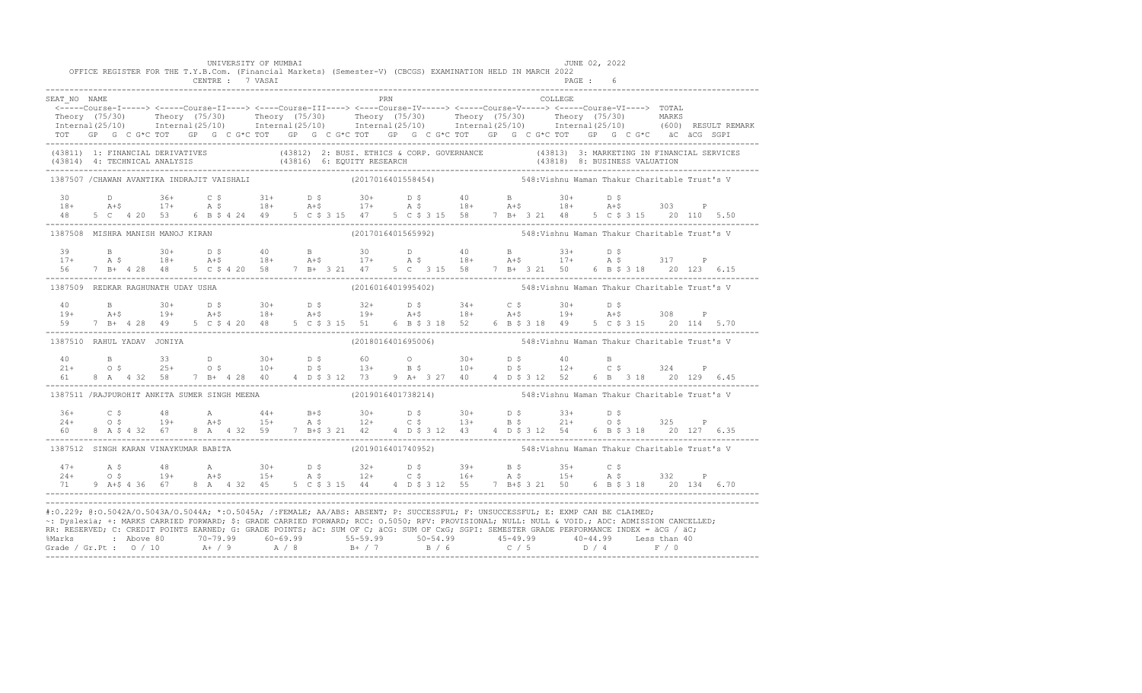|                                              |  |  |  |  | UNIVERSITY OF MUMBAI |  |     |                    |  | OFFICE REGISTER FOR THE T.Y.B.Com. (Financial Markets) (Semester-V) (CBCGS) EXAMINATION HELD IN MARCH 2022                                                                                                                                                                                                                                                                                                                                                                                                                                                                                    |         |         | JUNE 02, 2022 |  |  |
|----------------------------------------------|--|--|--|--|----------------------|--|-----|--------------------|--|-----------------------------------------------------------------------------------------------------------------------------------------------------------------------------------------------------------------------------------------------------------------------------------------------------------------------------------------------------------------------------------------------------------------------------------------------------------------------------------------------------------------------------------------------------------------------------------------------|---------|---------|---------------|--|--|
|                                              |  |  |  |  | CENTRE : 7 VASAI     |  |     |                    |  |                                                                                                                                                                                                                                                                                                                                                                                                                                                                                                                                                                                               |         | PAGE: 6 |               |  |  |
| SEAT NO NAME                                 |  |  |  |  |                      |  | PRN |                    |  |                                                                                                                                                                                                                                                                                                                                                                                                                                                                                                                                                                                               | COLLEGE |         |               |  |  |
|                                              |  |  |  |  |                      |  |     |                    |  | <----Course-I-----> <----Course-II----> <----Course-III----> <----Course-IV-----> <----Course-V-----> <----Course-VI----> TOTAL                                                                                                                                                                                                                                                                                                                                                                                                                                                               |         |         |               |  |  |
|                                              |  |  |  |  |                      |  |     |                    |  | Theory (75/30) Theory (75/30) Theory (75/30) Theory (75/30) Theory (75/30) Theory (75/30) MARKS<br>Internal(25/10) Internal(25/10) Internal(25/10) Internal(25/10) Internal(25/10) Internal(25/10) (600) RESULTREMARK                                                                                                                                                                                                                                                                                                                                                                         |         |         |               |  |  |
|                                              |  |  |  |  |                      |  |     |                    |  |                                                                                                                                                                                                                                                                                                                                                                                                                                                                                                                                                                                               |         |         |               |  |  |
|                                              |  |  |  |  |                      |  |     |                    |  | TOT GP G C G*C TOT GP G C G*C TOT GP G C G*C TOT GP G C G*C TOT GP G C G*C TOT GP G C G*C äC äCG SGPI                                                                                                                                                                                                                                                                                                                                                                                                                                                                                         |         |         |               |  |  |
|                                              |  |  |  |  |                      |  |     |                    |  | (43811) 1: FINANCIAL DERIVATIVES (43812) 2: BUSI. ETHICS & CORP. GOVERNANCE (43813) 3: MARKETING IN FINANCIAL SERVICES<br>(43814) 4: TECHNICAL ANALYSIS (43816) 6: EQUITY RESEARCH (43818) 8: BUSINESS VALUATION<br>----------------                                                                                                                                                                                                                                                                                                                                                          |         |         |               |  |  |
| 1387507 / CHAWAN AVANTIKA INDRAJIT VAISHALI  |  |  |  |  |                      |  |     | (2017016401558454) |  | 548: Vishnu Waman Thakur Charitable Trust's V                                                                                                                                                                                                                                                                                                                                                                                                                                                                                                                                                 |         |         |               |  |  |
|                                              |  |  |  |  |                      |  |     |                    |  |                                                                                                                                                                                                                                                                                                                                                                                                                                                                                                                                                                                               |         |         |               |  |  |
|                                              |  |  |  |  |                      |  |     |                    |  | $18+$ $24+$ $36+$ $25+$ $26+$ $27+$ $28+$ $29+$ $29+$ $29+$ $29+$ $29+$ $29+$ $29+$ $29+$ $29+$ $29+$ $29+$ $29+$ $29+$ $29+$ $29+$ $29+$ $29+$ $29+$ $29+$ $29+$ $29+$ $29+$ $29+$ $29+$ $29+$ $29+$ $29+$ $29+$ $29+$ $29+$                                                                                                                                                                                                                                                                                                                                                                 |         |         |               |  |  |
| 48 5 C 4 20 53                               |  |  |  |  |                      |  |     |                    |  | 6 B \$ 4 24 49 5 C \$ 3 15 47 5 C \$ 3 15 58 7 B + 3 21 48 5 C \$ 3 15 20 110 5.50                                                                                                                                                                                                                                                                                                                                                                                                                                                                                                            |         |         |               |  |  |
| 1387508 MISHRA MANISH MANOJ KIRAN            |  |  |  |  |                      |  |     | (2017016401565992) |  | 548:Vishnu Waman Thakur Charitable Trust's V                                                                                                                                                                                                                                                                                                                                                                                                                                                                                                                                                  |         |         |               |  |  |
|                                              |  |  |  |  |                      |  |     |                    |  |                                                                                                                                                                                                                                                                                                                                                                                                                                                                                                                                                                                               |         |         |               |  |  |
|                                              |  |  |  |  |                      |  |     |                    |  | $17+$ $A \leq 18+$ $A + \leq 18+$ $A + \leq 18+$ $A + \leq 17+$ $A \leq 18+$ $A + \leq 17+$ $A + \leq 17+$ $A \leq 317$ P                                                                                                                                                                                                                                                                                                                                                                                                                                                                     |         |         |               |  |  |
|                                              |  |  |  |  |                      |  |     |                    |  | 56 7 B + 4 28 48 5 C \$ 4 20 58 7 B + 3 21 47 5 C 3 15 58 7 B + 3 21 50 6 B \$ 3 18 20 123 6.15                                                                                                                                                                                                                                                                                                                                                                                                                                                                                               |         |         |               |  |  |
| 1387509 REDKAR RAGHUNATH UDAY USHA           |  |  |  |  |                      |  |     |                    |  |                                                                                                                                                                                                                                                                                                                                                                                                                                                                                                                                                                                               |         |         |               |  |  |
|                                              |  |  |  |  |                      |  |     |                    |  |                                                                                                                                                                                                                                                                                                                                                                                                                                                                                                                                                                                               |         |         |               |  |  |
|                                              |  |  |  |  |                      |  |     |                    |  | $19+$ B $30+$ D \$ $30+$ D \$ $32+$ D \$ $34+$ C \$ $30+$ D \$ $34+$ C \$ $30+$ D \$ $34+$ C \$ $30+$ D \$                                                                                                                                                                                                                                                                                                                                                                                                                                                                                    |         |         |               |  |  |
|                                              |  |  |  |  |                      |  |     |                    |  | 59 7 B + 4 28 49 5 C \$ 4 20 48 5 C \$ 3 15 51 6 B \$ 3 18 52 6 B \$ 3 18 49 5 C \$ 3 15 20 114 5.70                                                                                                                                                                                                                                                                                                                                                                                                                                                                                          |         |         |               |  |  |
| 1387510 RAHUL YADAV JONIYA                   |  |  |  |  |                      |  |     | (2018016401695006) |  | 548: Vishnu Waman Thakur Charitable Trust's V                                                                                                                                                                                                                                                                                                                                                                                                                                                                                                                                                 |         |         |               |  |  |
|                                              |  |  |  |  |                      |  |     |                    |  |                                                                                                                                                                                                                                                                                                                                                                                                                                                                                                                                                                                               |         |         |               |  |  |
|                                              |  |  |  |  |                      |  |     |                    |  | $10$ B $33$ D $30+$ D $5$ 60 O $30+$ D $5$ 40 B<br>$21+$ O $5$ $25+$ O $5$ $10+$ D $5$ $13+$ B $5$ $10+$ D $5$ $12+$ C $5$ $324$ P                                                                                                                                                                                                                                                                                                                                                                                                                                                            |         |         |               |  |  |
|                                              |  |  |  |  |                      |  |     |                    |  | 61 8 A 4 32 58 7 B + 4 28 40 4 D \$ 3 12 73 9 A + 3 27 40 4 D \$ 3 12 52 6 B 3 18 20 129 6.45                                                                                                                                                                                                                                                                                                                                                                                                                                                                                                 |         |         |               |  |  |
| 1387511 /RAJPUROHIT ANKITA SUMER SINGH MEENA |  |  |  |  |                      |  |     |                    |  | (2019016401738214) 548: Vishnu Waman Thakur Charitable Trust's V                                                                                                                                                                                                                                                                                                                                                                                                                                                                                                                              |         |         |               |  |  |
|                                              |  |  |  |  |                      |  |     |                    |  |                                                                                                                                                                                                                                                                                                                                                                                                                                                                                                                                                                                               |         |         |               |  |  |
|                                              |  |  |  |  |                      |  |     |                    |  |                                                                                                                                                                                                                                                                                                                                                                                                                                                                                                                                                                                               |         |         |               |  |  |
| 60 - 10                                      |  |  |  |  |                      |  |     |                    |  | 8 A \$ 4 32 67 8 A 4 32 59 7 B+\$ 3 21 42 4 D \$ 3 12 43 4 D \$ 3 12 54 6 B \$ 3 18 20 127 6.35                                                                                                                                                                                                                                                                                                                                                                                                                                                                                               |         |         |               |  |  |
|                                              |  |  |  |  |                      |  |     |                    |  |                                                                                                                                                                                                                                                                                                                                                                                                                                                                                                                                                                                               |         |         |               |  |  |
| 1387512 SINGH KARAN VINAYKUMAR BABITA        |  |  |  |  |                      |  |     |                    |  | (2019016401740952) 548: Vishnu Waman Thakur Charitable Trust's V                                                                                                                                                                                                                                                                                                                                                                                                                                                                                                                              |         |         |               |  |  |
|                                              |  |  |  |  |                      |  |     |                    |  | $17+$ A \$ 48 A 30+ D \$ 32+ D \$ 39+ B \$ 35+ C \$<br>24+ O \$ 19+ A +\$ 15+ A \$ 12+ C \$ 16+ A \$ 15+ A \$ 332 P                                                                                                                                                                                                                                                                                                                                                                                                                                                                           |         |         |               |  |  |
|                                              |  |  |  |  |                      |  |     |                    |  |                                                                                                                                                                                                                                                                                                                                                                                                                                                                                                                                                                                               |         |         |               |  |  |
| 71 —                                         |  |  |  |  |                      |  |     |                    |  | 9 A+\$ 4 36 67 8 A 4 32 45 5 C \$ 3 15 44 4 D \$ 3 12 55 7 B+\$ 3 21 50 6 B \$ 3 18 20 134 6.70                                                                                                                                                                                                                                                                                                                                                                                                                                                                                               |         |         |               |  |  |
|                                              |  |  |  |  |                      |  |     |                    |  | #:0.229; @:0.5042A/0.5043A/0.5044A; *:0.5045A; /:FEMALE; AA/ABS: ABSENT; P: SUCCESSFUL; F: UNSUCCESSFUL; E: EXMP CAN BE CLAIMED;<br>~: Dyslexia; +: MARKS CARRIED FORWARD; \$: GRADE CARRIED FORWARD; RCC: 0.5050; RPV: PROVISIONAL; NULL: NULL: WOID.; ADC: ADMISSION CANCELLED;<br>RR: RESERVED; C: CREDIT POINTS EARNED; G: GRADE POINTS; äC: SUM OF C; äCG: SUM OF CxG; SGPI: SEMESTER GRADE PERFORMANCE INDEX = äCG / äC;<br>% Marks : Above 80 70-79.99 60-69.99 55-59.99 50-54.99 45-49.99 40-44.99 Less than 40<br>Grade / Gr.Pt : 0 / 10 A+ / 9 A / 8 B+ / 7 B / 6 C / 5 D / 4 F / 0 |         |         |               |  |  |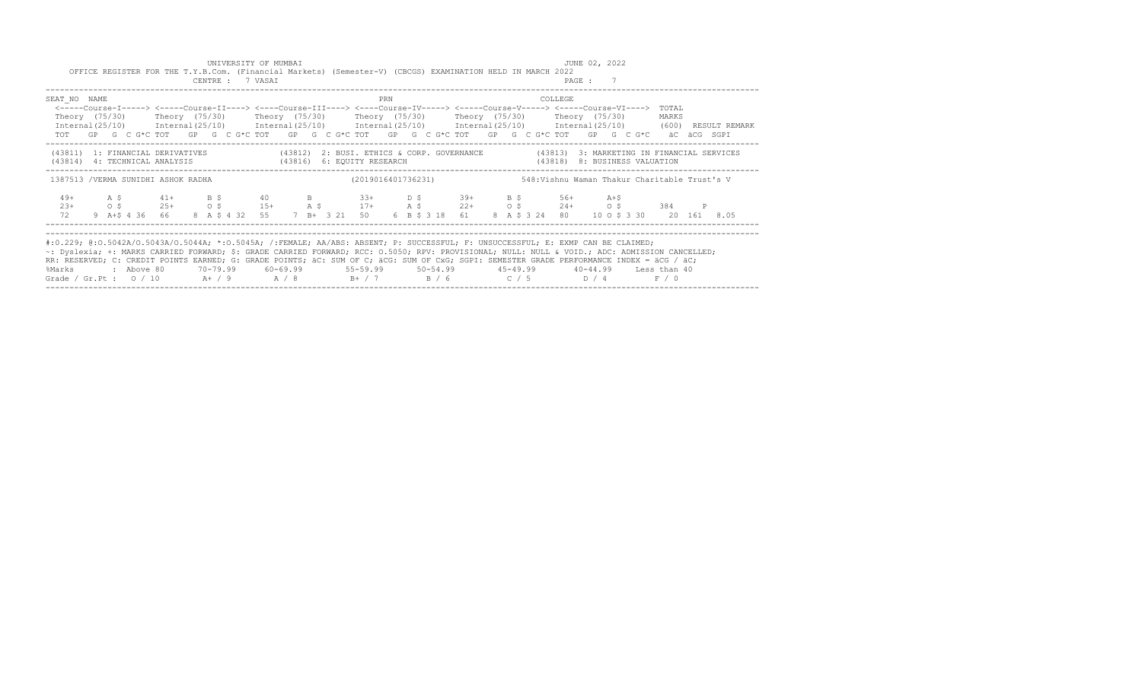| UNIVERSITY OF MUMBAI<br>OFFICE REGISTER FOR THE T.Y.B.Com. (Financial Markets) (Semester-V) (CBCGS) EXAMINATION HELD IN MARCH 2022<br>CENTRE : 7 VASAI                                                                                                                                                                                                                                                                                                                                                                                                                                                                   |                    | JUNE 02, 2022<br>PAGE : 7                                                                                                                                       |
|--------------------------------------------------------------------------------------------------------------------------------------------------------------------------------------------------------------------------------------------------------------------------------------------------------------------------------------------------------------------------------------------------------------------------------------------------------------------------------------------------------------------------------------------------------------------------------------------------------------------------|--------------------|-----------------------------------------------------------------------------------------------------------------------------------------------------------------|
| SEAT NO NAME<br><-----Course-I-----> <-----Course-II----> <----Course-III----> <----Course-IV-----> <----Course-V-----> <----Course-VI----> TOTAL<br>Theory (75/30)    Theory (75/30)    Theory (75/30)    Theory (75/30)    Theory (75/30)    Theory (75/30)<br>Internal(25/10) Internal(25/10) Internal(25/10) Internal(25/10) Internal(25/10) Internal(25/10) (600) RESULT REMARK<br>TOT GP G C G*C TOT GP G C G*C TOT GP G C G*C TOT GP G C G*C TOT GP G C G*C TOT GP G C G*C äC äCG SGPI                                                                                                                            | PRN                | COLLEGE<br>MARKS                                                                                                                                                |
| (43811) 1: FINANCIAL DERIVATIVES (43812) 2: BUSI. ETHICS & CORP. GOVERNANCE (43813) 3: MARKETING IN FINANCIAL SERVICES<br>(43814) 4: TECHNICAL ANALYSIS (43816) 6: EQUITY RESEARCH                                                                                                                                                                                                                                                                                                                                                                                                                                       |                    | (43818) 8: BUSINESS VALUATION                                                                                                                                   |
| 1387513 /VERMA SUNIDHI ASHOK RADHA                                                                                                                                                                                                                                                                                                                                                                                                                                                                                                                                                                                       | (2019016401736231) | 548: Vishnu Waman Thakur Charitable Trust's V                                                                                                                   |
| A \$ 41+ B \$ 40 B 33+ D \$ 39+ B \$ 56+ A+\$<br>$49+$<br>$23+$<br>$\circ$ $\circ$<br>72                                                                                                                                                                                                                                                                                                                                                                                                                                                                                                                                 |                    | $25+$ 0 \$ $15+$ A \$ $17+$ A \$ $22+$ 0 \$ $24+$ 0 \$ 384<br>9 A+\$ 4 36 66 8 A \$ 4 32 55 7 B+ 3 21 50 6 B \$ 3 18 61 8 A \$ 3 24 80 10 0 \$ 3 30 20 161 8.05 |
| #:0.229; @:0.5042A/0.5043A/0.5044A; *:0.5045A; /:FEMALE; AA/ABS: ABSENT; P: SUCCESSFUL; F: UNSUCCESSFUL; E: EXMP CAN BE CLAIMED;<br>~: Dyslexia; +: MARKS CARRIED FORWARD; \$: GRADE CARRIED FORWARD; RCC: 0.5050; RPV: PROVISIONAL; NULL: NULL & VOID.; ADC: ADMISSION CANCELLED;<br>RR: RESERVED; C: CREDIT POINTS EARNED; G: GRADE POINTS; äC: SUM OF C; äCG: SUM OF CxG; SGPI: SEMESTER GRADE PERFORMANCE INDEX = äCG / äC;<br>: Above 80    70-79.99    60-69.99     55-59.99     50-54.99     45-49.99     40-44.99   Less than 40<br>%Marks<br>Grade / Gr.Pt : $0/10$ A+ / 9 A / 8 B+ / 7 B / 6 C / 5 D / 4 F / 0 |                    |                                                                                                                                                                 |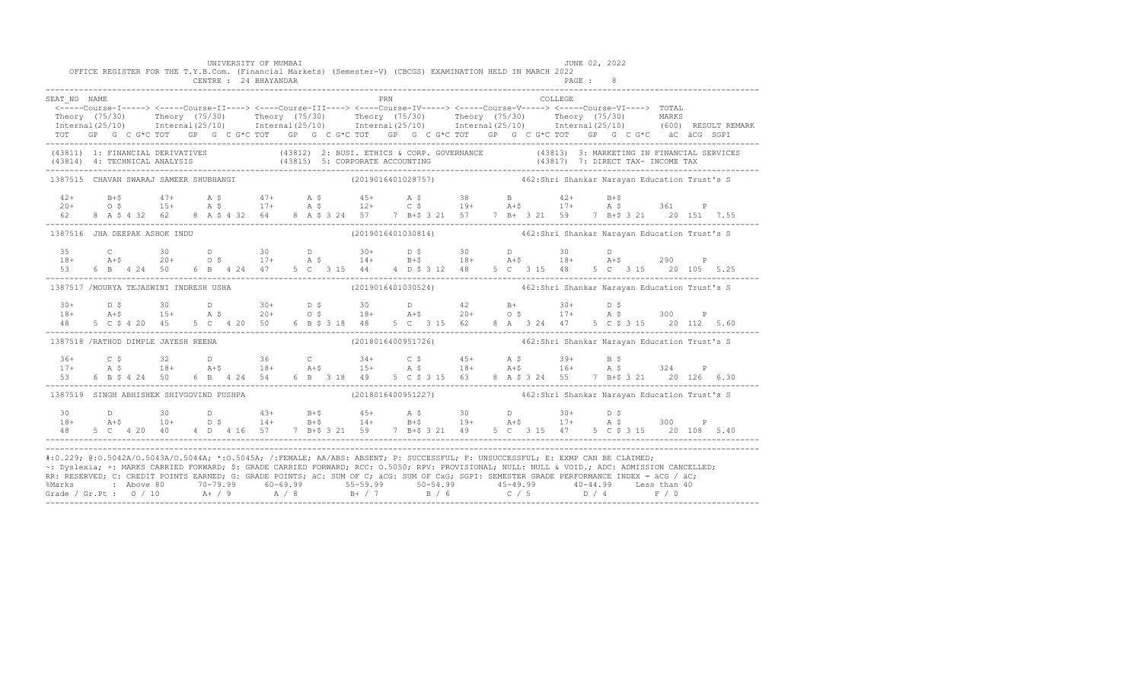|                                          |  |  |  | UNIVERSITY OF MUMBAI<br>CENTRE : 24 BHAYANDAR |  |  |     | OFFICE REGISTER FOR THE T.Y.B.Com. (Financial Markets) (Semester-V) (CBCGS) EXAMINATION HELD IN MARCH 2022                                                                                                                                                                                                                                                                                                                                                                                                                                                                                          |  |  |          | JUNE 02, 2022<br>PAGE : |  |  |  |
|------------------------------------------|--|--|--|-----------------------------------------------|--|--|-----|-----------------------------------------------------------------------------------------------------------------------------------------------------------------------------------------------------------------------------------------------------------------------------------------------------------------------------------------------------------------------------------------------------------------------------------------------------------------------------------------------------------------------------------------------------------------------------------------------------|--|--|----------|-------------------------|--|--|--|
| SEAT NO NAME                             |  |  |  |                                               |  |  | PRN | <-----Course-I-----> <-----Course-II----> <----Course-III----> <----Course-IV-----> <----Course-V-----> <-----Course-VI----> TOTAL<br>Theory (75/30) Theory (75/30) Theory (75/30) Theory (75/30) Theory (75/30) Theory (75/30) MARKS<br>Internal(25/10) Internal(25/10) Internal(25/10) Internal(25/10) Internal(25/10) Internal(25/10) (600) RESULTREMARK<br>TOT GP G C G*C TOT GP G C G*C TOT GP G C G*C TOT GP G C G*C TOT GP G C G*C TOT GP G C G*C äC äCG SGPI                                                                                                                                |  |  | COLLEGE. |                         |  |  |  |
|                                          |  |  |  |                                               |  |  |     | (43811) 1: FINANCIAL DERIVATIVES (43812) 2: BUSI. ETHICS & CORP. GOVERNANCE (43813) 3: MARKETING IN FINANCIAL SERVICES (43814) 4: TECHNICAL ANALYSIS (43815) 5: CORPORATE ACCOUNTING (43817) 7: DIRECT TAX- INCOME TAX (43814)                                                                                                                                                                                                                                                                                                                                                                      |  |  |          |                         |  |  |  |
| 1387515 CHAVAN SWARAJ SAMEER SHUBHANGI   |  |  |  |                                               |  |  |     | (2019016401028757) 462:Shri Shankar Narayan Education Trust's S                                                                                                                                                                                                                                                                                                                                                                                                                                                                                                                                     |  |  |          |                         |  |  |  |
|                                          |  |  |  |                                               |  |  |     | $20+$ B+\$ $47+$ A \$ $47+$ A \$ $45+$ A \$ $38$ B $42+$ B+\$<br>$20+$ O \$ 15+ A \$ 17+ A \$ 12+ C \$ 19+ A+\$ 17+ A \$ 361 P<br>62 8 A \$ 4 32 62 8 A \$ 4 32 64 8 A \$ 3 24 57 7 B+\$ 3 21 57 7 B+ 3 21 59 7 B+\$ 3 21 20 151 7.55                                                                                                                                                                                                                                                                                                                                                               |  |  |          |                         |  |  |  |
| 1387516 JHA DEEPAK ASHOK INDU            |  |  |  |                                               |  |  |     | (2019016401030814)  462:Shri Shankar Narayan Education Trust's S                                                                                                                                                                                                                                                                                                                                                                                                                                                                                                                                    |  |  |          |                         |  |  |  |
|                                          |  |  |  |                                               |  |  |     | $20 + 30$<br>$18 + 345$<br>$20 + 20 + 05$<br>$53 + 6424$<br>$50 + 6424$<br>$51 + 345$<br>$52 + 30$<br>$53 + 18 + 345$<br>$54 + 545$<br>$55 + 18 + 18 + 51$<br>$56 + 18 + 51$<br>$57 + 18 + 18 + 51$<br>$58 + 18 + 18 + 51$<br>$590 + 515$<br>$515 + 20105$<br>$515 + 20105$<br>$515 + 2$                                                                                                                                                                                                                                                                                                            |  |  |          |                         |  |  |  |
| 1387517 /MOURYA TEJASWINI INDRESH USHA   |  |  |  |                                               |  |  |     | (2019016401030524)   462:Shri Shankar Narayan Education Trust's S                                                                                                                                                                                                                                                                                                                                                                                                                                                                                                                                   |  |  |          |                         |  |  |  |
|                                          |  |  |  |                                               |  |  |     | $18+$ $15+$ $15+$ $15+$ $15+$ $15+$ $15+$ $15+$ $15+$ $15+$ $15+$ $15+$ $15+$ $15+$ $15+$ $15+$ $15+$ $15+$ $15+$ $15+$ $15+$ $15+$ $15+$ $15+$ $15+$ $15+$ $15+$ $15+$ $15+$ $15+$ $15+$ $15+$ $15+$ $15+$ $15+$ $15+$ $15+$<br>48 5 C \$ 4 20 45 5 C 4 20 50 6 B \$ 3 18 48 5 C 3 15 62 8 A 3 24 47 5 C \$ 3 15 20 112 5.60                                                                                                                                                                                                                                                                       |  |  |          |                         |  |  |  |
| 1387518 /RATHOD DIMPLE JAYESH REENA      |  |  |  |                                               |  |  |     | (2018016400951726)  462: Shri Shankar Narayan Education Trust's S                                                                                                                                                                                                                                                                                                                                                                                                                                                                                                                                   |  |  |          |                         |  |  |  |
|                                          |  |  |  |                                               |  |  |     | $17+$ a $5$ $18+$ a $18+$ a $18+$ a $18+$ a $15+$ a $5$ $18+$ a $5$ $18+$ a $5$ $18+$ a $5$ $18+$ a $5$ $18+$ a $5$ $18+$ a $5$ $18+$ a $5$ $18+$ a $5$ $18+$ a $5$ $18+$ a $5$ $18+$ a $5$ $18+$ a $5$ $18+$ a $5$ $18+$ a                                                                                                                                                                                                                                                                                                                                                                         |  |  |          |                         |  |  |  |
| 1387519 SINGH ABHISHEK SHIVGOVIND PUSHPA |  |  |  |                                               |  |  |     |                                                                                                                                                                                                                                                                                                                                                                                                                                                                                                                                                                                                     |  |  |          |                         |  |  |  |
|                                          |  |  |  |                                               |  |  |     | 30 D 30 D 43+ B+\$ 45+ A \$ 30 D 30+ D \$<br>18+ A+\$ 10+ D \$ 14+ B+\$ 14+ B+\$ 19+ A+\$ 17+ A \$ 300 P<br>48 5 C 4 20 40 4 D 4 16 57 7 B+\$ 3 21 59 7 B+\$ 3 21 49 5 C 3 15 47 5 C \$ 3 15 20 108 5.40                                                                                                                                                                                                                                                                                                                                                                                            |  |  |          |                         |  |  |  |
|                                          |  |  |  |                                               |  |  |     | #:0.229; @:0.5042A/0.5043A/0.5044A; *:0.5045A; /:FEMALE; AA/ABS: ABSENT; P: SUCCESSFUL; F: UNSUCCESSFUL; E: EXMP CAN BE CLAIMED;<br>~: Dyslexia; +: MARKS CARRIED FORWARD; \$: GRADE CARRIED FORWARD; RCC: 0.5050; RPV: PROVISIONAL; NULL: NULL: NULL & VOID.; ADC: ADMISSION CANCELLED;<br>RR: RESERVED; C: CREDIT POINTS EARNED; G: GRADE POINTS; äC: SUM OF C; äCG: SUM OF CxG; SGPI: SEMESTER GRADE PERFORMANCE INDEX = äCG / äC;<br>%Marks : Above 80 70-79.99 60-69.99 55-59.99 50-54.99 45-49.99 40-44.99 Less than 40<br>Grade / Gr.Pt : 0 / 10 A+ / 9 A / 8 B+ / 7 B / 6 C / 5 D / 4 F / 0 |  |  |          |                         |  |  |  |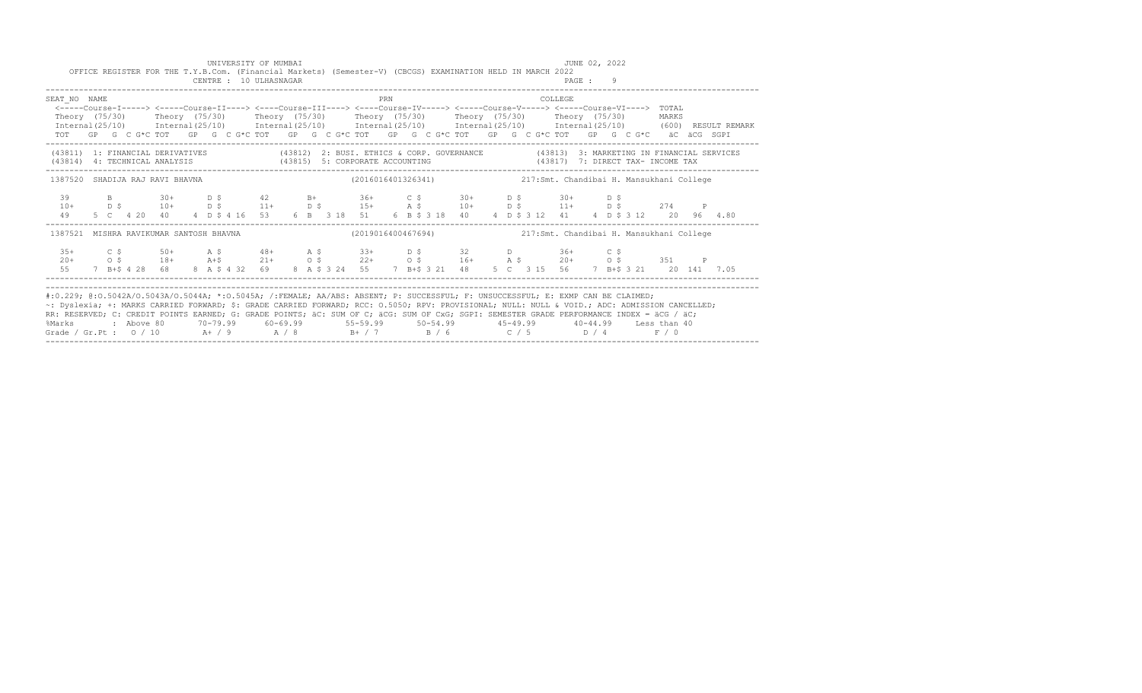|              | OFFICE REGISTER FOR THE T.Y.B.Com. (Financial Markets) (Semester-V) (CBCGS) EXAMINATION HELD IN MARCH 2022                                                                                                                                                                                                                                                                                                                          |  | UNIVERSITY OF MUMBAI<br>CENTRE : 10 ULHASNAGAR |  |  |     |                                                                                                                     |  |  |         | JUNE 02, 2022<br>PAGE : 9 |  |  |  |
|--------------|-------------------------------------------------------------------------------------------------------------------------------------------------------------------------------------------------------------------------------------------------------------------------------------------------------------------------------------------------------------------------------------------------------------------------------------|--|------------------------------------------------|--|--|-----|---------------------------------------------------------------------------------------------------------------------|--|--|---------|---------------------------|--|--|--|
| SEAT NO NAME | <-----Course-I-----> <-----Course-II----> <----Course-III----> <----Course-IV-----> <----Course-V-----> <----Course-VI----> TOTAL<br>Theory (75/30) Theory (75/30) Theory (75/30) Theory (75/30) Theory (75/30) Theory (75/30) MARKS<br>$International (25/10)$ $International (25/10)$ $International (25/10)$ $International (25/10)$ $International (25/10)$ $International (25/10)$ $International (25/10)$ (600) RESULT REMARK |  |                                                |  |  | PRN |                                                                                                                     |  |  | COLLEGE |                           |  |  |  |
|              | TOT GP G C G*C TOT GP G C G*C TOT GP G C G*C TOT GP G C G*C TOT GP G C G*C TOT GP G C G*C aC aCG SGPI                                                                                                                                                                                                                                                                                                                               |  |                                                |  |  |     |                                                                                                                     |  |  |         |                           |  |  |  |
|              | (43811) 1: FINANCIAL DERIVATIVES (43812) 2: BUSI. ETHICS & CORP. GOVERNANCE (43813) 3: MARKETING IN FINANCIAL SERVICES<br>(43814) 4: TECHNICAL ANALYSIS (43815) 5: CORPORATE ACCOUNTING (43817) 7: DIRECT TAX- INCOME TAX                                                                                                                                                                                                           |  |                                                |  |  |     |                                                                                                                     |  |  |         |                           |  |  |  |
|              | 1387520 SHADIJA RAJ RAVI BHAVNA                                                                                                                                                                                                                                                                                                                                                                                                     |  |                                                |  |  |     | (2016016401326341) 217:Smt. Chandibai H. Mansukhani College                                                         |  |  |         |                           |  |  |  |
| $10+$<br>49  | 39 B 30+ D \$ 42 B + 36+ C \$ 30+ D \$ 30+ D \$<br>D \$ 10+ D \$ 11+ D \$ 15+ A \$ 10+ D \$ 11+ D \$ 274 P                                                                                                                                                                                                                                                                                                                          |  |                                                |  |  |     | 5 C  4 20  40  4  D  \$ 4 16  53  6  B  3 18  51  6  B  \$ 3 18  40  4  D  \$ 3 12  41  4  D  \$ 3 12  20  96  4.80 |  |  |         |                           |  |  |  |
| 1387521      | MISHRA RAVIKUMAR SANTOSH BHAVNA                                                                                                                                                                                                                                                                                                                                                                                                     |  |                                                |  |  |     |                                                                                                                     |  |  |         |                           |  |  |  |
|              | $35+$ $C$ \$ $50+$ $A$ \$ $48+$ $A$ \$ $33+$ $D$ \$ $32$ $D$ $36+$ $C$ \$                                                                                                                                                                                                                                                                                                                                                           |  |                                                |  |  |     |                                                                                                                     |  |  |         |                           |  |  |  |
|              | #:0.229; @:0.5042A/0.5043A/0.5044A; *:0.5045A; /:FEMALE; AA/ABS: ABSENT; P: SUCCESSFUL; F: UNSUCCESSFUL; E: EXMP CAN BE CLAIMED;<br>~: Dyslexia; +: MARKS CARRIED FORWARD; \$: GRADE CARRIED FORWARD; RCC: 0.5050; RPV: PROVISIONAL; NULL: NULL & VOID.; ADC: ADMISSION CANCELLED;                                                                                                                                                  |  |                                                |  |  |     |                                                                                                                     |  |  |         |                           |  |  |  |

|                        |            |          |          |          |          |                                                                                                                                           |         | ~: Dyslexia; +: MARKS CARRIED FORWARD; \$: GRADE CARRIED FORWARD; RCC: 0.5050; RPV: PROVISIONAL; NULL: NULL: & VOID.; ADC: ADMISSION CANCELLED; |  |
|------------------------|------------|----------|----------|----------|----------|-------------------------------------------------------------------------------------------------------------------------------------------|---------|-------------------------------------------------------------------------------------------------------------------------------------------------|--|
|                        |            |          |          |          |          | RR: RESERVED; C: CREDIT POINTS EARNED; G: GRADE POINTS; äC: SUM OF C; äCG: SUM OF CxG; SGPI: SEMESTER GRADE PERFORMANCE INDEX = äCG / äC; |         |                                                                                                                                                 |  |
| %Marks                 | : Above 80 | 70-79.99 | 60-69.99 | 55-59.99 | 50-54.99 | 45-49.99                                                                                                                                  | 40-4499 | Less than 40                                                                                                                                    |  |
| Grade / Gr.Pt : $0/10$ |            | $A+$ / 9 | A / R    | R+ / 7   | R / 6    | $C \leftarrow 5$                                                                                                                          | n / 4   | F / 0                                                                                                                                           |  |
|                        |            |          |          |          |          |                                                                                                                                           |         |                                                                                                                                                 |  |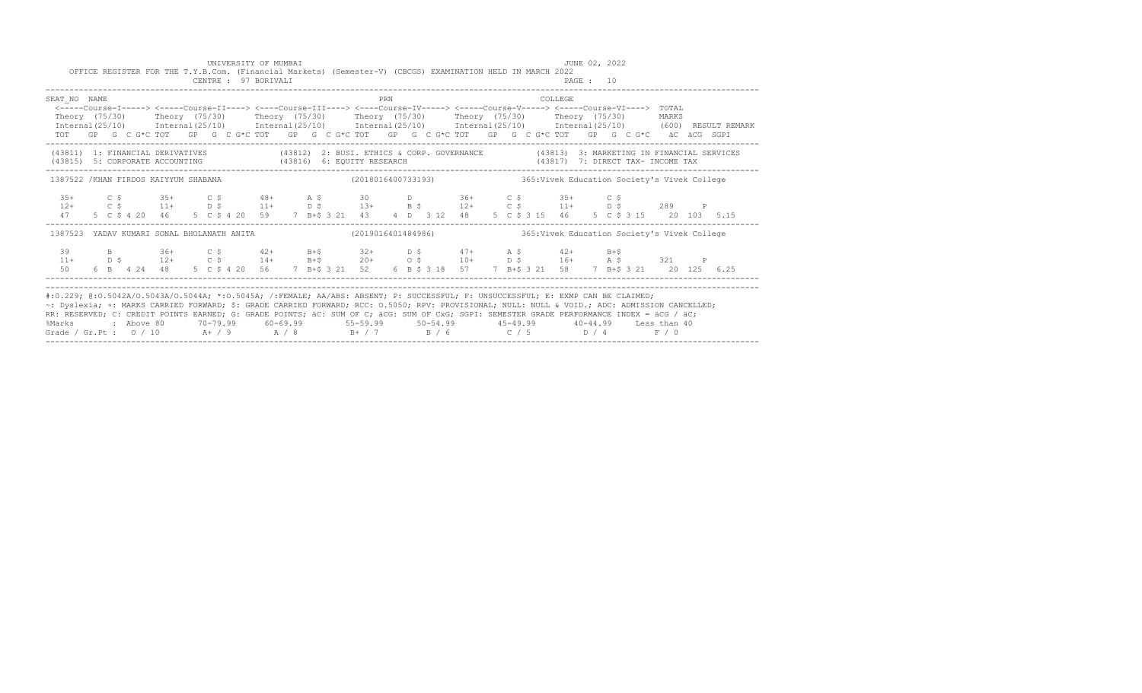|                                                                                                                                                                                                                                                                                                                                                                                                                                                                                                                                                                                                 |  | CENTRE : 97 BORIVALI |  | UNIVERSITY OF MUMBAI |  |  |     |  | OFFICE REGISTER FOR THE T.Y.B.Com. (Financial Markets) (Semester-V) (CBCGS) EXAMINATION HELD IN MARCH 2022                                                                                                                                                                          |  |         | JUNE 02, 2022 |  |  |  |  |
|-------------------------------------------------------------------------------------------------------------------------------------------------------------------------------------------------------------------------------------------------------------------------------------------------------------------------------------------------------------------------------------------------------------------------------------------------------------------------------------------------------------------------------------------------------------------------------------------------|--|----------------------|--|----------------------|--|--|-----|--|-------------------------------------------------------------------------------------------------------------------------------------------------------------------------------------------------------------------------------------------------------------------------------------|--|---------|---------------|--|--|--|--|
| SEAT NO NAME<br>Theory (75/30) Theory (75/30) Theory (75/30) Theory (75/30) Theory (75/30) Theory (75/30) MARKS<br>$Internal(25/10)$ $Internal(25/10)$ $Internal(25/10)$ $Internal(25/10)$ $Internal(25/10)$ $Internal(25/10)$ $Internal(25/10)$ $Internal(25/10)$ (600) RESULT REMARK<br>TOT GP G C G*C TOT GP G C G*C TOT GP G C G*C TOT GP G C G*C TOT GP G C G*C TOT GP G C G*C aC aCG SGPI                                                                                                                                                                                                 |  |                      |  |                      |  |  | PRN |  | <-----Course-I-----> <----Course-II----> <----Course-III----> <----Course-IV-----> <----Course-V-----> <----Course-VI----> TOTAL                                                                                                                                                    |  | COLLEGE |               |  |  |  |  |
| (43811) 1: FINANCIAL DERIVATIVES (43812) 2: BUSI. ETHICS & CORP. GOVERNANCE (43813) 3: MARKETING IN FINANCIAL SERVICES<br>$(43815) \quad 5: \text{ CORPORTE ACCOUNTING} \qquad (43816) \quad 6: \text{ EQUITY RESEARCH}$                                                                                                                                                                                                                                                                                                                                                                        |  |                      |  |                      |  |  |     |  |                                                                                                                                                                                                                                                                                     |  |         |               |  |  |  |  |
| 1387522 /KHAN FIRDOS KAIYYUM SHABANA (2018016400733193) 4365:Vivek Education Society's Vivek College                                                                                                                                                                                                                                                                                                                                                                                                                                                                                            |  |                      |  |                      |  |  |     |  |                                                                                                                                                                                                                                                                                     |  |         |               |  |  |  |  |
|                                                                                                                                                                                                                                                                                                                                                                                                                                                                                                                                                                                                 |  |                      |  |                      |  |  |     |  | $35+$ $C$ $5$ $35+$ $C$ $5$ $48+$ $A$ $5$ $30$ $D$ $36+$ $C$ $5$ $35+$ $C$ $5$<br>$12+$ $C$ $5$ $11+$ $D$ $5$ $11+$ $D$ $5$ $13+$ $B$ $5$ $12+$ $C$ $5$ $11+$ $D$ $5$ $289$ P<br>47 5 C \$ 4 20 46 5 C \$ 4 20 59 7 B+\$ 3 21 43 4 D 3 12 48 5 C \$ 3 15 46 5 C \$ 3 15 20 103 5.15 |  |         |               |  |  |  |  |
| 1387523 YADAV KUMARI SONAL BHOLANATH ANITA (2019016401484986) 365:Vivek Education Society's Vivek College                                                                                                                                                                                                                                                                                                                                                                                                                                                                                       |  |                      |  |                      |  |  |     |  |                                                                                                                                                                                                                                                                                     |  |         |               |  |  |  |  |
|                                                                                                                                                                                                                                                                                                                                                                                                                                                                                                                                                                                                 |  |                      |  |                      |  |  |     |  |                                                                                                                                                                                                                                                                                     |  |         |               |  |  |  |  |
| #:0.229; @:0.5042A/0.5043A/0.5044A; *:0.5045A; /:FEMALE; AA/ABS: ABSENT; P: SUCCESSFUL; F: UNSUCCESSFUL; E: EXMP CAN BE CLAIMED;<br>~: Dyslexia; +: MARKS CARRIED FORWARD; \$: GRADE CARRIED FORWARD; RCC: 0.5050; RPV: PROVISIONAL; NULL: NULL & VOID.; ADC: ADMISSION CANCELLED;<br>RR: RESERVED; C: CREDIT POINTS EARNED; G: GRADE POINTS; äC: SUM OF C; äCG: SUM OF CxG; SGPI: SEMESTER GRADE PERFORMANCE INDEX = äCG / äC;<br>%Marks : Above 80 70-79.99 60-69.99 55-59.99 50-54.99 45-49.99 40-44.99 Less than 40<br>Grade / Gr.Pt : $0/10$ A + / 9 A / 8 B + / 7 B / 6 C / 5 D / 4 F / 0 |  |                      |  |                      |  |  |     |  |                                                                                                                                                                                                                                                                                     |  |         |               |  |  |  |  |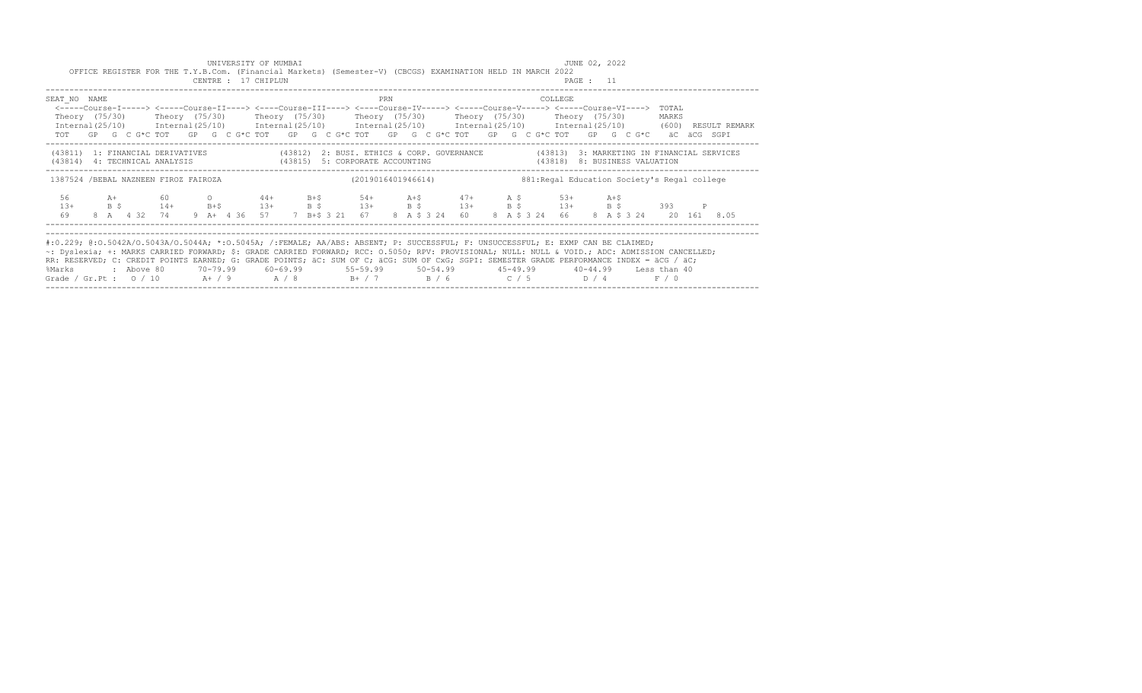| UNIVERSITY OF MUMBAI<br>OFFICE REGISTER FOR THE T.Y.B.Com. (Financial Markets) (Semester-V) (CBCGS) EXAMINATION HELD IN MARCH 2022<br>CENTRE : 17 CHIPLUN                                                                                                                                                                                                                                                                                                                                                                                                                                    |                                                                              | JUNE 02, 2022<br>PAGE : 11                         |  |
|----------------------------------------------------------------------------------------------------------------------------------------------------------------------------------------------------------------------------------------------------------------------------------------------------------------------------------------------------------------------------------------------------------------------------------------------------------------------------------------------------------------------------------------------------------------------------------------------|------------------------------------------------------------------------------|----------------------------------------------------|--|
| SEAT NO NAME<br><-----Course-I-----> <-----Course-II----> <----Course-III----> <----Course-IV-----> <----Course-V-----> <----Course-VI----> TOTAL<br>Theory (75/30)  Theory (75/30)  Theory (75/30)  Theory (75/30)  Theory (75/30)  Theory (75/30)<br>Internal (25/10) Internal (25/10) Internal (25/10) Internal (25/10) Internal (25/10) Internal (25/10) (600) RESULT REMARK<br>TOT GP G C G*C TOT GP G C G*C TOT GP G C G*C TOT GP G C G*C TOT GP G C G*C TOT GP G C G*C äC äCG SGPI                                                                                                    | PRN                                                                          | COLLEGE<br>MARKS                                   |  |
| (43811) 1: FINANCIAL DERIVATIVES (43812) 2: BUSI. ETHICS & CORP. GOVERNANCE (43813) 3: MARKETING IN FINANCIAL SERVICES<br>(43814) 4: TECHNICAL ANALYSIS (43815) 5: CORPORATE ACCOUNTING (43818) 8: BUSINESS VALUATION                                                                                                                                                                                                                                                                                                                                                                        |                                                                              |                                                    |  |
| 1387524 /BEBAL NAZNEEN FIROZ FAIROZA                                                                                                                                                                                                                                                                                                                                                                                                                                                                                                                                                         | (2019016401946614)                                                           | 881: Regal Education Society's Regal college       |  |
| 56 A+ 60 0 44+<br>B \$4+ B+\$13+ B \$13+ B \$13+ B \$13+ B \$13+ B \$393<br>$1.3+$<br>69<br>8 A 4 32 74                                                                                                                                                                                                                                                                                                                                                                                                                                                                                      | $B+5$ 54+ $A+5$ 47+ $A+5$ 53+<br>9 A + 4 36 57 7 B + S 3 21 67 8 A S 3 24 60 | $A+S$<br>8 A \$ 3 24 66<br>8 A \$ 3 24 20 161 8.05 |  |
| #:0.229; @:0.5042A/0.5043A/0.5044A; *:0.5045A; /:FEMALE; AA/ABS: ABSENT; P: SUCCESSFUL; F: UNSUCCESSFUL; E: EXMP CAN BE CLAIMED;<br>~: Dyslexia; +: MARKS CARRIED FORWARD; \$: GRADE CARRIED FORWARD; RCC: 0.5050; RPV: PROVISIONAL; NULL: NULL & VOID.; ADC: ADMISSION CANCELLED;<br>RR: RESERVED; C: CREDIT POINTS EARNED; G: GRADE POINTS; äC: SUM OF C; äCG: SUM OF CxG; SGPI: SEMESTER GRADE PERFORMANCE INDEX = äCG / äC;<br>%Marks : Above 80 70-79.99 60-69.99 55-59.99 50-54.99 45-49.99 40-44.99 Less than 40<br>Grade / Gr.Pt: $0/10$ A+ / 9 A / 8 B+ / 7 B / 6 C / 5 D / 4 F / 0 |                                                                              |                                                    |  |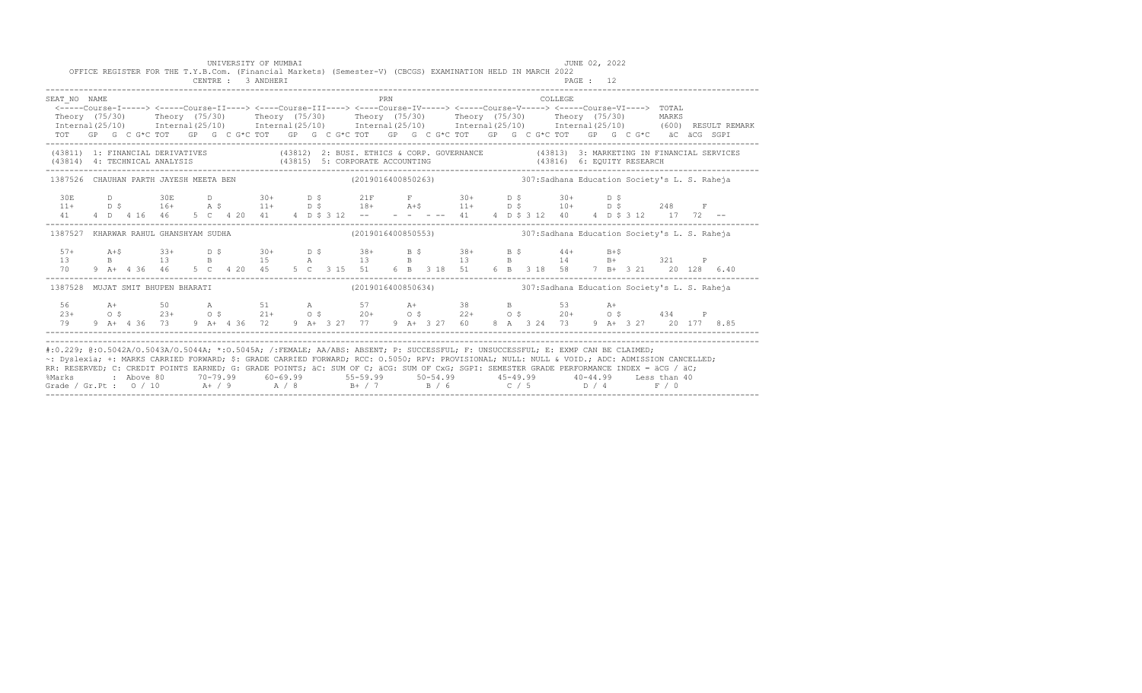|                                                                                                                                                                                                                                                                                                                                                                                                                                                                                                                                                                                                 |  |  |  |  |  | UNIVERSITY OF MUMBAI<br>CENTRE : 3 ANDHERI |  |  |  |  |  | OFFICE REGISTER FOR THE T.Y.B.Com. (Financial Markets) (Semester-V) (CBCGS) EXAMINATION HELD IN MARCH 2022                                                                                                                                                                                   |  |  |          | JUNE 02, 2022<br>PAGE : 12 |  |  |  |  |
|-------------------------------------------------------------------------------------------------------------------------------------------------------------------------------------------------------------------------------------------------------------------------------------------------------------------------------------------------------------------------------------------------------------------------------------------------------------------------------------------------------------------------------------------------------------------------------------------------|--|--|--|--|--|--------------------------------------------|--|--|--|--|--|----------------------------------------------------------------------------------------------------------------------------------------------------------------------------------------------------------------------------------------------------------------------------------------------|--|--|----------|----------------------------|--|--|--|--|
| SEAT NO NAME<br><-----Course-I-----> <-----Course-II----> <----Course-III----> <----Course-IV-----> <----Course-V-----> <----Course-VI----> TOTAL<br>Theory (75/30) Theory (75/30) Theory (75/30) Theory (75/30) Theory (75/30) Theory (75/30) MARKS<br>$Internal(25/10)$ $Internal(25/10)$ $Internal(25/10)$ $Internal(25/10)$ $Internal(25/10)$ $Internal(25/10)$ $Internal(25/10)$ $Internal(25/10)$ $(600)$ $RESULT REMARK$<br>TOT GP G C G*C TOT GP G C G*C TOT GP G C G*C TOT GP G C G*C TOT GP G C G*C TOT GP G C G*C äC äCG SGPI                                                        |  |  |  |  |  |                                            |  |  |  |  |  |                                                                                                                                                                                                                                                                                              |  |  | COLLEGE. |                            |  |  |  |  |
| (43811) 1: FINANCIAL DERIVATIVES (43812) 2: BUSI. ETHICS & CORP. GOVERNANCE (43813) 3: MARKETING IN FINANCIAL SERVICES<br>(43814) 4: TECHNICAL ANALYSIS (43815) 5: CORPORATE ACCOUNTING                                                                                                                                                                                                                                                                                                                                                                                                         |  |  |  |  |  |                                            |  |  |  |  |  |                                                                                                                                                                                                                                                                                              |  |  |          |                            |  |  |  |  |
| 1387526 CHAUHAN PARTH JAYESH MEETA BEN                                                                                                                                                                                                                                                                                                                                                                                                                                                                                                                                                          |  |  |  |  |  |                                            |  |  |  |  |  | (2019016400850263) 307: Sadhana Education Society's L. S. Raheja                                                                                                                                                                                                                             |  |  |          |                            |  |  |  |  |
|                                                                                                                                                                                                                                                                                                                                                                                                                                                                                                                                                                                                 |  |  |  |  |  |                                            |  |  |  |  |  |                                                                                                                                                                                                                                                                                              |  |  |          |                            |  |  |  |  |
| 1387527 KHARWAR RAHUL GHANSHYAM SUDHA                                                                                                                                                                                                                                                                                                                                                                                                                                                                                                                                                           |  |  |  |  |  |                                            |  |  |  |  |  | (2019016400850553) 307: Sadhana Education Society's L. S. Raheja                                                                                                                                                                                                                             |  |  |          |                            |  |  |  |  |
| $57+$<br>13<br>70 — 20                                                                                                                                                                                                                                                                                                                                                                                                                                                                                                                                                                          |  |  |  |  |  |                                            |  |  |  |  |  | $A+5$<br>$B+5$<br>$B+4$<br>$C+4$<br>$D+5$<br>$D+5$<br>$D+5$<br>$D+5$<br>$D+5$<br>$D+5$<br>$D+5$<br>$D+5$<br>$D+5$<br>$D+5$<br>$D+5$<br>$D+5$<br>$D+5$<br>$D+5$<br>$D+5$<br>$D+5$<br>$D+5$<br>$D+5$<br>$D+5$<br>$D+5$<br>$D+5$<br>$D+5$<br>$D+5$<br>$D+5$<br>$D+5$<br>$D+5$<br>$D+5$<br>$D+5$ |  |  |          |                            |  |  |  |  |
| 1387528 MUJAT SMIT BHUPEN BHARATI                                                                                                                                                                                                                                                                                                                                                                                                                                                                                                                                                               |  |  |  |  |  |                                            |  |  |  |  |  | (2019016400850634) 307: Sadhana Education Society's L. S. Raheja                                                                                                                                                                                                                             |  |  |          |                            |  |  |  |  |
|                                                                                                                                                                                                                                                                                                                                                                                                                                                                                                                                                                                                 |  |  |  |  |  |                                            |  |  |  |  |  |                                                                                                                                                                                                                                                                                              |  |  |          |                            |  |  |  |  |
| #:0.229; @:0.5042A/0.5043A/0.5044A; *:0.5045A; /:FEMALE; AA/ABS: ABSENT; P: SUCCESSFUL; F: UNSUCCESSFUL; E: EXMP CAN BE CLAIMED;<br>~: Dyslexia; +: MARKS CARRIED FORWARD; \$: GRADE CARRIED FORWARD; RCC: 0.5050; RPV: PROVISIONAL; NULL: NULL & VOID.; ADC: ADMISSION CANCELLED;<br>RR: RESERVED; C: CREDIT POINTS EARNED; G: GRADE POINTS; äC: SUM OF C; äCG: SUM OF CxG; SGPI: SEMESTER GRADE PERFORMANCE INDEX = äCG / äC;<br>%Marks : Above 80 70-79.99 60-69.99 55-59.99 50-54.99 45-49.99 40-44.99 Less than 40<br>Grade / Gr.Pt : $0/10$ A + / 9 A / 8 B + / 7 B / 6 C / 5 D / 4 F / 0 |  |  |  |  |  |                                            |  |  |  |  |  |                                                                                                                                                                                                                                                                                              |  |  |          |                            |  |  |  |  |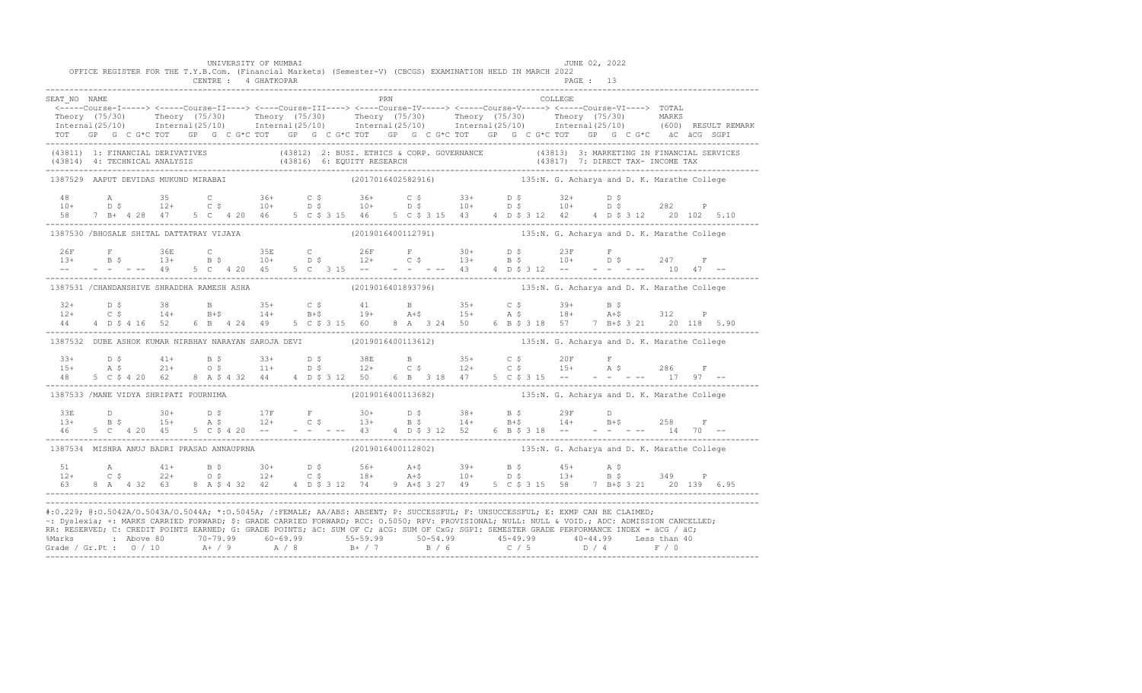|                                            |  |                |  |  | UNIVERSITY OF MUMBAI |  |     | OFFICE REGISTER FOR THE T.Y.B.Com. (Financial Markets) (Semester-V) (CBCGS) EXAMINATION HELD IN MARCH 2022                                                                                                                                                                        |  |  |         | JUNE 02, 2022 |  |  |  |
|--------------------------------------------|--|----------------|--|--|----------------------|--|-----|-----------------------------------------------------------------------------------------------------------------------------------------------------------------------------------------------------------------------------------------------------------------------------------|--|--|---------|---------------|--|--|--|
|                                            |  |                |  |  | CENTRE : 4 GHATKOPAR |  |     |                                                                                                                                                                                                                                                                                   |  |  |         | PAGE: 13      |  |  |  |
| SEAT NO NAME                               |  |                |  |  |                      |  | PRN |                                                                                                                                                                                                                                                                                   |  |  | COLLEGE |               |  |  |  |
|                                            |  |                |  |  |                      |  |     | <-----Course-I-----> <-----Course-II----> <----Course-III----> <----Course-IV-----> <----Course-V-----> <----Course-VI----> TOTAL                                                                                                                                                 |  |  |         |               |  |  |  |
|                                            |  |                |  |  |                      |  |     | Theory (75/30) Theory (75/30) Theory (75/30) Theory (75/30) Theory (75/30) Theory (75/30) MARKS<br>Internal(25/10) Internal(25/10) Internal(25/10) Internal(25/10) Internal(25/10) Internal(25/10) (600) RESULTREMARK                                                             |  |  |         |               |  |  |  |
|                                            |  |                |  |  |                      |  |     | TOT GP G C G*C TOT GP G C G*C TOT GP G C G*C TOT GP G C G*C TOT GP G C G*C TOT GP G C G*C äC äCG SGPI                                                                                                                                                                             |  |  |         |               |  |  |  |
|                                            |  |                |  |  |                      |  |     | (43811) 1: FINANCIAL DERIVATIVES (43812) 2: BUSI. ETHICS & CORP. GOVERNANCE (43813) 3: MARKETING IN FINANCIAL SERVICES (43814) 4: TECHNICAL ANALYSIS (43816) 6: EQUITY RESEARCH (43817) 7: DIRECT TAX- INCOME TAX<br>(43814) 1: D                                                 |  |  |         |               |  |  |  |
| 1387529 AAPUT DEVIDAS MUKUND MIRABAI       |  |                |  |  |                      |  |     | (2017016402582916) 135:N. G. Acharya and D. K. Marathe College                                                                                                                                                                                                                    |  |  |         |               |  |  |  |
|                                            |  |                |  |  |                      |  |     |                                                                                                                                                                                                                                                                                   |  |  |         |               |  |  |  |
|                                            |  |                |  |  |                      |  |     |                                                                                                                                                                                                                                                                                   |  |  |         |               |  |  |  |
|                                            |  |                |  |  |                      |  |     | 58 7 B+ 4 28 47 5 C 4 20 46 5 C \$ 3 15 46 5 C \$ 3 15 43 4 D \$ 3 12 42 4 D \$ 3 12 20 102 5.10                                                                                                                                                                                  |  |  |         |               |  |  |  |
| 1387530 /BHOSALE SHITAL DATTATRAY VIJAYA   |  |                |  |  |                      |  |     | (2019016400112791) 135:N. G. Acharya and D. K. Marathe College                                                                                                                                                                                                                    |  |  |         |               |  |  |  |
|                                            |  |                |  |  |                      |  |     |                                                                                                                                                                                                                                                                                   |  |  |         |               |  |  |  |
|                                            |  |                |  |  |                      |  |     |                                                                                                                                                                                                                                                                                   |  |  |         |               |  |  |  |
|                                            |  |                |  |  |                      |  |     |                                                                                                                                                                                                                                                                                   |  |  |         |               |  |  |  |
|                                            |  |                |  |  |                      |  |     | 1387531 /CHANDANSHIVE SHRADDHA RAMESH ASHA (2019016401893796) 135:N. G. Acharya and D. K. Marathe College                                                                                                                                                                         |  |  |         |               |  |  |  |
|                                            |  |                |  |  |                      |  |     | $32+$ $D$ $5$ $38$ $B$ $35+$ $C$ $5$ $41$ $B$ $35+$ $C$ $5$ $39+$ $B$ $5$<br>$12+$ $C$ $5$ $14+$ $B+5$ $19+$ $A+5$ $15+$ $A$ $5$ $18+$ $A+5$ $312$ $P$                                                                                                                            |  |  |         |               |  |  |  |
|                                            |  |                |  |  |                      |  |     |                                                                                                                                                                                                                                                                                   |  |  |         |               |  |  |  |
|                                            |  |                |  |  |                      |  |     | 6 B 4 24 49 5 C \$ 3 15 60 8 A 3 24 50 6 B \$ 3 18 57 7 B+\$ 3 21 20 118 5.90                                                                                                                                                                                                     |  |  |         |               |  |  |  |
|                                            |  |                |  |  |                      |  |     | 1387532 DUBE ASHOK KUMAR NIRBHAY NARAYAN SAROJA DEVI (2019016400113612) 135:N. G. Acharya and D. K. Marathe College                                                                                                                                                               |  |  |         |               |  |  |  |
|                                            |  |                |  |  |                      |  |     | $15+$ $15+$ $15+$ $15+$ $15+$ $15+$ $15+$ $15+$ $15+$ $15+$ $15+$ $15+$ $15+$ $15+$ $15+$ $15+$ $15+$ $15+$ $15+$ $15+$ $15+$ $15+$ $15+$ $15+$ $15+$ $15+$ $15+$ $15+$ $15+$ $15+$ $15+$ $15+$ $15+$ $15+$ $15+$ $15+$ $15+$                                                     |  |  |         |               |  |  |  |
|                                            |  |                |  |  |                      |  |     |                                                                                                                                                                                                                                                                                   |  |  |         |               |  |  |  |
| 48                                         |  | 5 C \$ 4 20 62 |  |  |                      |  |     | 8 A \$ 4 32 44 4 4 D \$ 3 12 50 6 B 3 18 47 5 C \$ 3 15 -- - - - - - - 17 97 --                                                                                                                                                                                                   |  |  |         |               |  |  |  |
| 1387533 /MANE VIDYA SHRIPATI POURNIMA      |  |                |  |  |                      |  |     | (2019016400113682) 135:N. G. Acharya and D. K. Marathe College                                                                                                                                                                                                                    |  |  |         |               |  |  |  |
|                                            |  |                |  |  |                      |  |     |                                                                                                                                                                                                                                                                                   |  |  |         |               |  |  |  |
|                                            |  |                |  |  |                      |  |     |                                                                                                                                                                                                                                                                                   |  |  |         |               |  |  |  |
|                                            |  |                |  |  |                      |  |     |                                                                                                                                                                                                                                                                                   |  |  |         |               |  |  |  |
| 1387534 MISHRA ANUJ BADRI PRASAD ANNAUPRNA |  |                |  |  |                      |  |     | (2019016400112802) 135:N. G. Acharya and D. K. Marathe College                                                                                                                                                                                                                    |  |  |         |               |  |  |  |
|                                            |  |                |  |  |                      |  |     |                                                                                                                                                                                                                                                                                   |  |  |         |               |  |  |  |
|                                            |  |                |  |  |                      |  |     |                                                                                                                                                                                                                                                                                   |  |  |         |               |  |  |  |
|                                            |  |                |  |  |                      |  |     | 63 8 A 4 32 63 8 A \$ 4 32 42 4 D \$ 3 12 74 9 A + \$ 3 27 49 5 C \$ 3 15 58 7 B + \$ 3 21 20 139 6.95                                                                                                                                                                            |  |  |         |               |  |  |  |
|                                            |  |                |  |  |                      |  |     |                                                                                                                                                                                                                                                                                   |  |  |         |               |  |  |  |
|                                            |  |                |  |  |                      |  |     | #:0.229; @:0.5042A/0.5043A/0.5044A; *:0.5045A; /:FEMALE; AA/ABS: ABSENT; P: SUCCESSFUL; F: UNSUCCESSFUL; E: EXMP CAN BE CLAIMED;<br>~: Dyslexia; +: MARKS CARRIED FORWARD; \$: GRADE CARRIED FORWARD; RCC: 0.5050; RPV: PROVISIONAL; NULL: NULL: WOID.; ADC: ADMISSION CANCELLED; |  |  |         |               |  |  |  |
|                                            |  |                |  |  |                      |  |     | RR: RESERVED; C: CREDIT POINTS EARNED; G: GRADE POINTS; äC: SUM OF C; äCG: SUM OF CxG; SGPI: SEMESTER GRADE PERFORMANCE INDEX = äCG / äC;                                                                                                                                         |  |  |         |               |  |  |  |
|                                            |  |                |  |  |                      |  |     | % Marks : Above 80 70-79.99 60-69.99 55-59.99 50-54.99 45-49.99 40-44.99 Less than 40<br>Grade / Gr.Pt : 0 / 10 A+ / 9 A / 8 B+ / 7 B / 6 C / 5 D / 4 F / 0                                                                                                                       |  |  |         |               |  |  |  |
|                                            |  |                |  |  |                      |  |     |                                                                                                                                                                                                                                                                                   |  |  |         |               |  |  |  |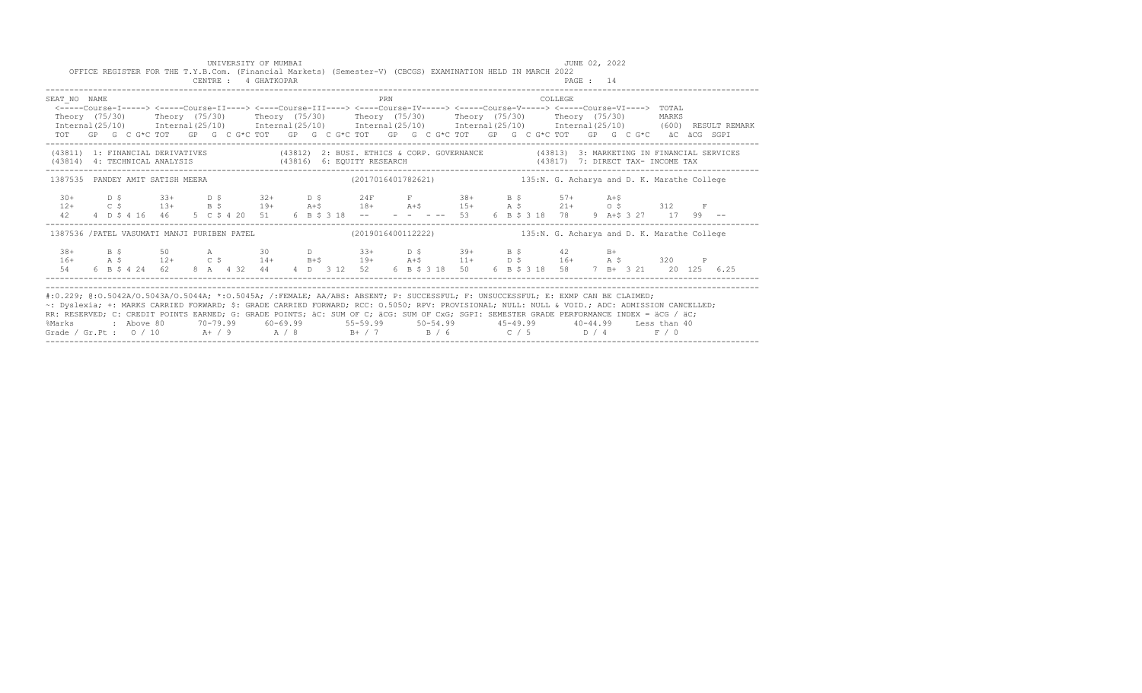| UNIVERSITY OF MUMBAI<br>OFFICE REGISTER FOR THE T.Y.B.Com. (Financial Markets) (Semester-V) (CBCGS) EXAMINATION HELD IN MARCH 2022 |                                                          | JUNE 02, 2022                                                                                                                                                                                                                                                                                                                                                                       |  |
|------------------------------------------------------------------------------------------------------------------------------------|----------------------------------------------------------|-------------------------------------------------------------------------------------------------------------------------------------------------------------------------------------------------------------------------------------------------------------------------------------------------------------------------------------------------------------------------------------|--|
| CENTRE : 4 GHATKOPAR                                                                                                               |                                                          | PAGE: 14                                                                                                                                                                                                                                                                                                                                                                            |  |
| SEAT NO NAME<br>Theory (75/30)  Theory (75/30)  Theory (75/30)  Theory (75/30)  Theory (75/30)  Theory (75/30)                     | PRN                                                      | COLLEGE<br><-----Course-T-----> <----Course-TT----> <----Course-TTT----> <----Course-TV----> <----Course-V-----> <----Course-VT----> TOTAL<br>MARKS<br>Internal(25/10) Internal(25/10) Internal(25/10) Internal(25/10) Internal(25/10) Internal(25/10) (600) RESULT REMARK<br>TOT GP G C G*C TOT GP G C G*C TOT GP G C G*C TOT GP G C G*C TOT GP G C G*C TOT GP G C G*C äC äCG SGPI |  |
|                                                                                                                                    |                                                          | (43811) 1: FINANCIAL DERIVATIVES (43812) 2: BUSI. ETHICS & CORP. GOVERNANCE (43813) 3: MARKETING IN FINANCIAL SERVICES<br>(43814) 4: TECHNICAL ANALYSIS (43816) 6: EQUITY RESEARCH (43817) 7: DIRECT TAX- INCOME TAX                                                                                                                                                                |  |
| 1387535 PANDEY AMIT SATISH MEERA                                                                                                   |                                                          | (2017016401782621) 135:N. G. Acharya and D. K. Marathe College                                                                                                                                                                                                                                                                                                                      |  |
| $30+$ $D$ $\zeta$ $33+$ $D$ $\zeta$ $32+$ $D$ $\zeta$ $24$ $F$ $F$ $38+$ $B$ $\zeta$ $57+$ $A+\zeta$<br>42                         | 4 D \$ 4 16 46 5 C \$ 4 20 51 6 B \$ 3 18 -- - - - -- 53 | 12+ C \$ 13+ B \$ 19+ A+\$ 18+ A+\$ 15+ A \$ 21+ O \$ 312 F<br>6 B \$ 3 18 78 9 A+\$ 3 27 17 99 --                                                                                                                                                                                                                                                                                  |  |
|                                                                                                                                    |                                                          | 1387536 /PATEL VASUMATI MANJI PURIBEN PATEL (2019016400112222) 135:N. G. Acharya and D. K. Marathe College                                                                                                                                                                                                                                                                          |  |
| 38+ B \$ 50 A 30 D 33+ D \$ 39+ B \$ 42 B+<br>6 B \$ 4 24 62<br>54                                                                 |                                                          | 16+ A \$ 12+ C \$ 14+ B+\$ 19+ A+\$ 11+ D \$ 16+ A \$ 320 P<br>8 A 4 32 44 4 D 3 12 52 6 B \$ 3 18 50 6 B \$ 3 18 58 7 B + 3 21 20 125 6.25                                                                                                                                                                                                                                         |  |
|                                                                                                                                    |                                                          |                                                                                                                                                                                                                                                                                                                                                                                     |  |
| #:0.229; @:0.5042A/0.5043A/0.5044A; *:0.5045A; /:FEMALE; AA/ABS: ABSENT; P: SUCCESSFUL; F: UNSUCCESSFUL; E: EXMP CAN BE CLAIMED;   |                                                          | ~: Dyslexia; +: MARKS CARRIED FORWARD; \$: GRADE CARRIED FORWARD; RCC: 0.5050; RPV: PROVISIONAL; NULL: NULL & VOID.; ADC: ADMISSION CANCELLED;<br>na naonaishe o onanas nosisho albitan o onlam nosisho uo otti om o uoo otti om o o oona onlamanno onlamantaritan singul uoo fuo                                                                                                   |  |

RR: RESERVED; C: CREDIT POINTS EARNED; G: GRADE POINTS; äC: SUM OF C; äCG: SUM OF CxG; SGPI: SEMESTER GRADE PERFORMANCE INDEX = äCG / äC; %Marks : Above 80 70-79.99 60-69.99 55-59.99 50-54.99 45-49.99 40-44.99 Less than 40 Grade / Gr.Pt : O / 10 A+ / 9 A / 8 B+ / 7 B / 6 C / 5 D / 4 F / 0 ------------------------------------------------------------------------------------------------------------------------------------------------------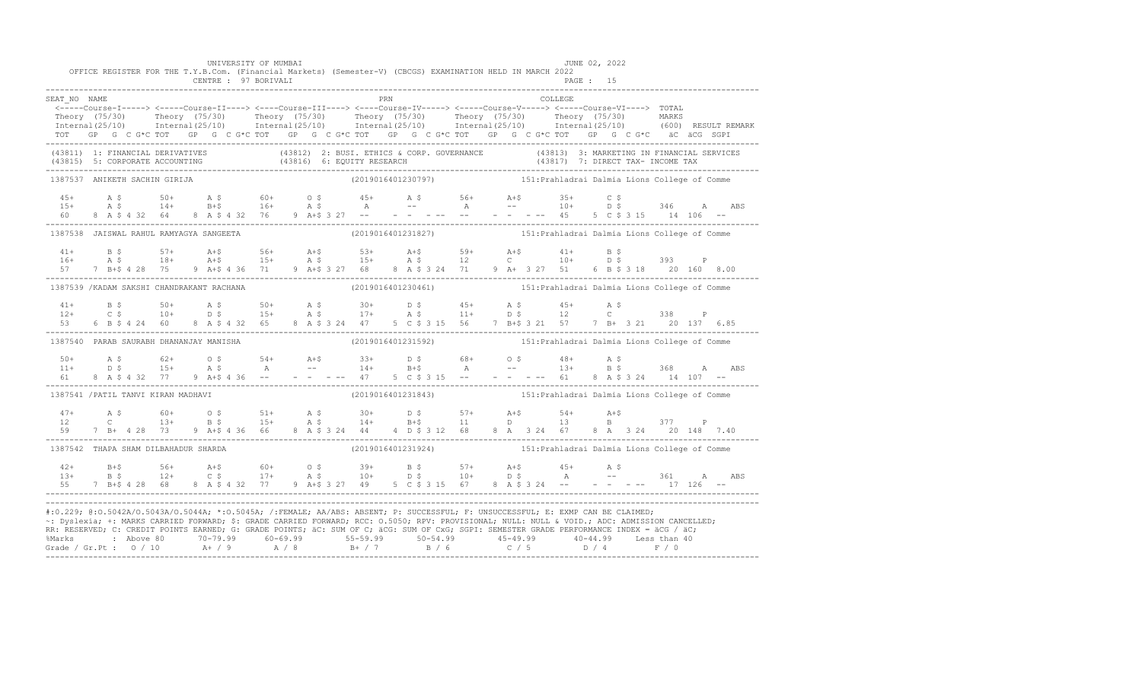|              |                                            |  |  | UNIVERSITY OF MUMBAI |  |  |     | OFFICE REGISTER FOR THE T.Y.B.Com. (Financial Markets) (Semester-V) (CBCGS) EXAMINATION HELD IN MARCH 2022                                                                                                                                                                                                                                                                                                                           |  |  | JUNE 02, 2022 |  |  |  |  |
|--------------|--------------------------------------------|--|--|----------------------|--|--|-----|--------------------------------------------------------------------------------------------------------------------------------------------------------------------------------------------------------------------------------------------------------------------------------------------------------------------------------------------------------------------------------------------------------------------------------------|--|--|---------------|--|--|--|--|
|              |                                            |  |  | CENTRE : 97 BORIVALI |  |  |     |                                                                                                                                                                                                                                                                                                                                                                                                                                      |  |  | PAGE: 15      |  |  |  |  |
| SEAT NO NAME |                                            |  |  |                      |  |  | PRN |                                                                                                                                                                                                                                                                                                                                                                                                                                      |  |  | COLLEGE       |  |  |  |  |
|              |                                            |  |  |                      |  |  |     | <-----Course-I-----> <-----Course-II----> <----Course-III----> <----Course-IV-----> <-----Course-VI----> TOTAL                                                                                                                                                                                                                                                                                                                       |  |  |               |  |  |  |  |
|              |                                            |  |  |                      |  |  |     | Theory (75/30) Theory (75/30) Theory (75/30) Theory (75/30) Theory (75/30) Theory (75/30) MARKS<br>Internal(25/10) Internal(25/10) Internal(25/10) Internal(25/10) Internal(25/10) Internal(25/10) (600) RESULTREMARK                                                                                                                                                                                                                |  |  |               |  |  |  |  |
|              |                                            |  |  |                      |  |  |     | TOT GP G C G*C TOT GP G C G*C TOT GP G C G*C TOT GP G C G*C TOT GP G C G*C TOT GP G C G*C äC äCG SGPI                                                                                                                                                                                                                                                                                                                                |  |  |               |  |  |  |  |
|              |                                            |  |  |                      |  |  |     | (43811) 1: FINANCIAL DERIVATIVES (43812) 2: BUSI. ETHICS & CORP. GOVERNANCE (43813) 3: MARKETING IN FINANCIAL SERVICES<br>(43815) 5: CORPORATE ACCOUNTING (43816) 6: EQUITY RESEARCH (43817) 7: DIRECT TAX- INCOME TAX<br>----------                                                                                                                                                                                                 |  |  |               |  |  |  |  |
|              | 1387537 ANIKETH SACHIN GIRIJA              |  |  |                      |  |  |     | (2019016401230797) 151: Prahladrai Dalmia Lions College of Comme                                                                                                                                                                                                                                                                                                                                                                     |  |  |               |  |  |  |  |
|              |                                            |  |  |                      |  |  |     |                                                                                                                                                                                                                                                                                                                                                                                                                                      |  |  |               |  |  |  |  |
|              |                                            |  |  |                      |  |  |     |                                                                                                                                                                                                                                                                                                                                                                                                                                      |  |  |               |  |  |  |  |
|              |                                            |  |  |                      |  |  |     |                                                                                                                                                                                                                                                                                                                                                                                                                                      |  |  |               |  |  |  |  |
|              | 1387538 JAISWAL RAHUL RAMYAGYA SANGEETA    |  |  |                      |  |  |     | (2019016401231827) 151: Prahladrai Dalmia Lions College of Comme                                                                                                                                                                                                                                                                                                                                                                     |  |  |               |  |  |  |  |
|              |                                            |  |  |                      |  |  |     |                                                                                                                                                                                                                                                                                                                                                                                                                                      |  |  |               |  |  |  |  |
|              |                                            |  |  |                      |  |  |     |                                                                                                                                                                                                                                                                                                                                                                                                                                      |  |  |               |  |  |  |  |
|              |                                            |  |  |                      |  |  |     |                                                                                                                                                                                                                                                                                                                                                                                                                                      |  |  |               |  |  |  |  |
|              | 1387539 / KADAM SAKSHI CHANDRAKANT RACHANA |  |  |                      |  |  |     | (2019016401230461) 151: Prahladrai Dalmia Lions College of Comme                                                                                                                                                                                                                                                                                                                                                                     |  |  |               |  |  |  |  |
|              |                                            |  |  |                      |  |  |     | $\begin{array}{cccccccccccccccc} 41+ & & B & \xi & & 50+ & A & \xi & & 50+ & A & \xi & & 30+ & D & \xi & & 45+ & A & \xi & & 45+ & A & \xi & & & 338 & P \\ 12+ & & C & \xi & & 10+ & & D & \xi & & 15+ & A & \xi & & 17+ & A & \xi & & 11+ & D & \xi & & 12 & C & & 338 & P \\ 53 & & 6 & B & \xi & 4 & 24 & 60 & 8 & A & \xi & 4 & 32 & 65 & 8 & A & \xi & 3 & 24 & 47 & 5$                                                        |  |  |               |  |  |  |  |
|              |                                            |  |  |                      |  |  |     |                                                                                                                                                                                                                                                                                                                                                                                                                                      |  |  |               |  |  |  |  |
|              |                                            |  |  |                      |  |  |     |                                                                                                                                                                                                                                                                                                                                                                                                                                      |  |  |               |  |  |  |  |
|              | 1387540 PARAB SAURABH DHANANJAY MANISHA    |  |  |                      |  |  |     | (2019016401231592) 151: Prahladrai Dalmia Lions College of Comme                                                                                                                                                                                                                                                                                                                                                                     |  |  |               |  |  |  |  |
|              |                                            |  |  |                      |  |  |     |                                                                                                                                                                                                                                                                                                                                                                                                                                      |  |  |               |  |  |  |  |
|              |                                            |  |  |                      |  |  |     |                                                                                                                                                                                                                                                                                                                                                                                                                                      |  |  |               |  |  |  |  |
|              |                                            |  |  |                      |  |  |     | $50+$ A $\frac{1}{3}$ 62+ 0 $\frac{1}{3}$ 54+ A $\frac{1}{3}$ 33+ D $\frac{1}{3}$ 68+ 0 $\frac{1}{3}$ 48+ A $\frac{1}{3}$ 368 A ABS<br>$51$ 8 A $\frac{1}{3}$ 37 9 A $\frac{1}{3}$ 4 36 -- - - - - 47 5 C $\frac{1}{3}$ 315 -- - - - - - - - - 61 8 A $\frac{1}{3}$ 34                                                                                                                                                               |  |  |               |  |  |  |  |
|              | 1387541 /PATIL TANVI KIRAN MADHAVI         |  |  |                      |  |  |     | (2019016401231843) 151: Prahladrai Dalmia Lions College of Comme                                                                                                                                                                                                                                                                                                                                                                     |  |  |               |  |  |  |  |
|              |                                            |  |  |                      |  |  |     |                                                                                                                                                                                                                                                                                                                                                                                                                                      |  |  |               |  |  |  |  |
|              |                                            |  |  |                      |  |  |     |                                                                                                                                                                                                                                                                                                                                                                                                                                      |  |  |               |  |  |  |  |
|              |                                            |  |  |                      |  |  |     | $\begin{array}{cccccccccccccccc} 47+ & & {\rm A}\ \ \, & \textrm{S}\ & \textrm{S}\ & \textrm{S}\ & \textrm{S}\ & \textrm{S}\ & \textrm{S}\ & \textrm{S}\ & \textrm{S}\ & \textrm{S}\ & \textrm{S}\ & \textrm{S}\ & \textrm{S}\ & \textrm{S}\ & \textrm{S}\ & \textrm{S}\ & \textrm{S}\ & \textrm{S}\ & \textrm{S}\ & \textrm{S}\ & \textrm{S}\ & \textrm{S}\ & \textrm{S}\ & \textrm{S}\ & \textrm{S}\ & \textrm$                    |  |  |               |  |  |  |  |
|              | 1387542 THAPA SHAM DILBAHADUR SHARDA       |  |  |                      |  |  |     | (2019016401231924) 151: Prahladrai Dalmia Lions College of Comme                                                                                                                                                                                                                                                                                                                                                                     |  |  |               |  |  |  |  |
|              |                                            |  |  |                      |  |  |     | $\begin{array}{cccccccccccccccc} 42+ & & B+5 & & 56+ & & A+5 & & 60+ & & O\ \mathrel{\small{S}} & & 13+ & & B+5 & & 57+ & & A+5 & & 45+ & A\ \mathrel{\small{S}} & & & 12+ & & C\ \mathrel{\small{S}} & & & 17+ & & A\ \mathrel{\small{S}} & & & 10+ & & D\ \mathrel{\small{S}} & & & 10+ & & D\ \mathrel{\small{S}} & & & 10+ & & D\ \mathrel{\small{S}} & & & 10+ & & D\ \mathrel{\small{S}} & & & 10+ & & D\ \mathrel{\small{S}}$ |  |  |               |  |  |  |  |
|              |                                            |  |  |                      |  |  |     |                                                                                                                                                                                                                                                                                                                                                                                                                                      |  |  |               |  |  |  |  |
|              |                                            |  |  |                      |  |  |     | #:0.229; @:0.5042A/0.5043A/0.5044A; *:0.5045A; /:FEMALE; AA/ABS: ABSENT; P: SUCCESSFUL; F: UNSUCCESSFUL; E: EXMP CAN BE CLAIMED;<br>~: Dyslexia; +: MARKS CARRIED FORWARD; \$: GRADE CARRIED FORWARD; RCC: 0.5050; RPV: PROVISIONAL; NULL: NULL: WOID.; ADC: ADMISSION CANCELLED;<br>RR: RESERVED; C: CREDIT POINTS EARNED; G: GRADE POINTS; äC: SUM OF C; äCG: SUM OF CxG; SGPI: SEMESTER GRADE PERFORMANCE INDEX = äCG / äC;       |  |  |               |  |  |  |  |
|              |                                            |  |  |                      |  |  |     |                                                                                                                                                                                                                                                                                                                                                                                                                                      |  |  |               |  |  |  |  |
|              |                                            |  |  |                      |  |  |     |                                                                                                                                                                                                                                                                                                                                                                                                                                      |  |  |               |  |  |  |  |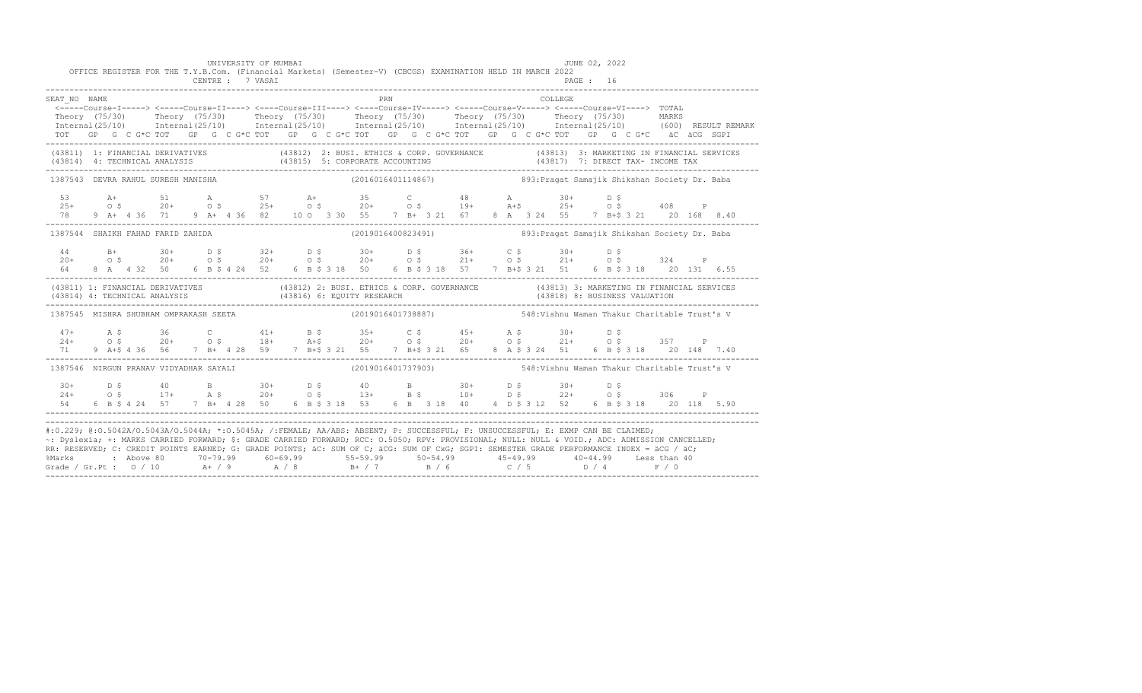|                                                                                                                                                                                                                                                                                                                                                                                                                                                                                                                                                                                              |  |  | UNIVERSITY OF MUMBAI<br>OFFICE REGISTER FOR THE T.Y.B.Com. (Financial Markets) (Semester-V) (CBCGS) EXAMINATION HELD IN MARCH 2022<br>CENTRE : 7 VASAI                                                                        |  |                                                                  |     |  |  |  |          | JUNE 02, 2022<br>PAGE : 16 |  |                                               |  |                                                                                                                                                                                                                                |
|----------------------------------------------------------------------------------------------------------------------------------------------------------------------------------------------------------------------------------------------------------------------------------------------------------------------------------------------------------------------------------------------------------------------------------------------------------------------------------------------------------------------------------------------------------------------------------------------|--|--|-------------------------------------------------------------------------------------------------------------------------------------------------------------------------------------------------------------------------------|--|------------------------------------------------------------------|-----|--|--|--|----------|----------------------------|--|-----------------------------------------------|--|--------------------------------------------------------------------------------------------------------------------------------------------------------------------------------------------------------------------------------|
| SEAT NO NAME                                                                                                                                                                                                                                                                                                                                                                                                                                                                                                                                                                                 |  |  |                                                                                                                                                                                                                               |  |                                                                  | PRN |  |  |  | COLLEGE. |                            |  |                                               |  |                                                                                                                                                                                                                                |
|                                                                                                                                                                                                                                                                                                                                                                                                                                                                                                                                                                                              |  |  | <----Course-I-----> <----Course-II----> <----Course-III----> <----Course-IV-----> <----Course-V-----> <----Course-V----> <----Course-V-----> <----Course-VI----> TOTAL                                                        |  |                                                                  |     |  |  |  |          |                            |  |                                               |  |                                                                                                                                                                                                                                |
|                                                                                                                                                                                                                                                                                                                                                                                                                                                                                                                                                                                              |  |  | Theory (75/30) Theory (75/30) Theory (75/30) Theory (75/30) Theory (75/30) Theory (75/30) MARKS                                                                                                                               |  |                                                                  |     |  |  |  |          |                            |  |                                               |  |                                                                                                                                                                                                                                |
|                                                                                                                                                                                                                                                                                                                                                                                                                                                                                                                                                                                              |  |  |                                                                                                                                                                                                                               |  |                                                                  |     |  |  |  |          |                            |  |                                               |  | Internal (25/10) Internal (25/10) Internal (25/10) Internal (25/10) Internal (25/10) Internal (25/10) (600) RESULT REMARK                                                                                                      |
|                                                                                                                                                                                                                                                                                                                                                                                                                                                                                                                                                                                              |  |  | TOT GP G C G*C TOT GP G C G*C TOT GP G C G*C TOT GP G C G*C TOT GP G C G*C TOT GP G C G*C äC äCG SGPI                                                                                                                         |  |                                                                  |     |  |  |  |          |                            |  |                                               |  |                                                                                                                                                                                                                                |
|                                                                                                                                                                                                                                                                                                                                                                                                                                                                                                                                                                                              |  |  |                                                                                                                                                                                                                               |  |                                                                  |     |  |  |  |          |                            |  |                                               |  | (43811) 1: FINANCIAL DERIVATIVES (43812) 2: BUSI. ETHICS & CORP. GOVERNANCE (43813) 3: MARKETING IN FINANCIAL SERVICES (43814) 4: TECHNICAL ANALYSIS (43815) 5: CORPORATE ACCOUNTING (43817) 7: DIRECT TAX- INCOME TAX (43814) |
| 1387543 DEVRA RAHUL SURESH MANISHA                                                                                                                                                                                                                                                                                                                                                                                                                                                                                                                                                           |  |  |                                                                                                                                                                                                                               |  | (2016016401114867) 893: Pragat Samajik Shikshan Society Dr. Baba |     |  |  |  |          |                            |  |                                               |  |                                                                                                                                                                                                                                |
|                                                                                                                                                                                                                                                                                                                                                                                                                                                                                                                                                                                              |  |  |                                                                                                                                                                                                                               |  |                                                                  |     |  |  |  |          |                            |  |                                               |  |                                                                                                                                                                                                                                |
|                                                                                                                                                                                                                                                                                                                                                                                                                                                                                                                                                                                              |  |  | $253$ at $51$ a $57$ at $35$ c $48$ a $30+$ D \$<br>$25+$ O \$ $20+$ O \$ $25+$ O \$ $20+$ O \$ $19+$ at \$ $25+$ O \$ $408$ P                                                                                                |  |                                                                  |     |  |  |  |          |                            |  |                                               |  |                                                                                                                                                                                                                                |
|                                                                                                                                                                                                                                                                                                                                                                                                                                                                                                                                                                                              |  |  | 9 A+ 4 36 71 9 A+ 4 36 82 10 0 3 30 55 7 B+ 3 21 67 8 A 3 24 55 7 B+\$ 3 21 20 168 8.40                                                                                                                                       |  |                                                                  |     |  |  |  |          |                            |  |                                               |  |                                                                                                                                                                                                                                |
| 1387544 SHAIKH FAHAD FARID ZAHIDA                                                                                                                                                                                                                                                                                                                                                                                                                                                                                                                                                            |  |  |                                                                                                                                                                                                                               |  | (2019016400823491) 893: Pragat Samajik Shikshan Society Dr. Baba |     |  |  |  |          |                            |  |                                               |  |                                                                                                                                                                                                                                |
|                                                                                                                                                                                                                                                                                                                                                                                                                                                                                                                                                                                              |  |  |                                                                                                                                                                                                                               |  |                                                                  |     |  |  |  |          |                            |  |                                               |  |                                                                                                                                                                                                                                |
|                                                                                                                                                                                                                                                                                                                                                                                                                                                                                                                                                                                              |  |  |                                                                                                                                                                                                                               |  |                                                                  |     |  |  |  |          |                            |  |                                               |  |                                                                                                                                                                                                                                |
| 64 64                                                                                                                                                                                                                                                                                                                                                                                                                                                                                                                                                                                        |  |  | 8 A 4 32 50 6 B \$ 4 24 52 6 B \$ 3 18 50 6 B \$ 3 18 57 7 B+\$ 3 21 51 6 B \$ 3 18 20 131 6.55                                                                                                                               |  |                                                                  |     |  |  |  |          |                            |  |                                               |  |                                                                                                                                                                                                                                |
| (43811) 1: FINANCIAL DERIVATIVES (43812) 2: BUSI. ETHICS & CORP. GOVERNANCE (43813) 3: MARKETING IN FINANCIAL SERVICES (43814) 4: TECHNICAL ANALYSIS (43816) 6: EQUITY RESEARCH (43816) 6: ENRICES (43818) 8: BUSINESS VALUATI                                                                                                                                                                                                                                                                                                                                                               |  |  |                                                                                                                                                                                                                               |  |                                                                  |     |  |  |  |          |                            |  |                                               |  |                                                                                                                                                                                                                                |
| 1387545 MISHRA SHUBHAM OMPRAKASH SEETA                                                                                                                                                                                                                                                                                                                                                                                                                                                                                                                                                       |  |  |                                                                                                                                                                                                                               |  | (2019016401738887)                                               |     |  |  |  |          |                            |  | 548: Vishnu Waman Thakur Charitable Trust's V |  |                                                                                                                                                                                                                                |
|                                                                                                                                                                                                                                                                                                                                                                                                                                                                                                                                                                                              |  |  |                                                                                                                                                                                                                               |  |                                                                  |     |  |  |  |          |                            |  |                                               |  |                                                                                                                                                                                                                                |
|                                                                                                                                                                                                                                                                                                                                                                                                                                                                                                                                                                                              |  |  | $24+$ A \$ 36 C 41+ B \$ 35+ C \$ 45+ A \$ 30+ D \$<br>$24+$ O \$ 20+ O \$ 18+ A +\$ 20+ O \$ 20+ O \$ 21+ O \$ 357 P                                                                                                         |  |                                                                  |     |  |  |  |          |                            |  |                                               |  |                                                                                                                                                                                                                                |
| 71 —                                                                                                                                                                                                                                                                                                                                                                                                                                                                                                                                                                                         |  |  | 9 A+\$ 4 36 56 7 B+ 4 28 59 7 B+\$ 3 21 55 7 B+\$ 3 21 65 8 A \$ 3 24 51 6 B \$ 3 18 20 148 7.40                                                                                                                              |  |                                                                  |     |  |  |  |          |                            |  |                                               |  |                                                                                                                                                                                                                                |
| 1387546 NIRGUN PRANAV VIDYADHAR SAYALI                                                                                                                                                                                                                                                                                                                                                                                                                                                                                                                                                       |  |  |                                                                                                                                                                                                                               |  | (2019016401737903) 548: Vishnu Waman Thakur Charitable Trust's V |     |  |  |  |          |                            |  |                                               |  |                                                                                                                                                                                                                                |
|                                                                                                                                                                                                                                                                                                                                                                                                                                                                                                                                                                                              |  |  |                                                                                                                                                                                                                               |  |                                                                  |     |  |  |  |          |                            |  |                                               |  |                                                                                                                                                                                                                                |
|                                                                                                                                                                                                                                                                                                                                                                                                                                                                                                                                                                                              |  |  |                                                                                                                                                                                                                               |  |                                                                  |     |  |  |  |          |                            |  |                                               |  |                                                                                                                                                                                                                                |
|                                                                                                                                                                                                                                                                                                                                                                                                                                                                                                                                                                                              |  |  | $10+$ $10+$ $10+$ $10+$ $10+$ $10+$ $10+$ $10+$ $10+$ $10+$ $10+$ $10+$ $10+$ $10+$ $10+$ $10+$ $10+$ $10+$ $10+$ $10+$ $10+$ $10+$ $10+$ $10+$ $10+$ $10+$ $10+$ $10+$ $10+$ $10+$ $10+$ $10+$ $10+$ $10+$ $10+$ $10+$ $10+$ |  |                                                                  |     |  |  |  |          |                            |  |                                               |  |                                                                                                                                                                                                                                |
| #:0.229; @:0.5042A/0.5043A/0.5044A; *:0.5045A; /:FEMALE; AA/ABS: ABSENT; P: SUCCESSFUL; F: UNSUCCESSFUL; E: EXMP CAN BE CLAIMED;<br>~: Dyslexia; +: MARKS CARRIED FORWARD; \$: GRADE CARRIED FORWARD; RCC: 0.5050; RPV: PROVISIONAL; NULL: NULL: NULL: ADC: ADMISSION CANCELLED;<br>RR: RESERVED; C: CREDIT POINTS EARNED; G: GRADE POINTS; äC: SUM OF C; äCG: SUM OF CxG; SGPI: SEMESTER GRADE PERFORMANCE INDEX = äCG / äC;<br>% Marks : Above 80 70-79.99 60-69.99 55-59.99 50-54.99 45-49.99 40-44.99 Less than 40<br>Grade / Gr.Pt : 0 / 10 A+ / 9 A / 8 B+ / 7 B / 6 C / 5 D / 4 F / 0 |  |  |                                                                                                                                                                                                                               |  |                                                                  |     |  |  |  |          |                            |  |                                               |  |                                                                                                                                                                                                                                |
|                                                                                                                                                                                                                                                                                                                                                                                                                                                                                                                                                                                              |  |  |                                                                                                                                                                                                                               |  |                                                                  |     |  |  |  |          |                            |  |                                               |  |                                                                                                                                                                                                                                |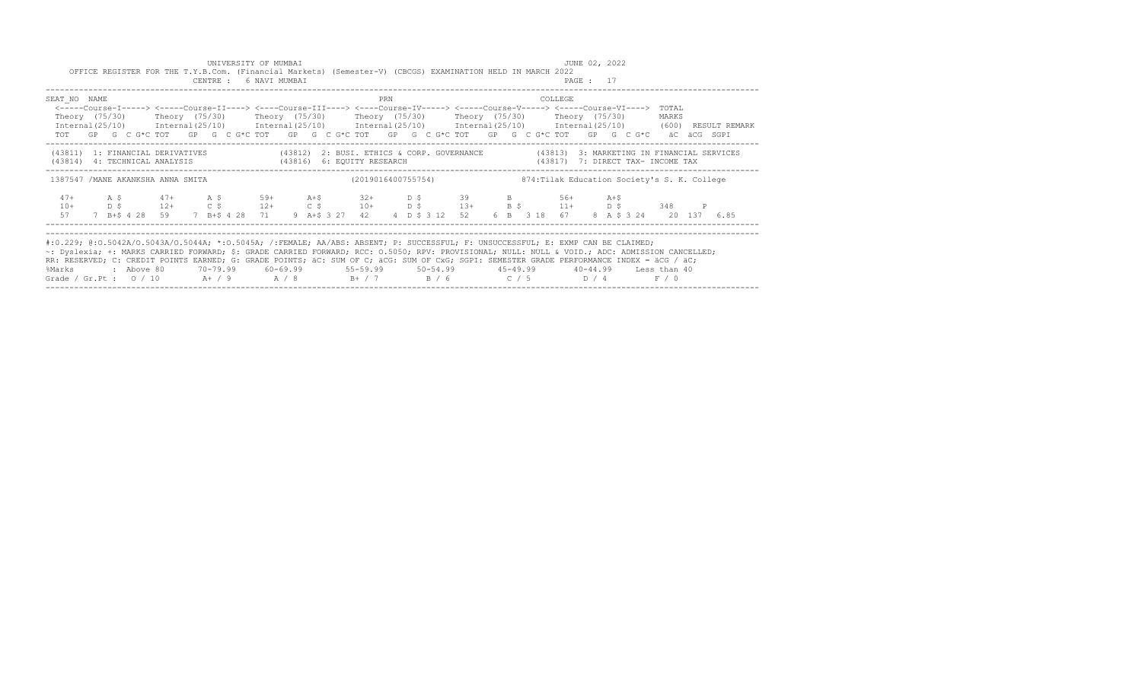|                                                                                                                                                                                                                                                                                                                                                                                                                                                                                                           |  |  |  | UNIVERSITY OF MUMBAI<br>CENTRE : 6 NAVI MUMBAI |  |  |     |  | OFFICE REGISTER FOR THE T.Y.B.Com. (Financial Markets) (Semester-V) (CBCGS) EXAMINATION HELD IN MARCH 2022                                                                                                                                                                                                                               |  |                                              |         | JUNE 02, 2022<br>PAGE : 17 |  |                |              |                                                                                                                                                                                             |
|-----------------------------------------------------------------------------------------------------------------------------------------------------------------------------------------------------------------------------------------------------------------------------------------------------------------------------------------------------------------------------------------------------------------------------------------------------------------------------------------------------------|--|--|--|------------------------------------------------|--|--|-----|--|------------------------------------------------------------------------------------------------------------------------------------------------------------------------------------------------------------------------------------------------------------------------------------------------------------------------------------------|--|----------------------------------------------|---------|----------------------------|--|----------------|--------------|---------------------------------------------------------------------------------------------------------------------------------------------------------------------------------------------|
| SEAT NO NAME                                                                                                                                                                                                                                                                                                                                                                                                                                                                                              |  |  |  |                                                |  |  | PRN |  | <-----Course-I-----> <-----Course-II----> <----Course-III----> <----Course-IV-----> <-----Course-V-----> <-----Course-VI----><br>Theory (75/30)  Theory (75/30)  Theory (75/30)  Theory (75/30)  Theory (75/30)  Theory (75/30)<br>TOT GP G C G*C TOT GP G C G*C TOT GP G C G*C TOT GP G C G*C TOT GP G C G*C TOT GP G C G*C äC äCG SGPI |  |                                              | COLLEGE |                            |  | TOTAL<br>MARKS |              | $International (25/10)$ $International (25/10)$ $International (25/10)$ $International (25/10)$ $International (25/10)$ $International (25/10)$ $International (25/10)$ (600) RESULT REMARK |
| (43814) 4: TECHNICAL ANALYSIS (43816) 6: EQUITY RESEARCH                                                                                                                                                                                                                                                                                                                                                                                                                                                  |  |  |  |                                                |  |  |     |  | (43811) 1: FINANCIAL DERIVATIVES (43812) 2: BUSI. ETHICS & CORP. GOVERNANCE (43813) 3: MARKETING IN FINANCIAL SERVICES<br>(43817) 7: DIRECT TAX- INCOME TAX                                                                                                                                                                              |  |                                              |         |                            |  |                |              |                                                                                                                                                                                             |
| 1387547 / MANE AKANKSHA ANNA SMITA                                                                                                                                                                                                                                                                                                                                                                                                                                                                        |  |  |  |                                                |  |  |     |  | (2019016400755754)                                                                                                                                                                                                                                                                                                                       |  | 874: Tilak Education Society's S. K. College |         |                            |  |                |              |                                                                                                                                                                                             |
| $47+$<br>$10+$<br>57                                                                                                                                                                                                                                                                                                                                                                                                                                                                                      |  |  |  |                                                |  |  |     |  | A \$ 47+ A \$ 59+ A +\$ 32+ D \$ 39 B 56+ A +\$<br>$\Box$ $D$ $\zeta$ 12+ $C$ $\zeta$ 12+ $C$ $\zeta$ $C$ $\zeta$ 10+ $D$ $\zeta$ $C$ 13+ $B$ $\zeta$ $C$ 11+ $D$ $\zeta$ $C$ 348<br>7 B+\$ 4 28 59 7 B+\$ 4 28 71 9 A+\$ 3 27 42 4 D \$ 3 12 52 6 B 3 18 67 8 A \$ 3 24 20 137 6.85                                                     |  |                                              |         |                            |  |                | $\mathbb{P}$ |                                                                                                                                                                                             |
| #:0.229; @:0.5042A/0.5043A/0.5044A; *:0.5045A; /:FEMALE; AA/ABS: ABSENT; P: SUCCESSFUL; F: UNSUCCESSFUL; E: EXMP CAN BE CLAIMED;<br>~: Dyslexia; +: MARKS CARRIED FORWARD; \$: GRADE CARRIED FORWARD; RCC: 0.5050; RPV: PROVISIONAL; NULL: NULL & VOID.; ADC: ADMISSION CANCELLED;<br>RR: RESERVED; C: CREDIT POINTS EARNED; G: GRADE POINTS; äC: SUM OF C; äCG: SUM OF CxG; SGPI: SEMESTER GRADE PERFORMANCE INDEX = äCG / äC;<br>%Marks<br>Grade / Gr.Pt : $0/10$ $A+/9$ $A/8$ $B+/7$ $B/6$ $C/5$ $D/4$ |  |  |  |                                                |  |  |     |  | : Above 80    70-79.99    60-69.99     55-59.99    50-54.99     45-49.99    40-44.99   Less than 40                                                                                                                                                                                                                                      |  |                                              |         |                            |  | F / 0          |              |                                                                                                                                                                                             |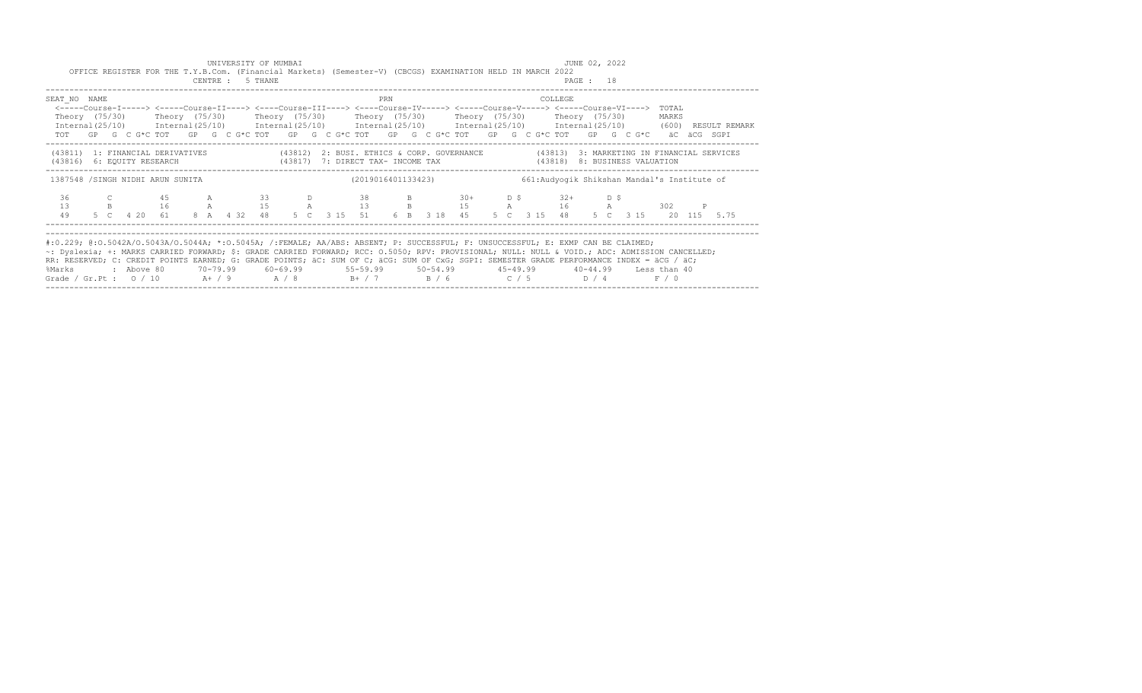|                                                                                                                                                                                                                                                                                    |  | OFFICE REGISTER FOR THE T.Y.B.Com. (Financial Markets) (Semester-V) (CBCGS) EXAMINATION HELD IN MARCH 2022                                                                                                                                                                                                                                                                                                                                                                                                                   |  | UNIVERSITY OF MUMBAI<br>CENTRE : 5 THANE |  |      |     |  |                                                                                 |  |         | JUNE 02, 2022<br>PAGE : 18 |  |                                              |  |  |
|------------------------------------------------------------------------------------------------------------------------------------------------------------------------------------------------------------------------------------------------------------------------------------|--|------------------------------------------------------------------------------------------------------------------------------------------------------------------------------------------------------------------------------------------------------------------------------------------------------------------------------------------------------------------------------------------------------------------------------------------------------------------------------------------------------------------------------|--|------------------------------------------|--|------|-----|--|---------------------------------------------------------------------------------|--|---------|----------------------------|--|----------------------------------------------|--|--|
| SEAT NO NAME                                                                                                                                                                                                                                                                       |  | <-----Course-I-----> <-----Course-II----> <----Course-III----> <----Course-IV-----> <----Course-V-----> <----Course-VI----> TOTAL<br>Theory (75/30)   Theory (75/30)   Theory (75/30)   Theory (75/30)   Theory (75/30)   Theory (75/30)<br>$Internal(25/10)$ $Internal(25/10)$ $Internal(25/10)$ $Internal(25/10)$ $Internal(25/10)$ $Internal(25/10)$ $Internal(25/10)$ $Internal(25/10)$ $(600)$ $RESULT REMARK$<br>TOT GP G C G*C TOT GP G C G*C TOT GP G C G*C TOT GP G C G*C TOT GP G C G*C TOT GP G C G*C äC äCG SGPI |  |                                          |  |      | PRN |  |                                                                                 |  | COLLEGE |                            |  | MARKS                                        |  |  |
|                                                                                                                                                                                                                                                                                    |  | (43811) 1: FINANCIAL DERIVATIVES (43812) 2: BUSI. ETHICS & CORP. GOVERNANCE (43813) 3: MARKETING IN FINANCIAL SERVICES<br>(43816) 6: EQUITY RESEARCH (43817) 7: DIRECT TAX- INCOME TAX (43818) 8: BUSINESS VALUATION                                                                                                                                                                                                                                                                                                         |  |                                          |  |      |     |  |                                                                                 |  |         |                            |  |                                              |  |  |
|                                                                                                                                                                                                                                                                                    |  | 1387548 /SINGH NIDHI ARUN SUNITA                                                                                                                                                                                                                                                                                                                                                                                                                                                                                             |  |                                          |  |      |     |  | (2019016401133423)                                                              |  |         |                            |  | 661: Audyogik Shikshan Mandal's Institute of |  |  |
| 36<br>13<br>49                                                                                                                                                                                                                                                                     |  | C 45 A 33<br>B 16 A 15 A 13 B 15 A 16 A 302<br>5 C  4 20  61  8  A  4  32  48                                                                                                                                                                                                                                                                                                                                                                                                                                                |  |                                          |  | D 38 |     |  | B 30+ D \$ 32+ D \$<br>5 C 3 15 51 6 B 3 18 45 5 C 3 15 48 5 C 3 15 20 115 5.75 |  |         |                            |  |                                              |  |  |
| #:0.229; @:0.5042A/0.5043A/0.5044A; *:0.5045A; /:FEMALE; AA/ABS: ABSENT; P: SUCCESSFUL; F: UNSUCCESSFUL; E: EXMP CAN BE CLAIMED;<br>~: Dyslexia; +: MARKS CARRIED FORWARD; \$: GRADE CARRIED FORWARD; RCC: 0.5050; RPV: PROVISIONAL; NULL: NULL & VOID.; ADC: ADMISSION CANCELLED; |  |                                                                                                                                                                                                                                                                                                                                                                                                                                                                                                                              |  |                                          |  |      |     |  |                                                                                 |  |         |                            |  |                                              |  |  |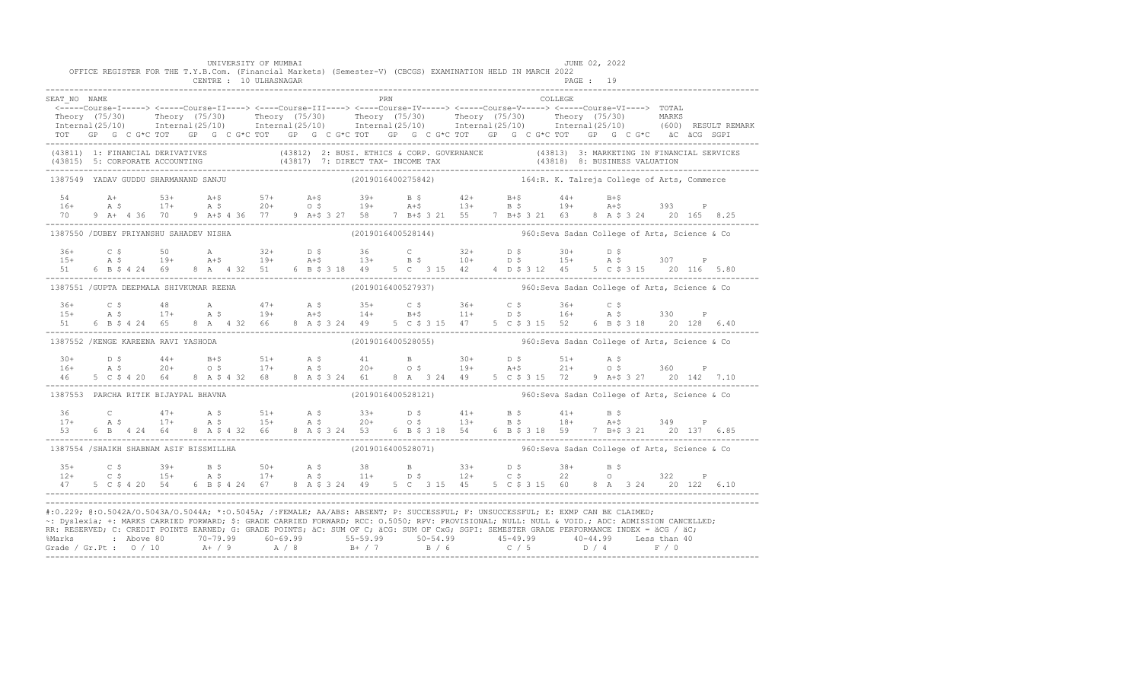|                                                                                                                                                             |  |  |                        |  | UNIVERSITY OF MUMBAI |  |  |     |  | OFFICE REGISTER FOR THE T.Y.B.Com. (Financial Markets) (Semester-V) (CBCGS) EXAMINATION HELD IN MARCH 2022                                                                                                                    |  |         | JUNE 02, 2022 |  |  |                                                                                                                                                                                                                                      |
|-------------------------------------------------------------------------------------------------------------------------------------------------------------|--|--|------------------------|--|----------------------|--|--|-----|--|-------------------------------------------------------------------------------------------------------------------------------------------------------------------------------------------------------------------------------|--|---------|---------------|--|--|--------------------------------------------------------------------------------------------------------------------------------------------------------------------------------------------------------------------------------------|
|                                                                                                                                                             |  |  | CENTRE : 10 ULHASNAGAR |  |                      |  |  |     |  |                                                                                                                                                                                                                               |  |         | PAGE: 19      |  |  |                                                                                                                                                                                                                                      |
| SEAT NO NAME                                                                                                                                                |  |  |                        |  |                      |  |  | PRN |  |                                                                                                                                                                                                                               |  | COLLEGE |               |  |  |                                                                                                                                                                                                                                      |
|                                                                                                                                                             |  |  |                        |  |                      |  |  |     |  | <-----Course-I-----> <-----Course-II----> <----Course-III----> <----Course-IV-----> <----Course-V-----> <----Course-VI----> TOTAL                                                                                             |  |         |               |  |  |                                                                                                                                                                                                                                      |
|                                                                                                                                                             |  |  |                        |  |                      |  |  |     |  |                                                                                                                                                                                                                               |  |         |               |  |  | Theory (75/30) Theory (75/30) Theory (75/30) Theory (75/30) Theory (75/30) Theory (75/30) MARKS<br>Internal(25/10) Internal(25/10) Internal(25/10) Internal(25/10) Internal(25/10) Internal(25/10) (600) RESULTREMARK                |
|                                                                                                                                                             |  |  |                        |  |                      |  |  |     |  | TOT GP G C G*C TOT GP G C G*C TOT GP G C G*C TOT GP G C G*C TOT GP G C G*C TOT GP G C G*C äC äCG SGPI                                                                                                                         |  |         |               |  |  |                                                                                                                                                                                                                                      |
|                                                                                                                                                             |  |  |                        |  |                      |  |  |     |  |                                                                                                                                                                                                                               |  |         |               |  |  | (43811) 1: FINANCIAL DERIVATIVES (43812) 2: BUSI. ETHICS & CORP. GOVERNANCE (43813) 3: MARKETING IN FINANCIAL SERVICES<br>(43815) 5: CORPORATE ACCOUNTING (43817) 7: DIRECT TAX- INCOME TAX (43818) 8: BUSINESS VALUATION<br>------- |
| 1387549 YADAV GUDDU SHARMANAND SANJU                                                                                                                        |  |  |                        |  |                      |  |  |     |  | $(2019016400275842)$ 164:R. K. Talreja College of Arts, Commerce                                                                                                                                                              |  |         |               |  |  |                                                                                                                                                                                                                                      |
|                                                                                                                                                             |  |  |                        |  |                      |  |  |     |  |                                                                                                                                                                                                                               |  |         |               |  |  |                                                                                                                                                                                                                                      |
|                                                                                                                                                             |  |  |                        |  |                      |  |  |     |  |                                                                                                                                                                                                                               |  |         |               |  |  |                                                                                                                                                                                                                                      |
|                                                                                                                                                             |  |  |                        |  |                      |  |  |     |  | 70 9 A+ 4 36 70 9 A+\$ 4 36 77 9 A+\$ 3 27 58 7 B+\$ 3 21 55 7 B+\$ 3 21 63 8 A \$ 3 24 20 165 8.25                                                                                                                           |  |         |               |  |  |                                                                                                                                                                                                                                      |
|                                                                                                                                                             |  |  |                        |  |                      |  |  |     |  | 1387550 /DUBEY PRIYANSHU SAHADEV NISHA (2019016400528144) 960:Seva Sadan College of Arts, Science & Co                                                                                                                        |  |         |               |  |  |                                                                                                                                                                                                                                      |
|                                                                                                                                                             |  |  |                        |  |                      |  |  |     |  |                                                                                                                                                                                                                               |  |         |               |  |  |                                                                                                                                                                                                                                      |
|                                                                                                                                                             |  |  |                        |  |                      |  |  |     |  | $15+$ $25+$ $50+$ $32+$ $25+$ $55+$ $36+$ $55+$ $55+$ $55+$ $55+$ $55+$ $55+$ $55+$ $55+$ $55+$ $55+$ $55+$ $55+$ $55+$ $55+$ $55+$ $55+$ $55+$ $55+$ $55+$ $55+$ $55+$ $55+$ $55+$ $55+$ $55+$ $55+$ $55+$ $55+$ $55+$ $55+$ |  |         |               |  |  |                                                                                                                                                                                                                                      |
|                                                                                                                                                             |  |  |                        |  |                      |  |  |     |  | 51 6 B \$ 4 24 69 8 A 4 32 51 6 B \$ 3 18 49 5 C 3 15 42 4 D \$ 3 12 45 5 C \$ 3 15 20 116 5.80                                                                                                                               |  |         |               |  |  |                                                                                                                                                                                                                                      |
| 1387551 / GUPTA DEEPMALA SHIVKUMAR REENA                                                                                                                    |  |  |                        |  |                      |  |  |     |  | (2019016400527937) 960: Seva Sadan College of Arts, Science & Co                                                                                                                                                              |  |         |               |  |  |                                                                                                                                                                                                                                      |
|                                                                                                                                                             |  |  |                        |  |                      |  |  |     |  | $15+$ $25$ $36+$ $25$ $48$ $31+$ $47+$ $35$ $35+$ $25$ $36+$ $25$ $36+$ $25$ $36+$ $25$ $36+$ $25$ $36+$ $25$ $36+$ $330$ $P$                                                                                                 |  |         |               |  |  |                                                                                                                                                                                                                                      |
|                                                                                                                                                             |  |  |                        |  |                      |  |  |     |  |                                                                                                                                                                                                                               |  |         |               |  |  |                                                                                                                                                                                                                                      |
| 51                                                                                                                                                          |  |  |                        |  |                      |  |  |     |  | 6 B \$ 4 24 65 8 A 4 32 66 8 A \$ 3 24 49 5 C \$ 3 15 47 5 C \$ 3 15 52 6 B \$ 3 18 20 128 6.40                                                                                                                               |  |         |               |  |  |                                                                                                                                                                                                                                      |
| 1387552 / KENGE KAREENA RAVI YASHODA                                                                                                                        |  |  |                        |  |                      |  |  |     |  | (2019016400528055) 560: Seva Sadan College of Arts, Science & Co                                                                                                                                                              |  |         |               |  |  |                                                                                                                                                                                                                                      |
|                                                                                                                                                             |  |  |                        |  |                      |  |  |     |  | $16+$ $16+$ $17+$ $17+$ $17+$ $18+$ $19+$ $19+$ $19+$ $19+$ $19+$ $19+$ $19+$ $19+$ $19+$ $19+$ $19+$ $19+$ $19+$ $19+$ $19+$ $19+$ $19+$ $19+$ $19+$ $19+$ $19+$ $19+$ $19+$ $19+$ $19+$ $19+$ $19+$ $19+$ $19+$ $19+$ $19+$ |  |         |               |  |  |                                                                                                                                                                                                                                      |
|                                                                                                                                                             |  |  |                        |  |                      |  |  |     |  |                                                                                                                                                                                                                               |  |         |               |  |  |                                                                                                                                                                                                                                      |
|                                                                                                                                                             |  |  |                        |  |                      |  |  |     |  | 46 5 C \$ 4 20 64 8 A \$ 4 32 68 8 A \$ 3 24 61 8 A 3 24 49 5 C \$ 3 15 72 9 A + \$ 3 27 20 142 7.10                                                                                                                          |  |         |               |  |  |                                                                                                                                                                                                                                      |
| 1387553 PARCHA RITIK BIJAYPAL BHAVNA                                                                                                                        |  |  |                        |  |                      |  |  |     |  | (2019016400528121) 960: Seva Sadan College of Arts, Science & Co                                                                                                                                                              |  |         |               |  |  |                                                                                                                                                                                                                                      |
|                                                                                                                                                             |  |  |                        |  |                      |  |  |     |  | $36$ C $47+$ A \$ $51+$ A \$ $33+$ D \$ $41+$ B \$ $41+$ B \$ $5$ 349 P<br>17+ A \$ 17+ A \$ 15+ A \$ 20+ O \$ 13+ B \$ 18+ A+\$ 349 P                                                                                        |  |         |               |  |  |                                                                                                                                                                                                                                      |
|                                                                                                                                                             |  |  |                        |  |                      |  |  |     |  |                                                                                                                                                                                                                               |  |         |               |  |  |                                                                                                                                                                                                                                      |
| 53                                                                                                                                                          |  |  |                        |  |                      |  |  |     |  | 6 B  4 24  64  8 A \$ 4 32  66  8 A \$ 3 24  53  6 B \$ 3 18  54  6 B \$ 3 18  59  7 B+\$ 3 21  20  137  6.85                                                                                                                 |  |         |               |  |  |                                                                                                                                                                                                                                      |
| 1387554 /SHAIKH SHABNAM ASIF BISSMILLHA                                                                                                                     |  |  |                        |  |                      |  |  |     |  | (2019016400528071) 960:Seva Sadan College of Arts, Science & Co                                                                                                                                                               |  |         |               |  |  |                                                                                                                                                                                                                                      |
|                                                                                                                                                             |  |  |                        |  |                      |  |  |     |  | $12+$ $C$ $\zeta$ $39+$ $B$ $\zeta$ $50+$ $A$ $\zeta$ $38$ $B$ $33+$ $D$ $\zeta$ $38+$ $B$ $\zeta$<br>$12+$ $C$ $\zeta$ $22$ $C$ $322$ $P$                                                                                    |  |         |               |  |  |                                                                                                                                                                                                                                      |
|                                                                                                                                                             |  |  |                        |  |                      |  |  |     |  |                                                                                                                                                                                                                               |  |         |               |  |  |                                                                                                                                                                                                                                      |
|                                                                                                                                                             |  |  |                        |  |                      |  |  |     |  | 47 5 C \$ 4 20 54 6 B \$ 4 24 67 8 A \$ 3 24 49 5 C 3 15 45 5 C \$ 3 15 60 8 A 3 24 20 122 6.10                                                                                                                               |  |         |               |  |  |                                                                                                                                                                                                                                      |
| #:0.229; @:0.5042A/0.5043A/0.5044A; *:0.5045A; /:FEMALE; AA/ABS: ABSENT; P: SUCCESSFUL; F: UNSUCCESSFUL; E: EXMP CAN BE CLAIMED;                            |  |  |                        |  |                      |  |  |     |  |                                                                                                                                                                                                                               |  |         |               |  |  |                                                                                                                                                                                                                                      |
| ~: Dyslexia; +: MARKS CARRIED FORWARD; \$: GRADE CARRIED FORWARD; RCC: 0.5050; RPV: PROVISIONAL; NULL: NULL: AULL: ADC: ADMISSION CANCELLED;                |  |  |                        |  |                      |  |  |     |  |                                                                                                                                                                                                                               |  |         |               |  |  |                                                                                                                                                                                                                                      |
| RR: RESERVED; C: CREDIT POINTS EARNED; G: GRADE POINTS; äC: SUM OF C; äCG: SUM OF CxG; SGPI: SEMESTER GRADE PERFORMANCE INDEX = äCG / äC;                   |  |  |                        |  |                      |  |  |     |  |                                                                                                                                                                                                                               |  |         |               |  |  |                                                                                                                                                                                                                                      |
| % Marks : Above 80 70-79.99 60-69.99 55-59.99 50-54.99 45-49.99 40-44.99 Less than 40<br>Grade / Gr.Pt : 0 / 10 A+ / 9 A / 8 B+ / 7 B / 6 C / 5 D / 4 F / 0 |  |  |                        |  |                      |  |  |     |  |                                                                                                                                                                                                                               |  |         |               |  |  |                                                                                                                                                                                                                                      |
|                                                                                                                                                             |  |  |                        |  |                      |  |  |     |  |                                                                                                                                                                                                                               |  |         |               |  |  |                                                                                                                                                                                                                                      |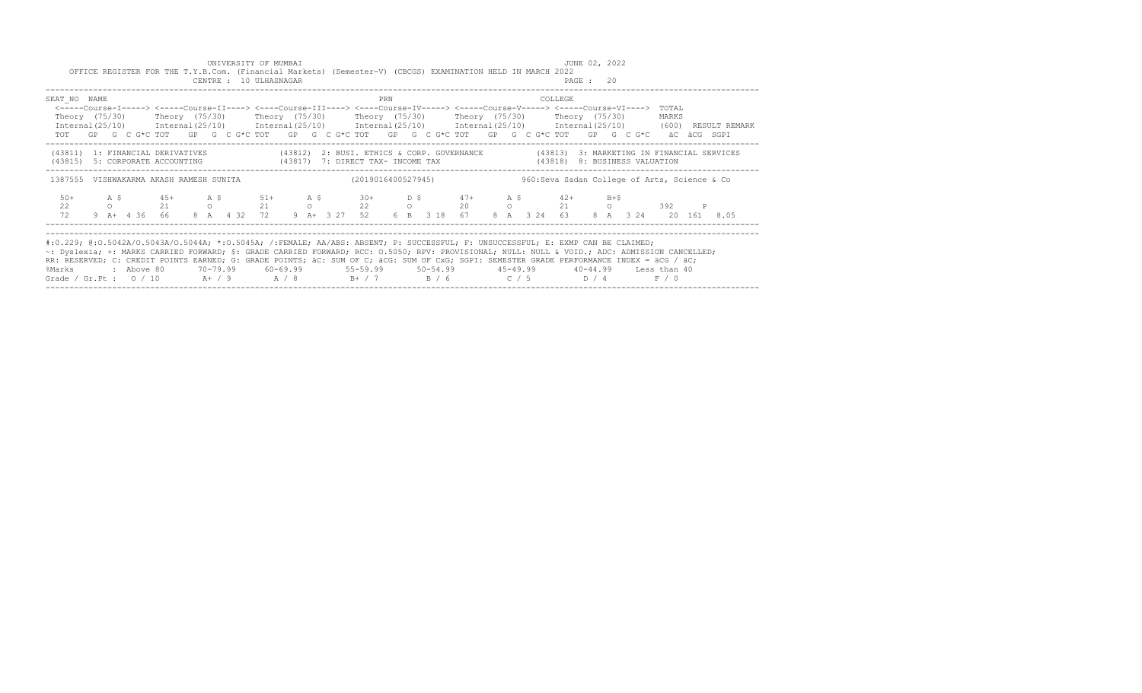|                                                                                                                                                                                                                                                                                                                                                                                                                                                                                                                 |  |  |  | UNIVERSITY OF MUMBAI<br>CENTRE : 10 ULHASNAGAR |  |  |     |  | OFFICE REGISTER FOR THE T.Y.B.Com. (Financial Markets) (Semester-V) (CBCGS) EXAMINATION HELD IN MARCH 2022                                                                                                                                                                                                                                                                                                                                                                                                                                            |  |                                               | JUNE 02, 2022<br>PAGE : 20 |  |                 |  |  |
|-----------------------------------------------------------------------------------------------------------------------------------------------------------------------------------------------------------------------------------------------------------------------------------------------------------------------------------------------------------------------------------------------------------------------------------------------------------------------------------------------------------------|--|--|--|------------------------------------------------|--|--|-----|--|-------------------------------------------------------------------------------------------------------------------------------------------------------------------------------------------------------------------------------------------------------------------------------------------------------------------------------------------------------------------------------------------------------------------------------------------------------------------------------------------------------------------------------------------------------|--|-----------------------------------------------|----------------------------|--|-----------------|--|--|
| SEAT NO NAME                                                                                                                                                                                                                                                                                                                                                                                                                                                                                                    |  |  |  |                                                |  |  | PRN |  | <-----Course-I-----> <-----Course-II----> <----Course-III----> <----Course-IV-----> <-----Course-V-----> <-----Course-VI----><br>Theory (75/30)    Theory (75/30)    Theory (75/30)    Theory (75/30)    Theory (75/30)    Theory (75/30)<br>$International (25/10)$ $International (25/10)$ $International (25/10)$ $International (25/10)$ $International (25/10)$ $International (25/10)$ $International (25/10)$ $(600)$ $RESULT REMARK$<br>TOT GP G C G*C TOT GP G C G*C TOT GP G C G*C TOT GP G C G*C TOT GP G C G*C TOT GP G C G*C äC äCG SGPI |  | COLLEGE                                       |                            |  | TOTAL.<br>MARKS |  |  |
|                                                                                                                                                                                                                                                                                                                                                                                                                                                                                                                 |  |  |  |                                                |  |  |     |  | (43811) 1: FINANCIAL DERIVATIVES (43812) 2: BUSI. ETHICS & CORP. GOVERNANCE (43813) 3: MARKETING IN FINANCIAL SERVICES<br>(43815) 5: CORPORATE ACCOUNTING (43817) 7: DIRECT TAX- INCOME TAX (43818) 8: BUSINESS VALUATION                                                                                                                                                                                                                                                                                                                             |  | ----------------------------------            |                            |  |                 |  |  |
| 1387555 VISHWAKARMA AKASH RAMESH SUNITA                                                                                                                                                                                                                                                                                                                                                                                                                                                                         |  |  |  |                                                |  |  |     |  | (2019016400527945)                                                                                                                                                                                                                                                                                                                                                                                                                                                                                                                                    |  | 960: Seva Sadan College of Arts, Science & Co |                            |  |                 |  |  |
| $50+$<br>22<br>72                                                                                                                                                                                                                                                                                                                                                                                                                                                                                               |  |  |  |                                                |  |  |     |  | A \$45+ A \$51+ A \$30+ D \$47+ A \$42+ B+\$<br>0 21 0 21 0 22 0 20 0 21 0 392<br>9 A+ 4 36 66 8 A 4 32 72 9 A+ 3 27 52 6 B 3 18 67 8 A 3 24 63 8 A 3 24 20 161 8.05                                                                                                                                                                                                                                                                                                                                                                                  |  |                                               |                            |  |                 |  |  |
| #:0.229; @:0.5042A/0.5043A/0.5044A; *:0.5045A; /:FEMALE; AA/ABS: ABSENT; P: SUCCESSFUL; F: UNSUCCESSFUL; E: EXMP CAN BE CLAIMED;<br>~: Dyslexia; +: MARKS CARRIED FORWARD; \$: GRADE CARRIED FORWARD; RCC: 0.5050; RPV: PROVISIONAL; NULL: NULL & VOID.; ADC: ADMISSION CANCELLED;<br>RR: RESERVED; C: CREDIT POINTS EARNED; G: GRADE POINTS; äC: SUM OF C; äCG: SUM OF CxG; SGPI: SEMESTER GRADE PERFORMANCE INDEX = äCG / äC;<br>%Marks<br>Grade / Gr.Pt : $0/10$ A / 9 A / 8 B + / 7 B / 6 C / 5 D / 4 F / 0 |  |  |  |                                                |  |  |     |  | : Above 80    70-79.99    60-69.99     55-59.99    50-54.99     45-49.99    40-44.99   Less than 40                                                                                                                                                                                                                                                                                                                                                                                                                                                   |  |                                               |                            |  |                 |  |  |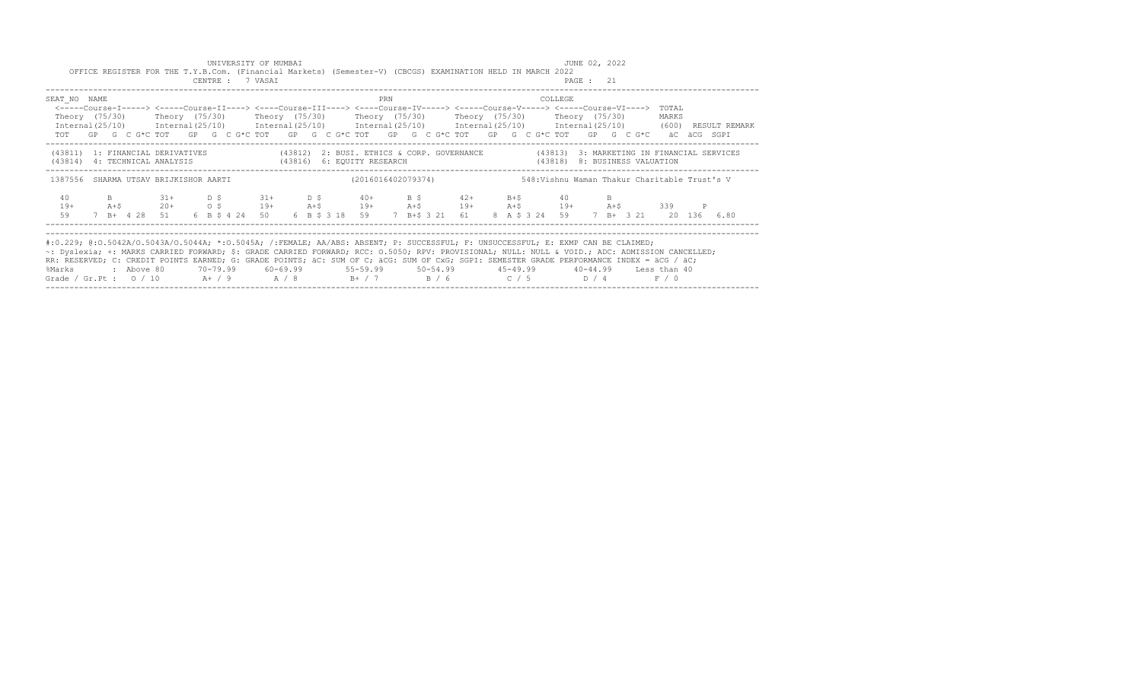|                                                                                                                                                                                                                                                                                                                                                                                                                                 |       | OFFICE REGISTER FOR THE T.Y.B.Com. (Financial Markets) (Semester-V) (CBCGS) EXAMINATION HELD IN MARCH 2022                                                                                                                                                                                                                                            |  | UNIVERSITY OF MUMBAI<br>CENTRE : 7 VASAI |  |  |                                                                    |     |  |  |  |         | JUNE 02, 2022<br>PAGE : 21 |  |                                              |  |  |
|---------------------------------------------------------------------------------------------------------------------------------------------------------------------------------------------------------------------------------------------------------------------------------------------------------------------------------------------------------------------------------------------------------------------------------|-------|-------------------------------------------------------------------------------------------------------------------------------------------------------------------------------------------------------------------------------------------------------------------------------------------------------------------------------------------------------|--|------------------------------------------|--|--|--------------------------------------------------------------------|-----|--|--|--|---------|----------------------------|--|----------------------------------------------|--|--|
| SEAT NO NAME<br>Internal(25/10) Internal(25/10) Internal(25/10) Internal(25/10) Internal(25/10) Internal(25/10) (600) RESULT REMARK                                                                                                                                                                                                                                                                                             |       | <-----Course-I-----> <----Course-II----> <----Course-III----> <----Course-IV-----> <----Course-V-----> <----Course-VI----> TOTAL<br>Theory (75/30)    Theory (75/30)    Theory (75/30)    Theory (75/30)    Theory (75/30)    Theory (75/30)<br>TOT GP G C G*C TOT GP G C G*C TOT GP G C G*C TOT GP G C G*C TOT GP G C G*C TOT GP G C G*C äC äCG SGPI |  |                                          |  |  |                                                                    | PRN |  |  |  | COLLEGE |                            |  | MARKS                                        |  |  |
| (43811) 1: FINANCIAL DERIVATIVES (43812) 2: BUSI. ETHICS & CORP. GOVERNANCE (43813) 3: MARKETING IN FINANCIAL SERVICES<br>(43814) 4: TECHNICAL ANALYSIS (43816) 6: EQUITY RESEARCH (43818) 8: BUSINESS VALUATION                                                                                                                                                                                                                |       |                                                                                                                                                                                                                                                                                                                                                       |  |                                          |  |  |                                                                    |     |  |  |  |         |                            |  |                                              |  |  |
| 1387556 SHARMA UTSAV BRIJKISHOR AARTI                                                                                                                                                                                                                                                                                                                                                                                           |       |                                                                                                                                                                                                                                                                                                                                                       |  |                                          |  |  | (2016016402079374)                                                 |     |  |  |  |         |                            |  | 548:Vishnu Waman Thakur Charitable Trust's V |  |  |
| 40                                                                                                                                                                                                                                                                                                                                                                                                                              |       | B 31+ D \$ 31+ D \$ 40+ B \$ 42+ B + \$ 40 B                                                                                                                                                                                                                                                                                                          |  |                                          |  |  |                                                                    |     |  |  |  |         |                            |  |                                              |  |  |
| $19+$                                                                                                                                                                                                                                                                                                                                                                                                                           | $A+S$ | $20+$ 0.5 19+ A+\$ 19+ A+\$ 19+ A+\$ 19+ A+\$ 19+ A+\$                                                                                                                                                                                                                                                                                                |  |                                          |  |  |                                                                    |     |  |  |  |         |                            |  | 339                                          |  |  |
| 59                                                                                                                                                                                                                                                                                                                                                                                                                              |       | 7 B+ 4 28 51                                                                                                                                                                                                                                                                                                                                          |  | 6 B \$ 4 24 50                           |  |  | 6 B \$ 3 18 59 7 B+\$ 3 21 61 8 A \$ 3 24 59 7 B+ 3 21 20 136 6.80 |     |  |  |  |         |                            |  |                                              |  |  |
| #:0.229; @:0.5042A/0.5043A/0.5044A; *:0.5045A; /:FEMALE; AA/ABS: ABSENT; P: SUCCESSFUL; F: UNSUCCESSFUL; E: EXMP CAN BE CLAIMED;<br>~: Dyslexia; +: MARKS CARRIED FORWARD; \$: GRADE CARRIED FORWARD; RCC: 0.5050; RPV: PROVISIONAL; NULL: NULL & VOID.; ADC: ADMISSION CANCELLED;<br>RR: RESERVED; C: CREDIT POINTS EARNED; G: GRADE POINTS; äC: SUM OF C; äCG: SUM OF CxG; SGPI: SEMESTER GRADE PERFORMANCE INDEX = äCG / äC; |       |                                                                                                                                                                                                                                                                                                                                                       |  |                                          |  |  |                                                                    |     |  |  |  |         |                            |  |                                              |  |  |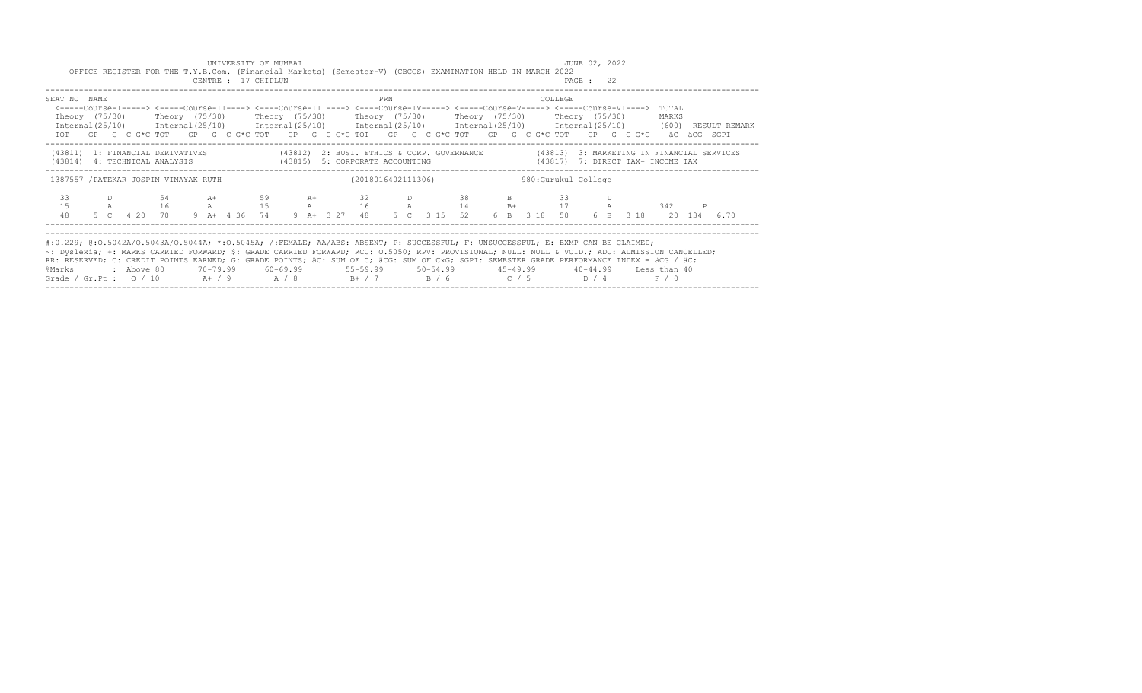|                                                                                                                                                                                                                                                                                                                                                                                                                                                                                                           |  | OFFICE REGISTER FOR THE T.Y.B.Com. (Financial Markets) (Semester-V) (CBCGS) EXAMINATION HELD IN MARCH 2022                                                                                                                                                                                                                                  |  | UNIVERSITY OF MUMBAI<br>CENTRE : 17 CHIPLUN |  |  |     |  |                    |  |                      |         | JUNE 02, 2022<br>PAGE : 22 |  |       |  |  |
|-----------------------------------------------------------------------------------------------------------------------------------------------------------------------------------------------------------------------------------------------------------------------------------------------------------------------------------------------------------------------------------------------------------------------------------------------------------------------------------------------------------|--|---------------------------------------------------------------------------------------------------------------------------------------------------------------------------------------------------------------------------------------------------------------------------------------------------------------------------------------------|--|---------------------------------------------|--|--|-----|--|--------------------|--|----------------------|---------|----------------------------|--|-------|--|--|
| SEAT NO NAME<br>Internal(25/10) Internal(25/10) Internal(25/10) Internal(25/10) Internal(25/10) Internal(25/10) (600) RESULT REMARK                                                                                                                                                                                                                                                                                                                                                                       |  | <-----Course-I-----> <----Course-II----> <----Course-III----> <----Course-IV-----> <----Course-V-----> <----Course-VI----> TOTAL<br>Theory (75/30)  Theory (75/30)  Theory (75/30)  Theory (75/30)  Theory (75/30)  Theory (75/30)<br>TOT GP G C G*C TOT GP G C G*C TOT GP G C G*C TOT GP G C G*C TOT GP G C G*C TOT GP G C G*C aC aCG SGPI |  |                                             |  |  | PRN |  |                    |  |                      | COLLEGE |                            |  | MARKS |  |  |
| (43811) 1: FINANCIAL DERIVATIVES (43812) 2: BUSI. ETHICS & CORP. GOVERNANCE (43813) 3: MARKETING IN FINANCIAL SERVICES<br>(43814) 4: TECHNICAL ANALYSIS (43815) 5: CORPORATE ACCOUNTING (43817) 7: DIRECT TAX- INCOME TAX                                                                                                                                                                                                                                                                                 |  |                                                                                                                                                                                                                                                                                                                                             |  |                                             |  |  |     |  |                    |  |                      |         |                            |  |       |  |  |
| 1387557 /PATEKAR JOSPIN VINAYAK RUTH                                                                                                                                                                                                                                                                                                                                                                                                                                                                      |  |                                                                                                                                                                                                                                                                                                                                             |  |                                             |  |  |     |  | (2018016402111306) |  | 980: Gurukul College |         |                            |  |       |  |  |
| 33<br>1.5<br>48                                                                                                                                                                                                                                                                                                                                                                                                                                                                                           |  | D 54 A+ 59 A+ 32 D 38<br>A 16 A 15 A 16 A 14 B+ 17 A 342<br>5 C  4 20 70  9 A+  4 36 74  9 A+  3 27 48  5 C  3 15 52  6  B  3 18 50  6  B  3 18 20 134  6.70                                                                                                                                                                                |  |                                             |  |  |     |  |                    |  | <b>B</b> 33          |         |                            |  |       |  |  |
| #:0.229; @:0.5042A/0.5043A/0.5044A; *:0.5045A; /:FEMALE; AA/ABS: ABSENT; P: SUCCESSFUL; F: UNSUCCESSFUL; E: EXMP CAN BE CLAIMED;<br>~: Dyslexia; +: MARKS CARRIED FORWARD; \$: GRADE CARRIED FORWARD; RCC: 0.5050; RPV: PROVISIONAL; NULL: NULL & VOID.; ADC: ADMISSION CANCELLED;<br>RR: RESERVED; C: CREDIT POINTS EARNED; G: GRADE POINTS; äC: SUM OF C; äCG: SUM OF CxG; SGPI: SEMESTER GRADE PERFORMANCE INDEX = äCG / äC;<br>%Marks<br>Grade / Gr.Pt : 0 / 10 A+ / 9 A / 8 B+ / 7 B / 6 C / 5 D / 4 |  | : Above 80    70-79.99    60-69.99     55-59.99     50-54.99      45-49.99     40-44.99   Less than 40                                                                                                                                                                                                                                      |  |                                             |  |  |     |  |                    |  |                      |         |                            |  | F / 0 |  |  |